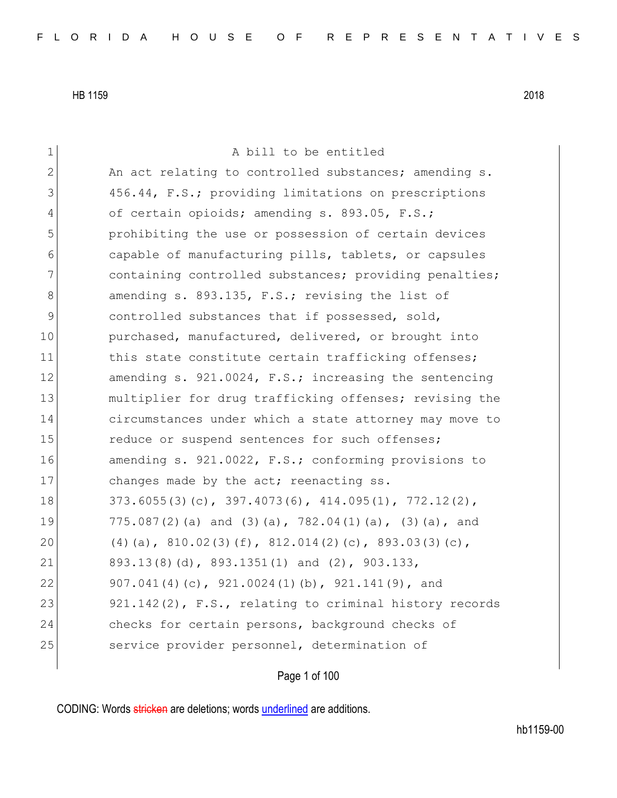| 1           | A bill to be entitled                                           |
|-------------|-----------------------------------------------------------------|
| 2           | An act relating to controlled substances; amending s.           |
| 3           | 456.44, F.S.; providing limitations on prescriptions            |
| 4           | of certain opioids; amending s. 893.05, F.S.;                   |
| 5           | prohibiting the use or possession of certain devices            |
| 6           | capable of manufacturing pills, tablets, or capsules            |
| 7           | containing controlled substances; providing penalties;          |
| 8           | amending s. 893.135, F.S.; revising the list of                 |
| $\mathsf 9$ | controlled substances that if possessed, sold,                  |
| 10          | purchased, manufactured, delivered, or brought into             |
| 11          | this state constitute certain trafficking offenses;             |
| 12          | amending $s. 921.0024$ , $F.S.;$ increasing the sentencing      |
| 13          | multiplier for drug trafficking offenses; revising the          |
| 14          | circumstances under which a state attorney may move to          |
| 15          | reduce or suspend sentences for such offenses;                  |
| 16          | amending s. 921.0022, F.S.; conforming provisions to            |
| 17          | changes made by the act; reenacting ss.                         |
| 18          | $373.6055(3)(c)$ , $397.4073(6)$ , $414.095(1)$ , $772.12(2)$ , |
| 19          | 775.087(2)(a) and (3)(a), 782.04(1)(a), (3)(a), and             |
| 20          | (4) (a), $810.02(3)$ (f), $812.014(2)$ (c), $893.03(3)$ (c),    |
| 21          | 893.13(8)(d), 893.1351(1) and (2), 903.133,                     |
| 22          | 907.041(4)(c), 921.0024(1)(b), 921.141(9), and                  |
| 23          | 921.142(2), F.S., relating to criminal history records          |
| 24          | checks for certain persons, background checks of                |
| 25          | service provider personnel, determination of                    |
|             |                                                                 |

Page 1 of 100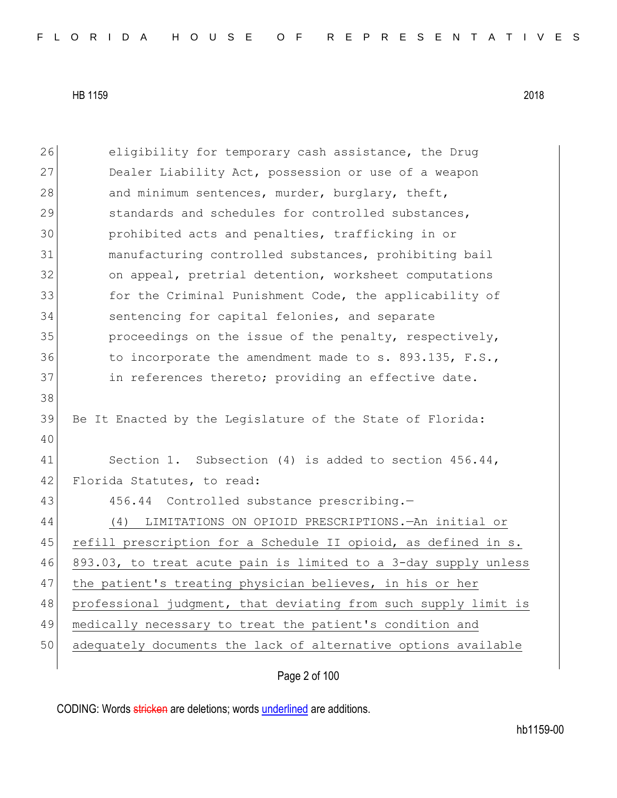38

40

26 eligibility for temporary cash assistance, the Drug 27 Dealer Liability Act, possession or use of a weapon 28 and minimum sentences, murder, burglary, theft, 29 standards and schedules for controlled substances, 30 prohibited acts and penalties, trafficking in or 31 manufacturing controlled substances, prohibiting bail 32 on appeal, pretrial detention, worksheet computations 33 for the Criminal Punishment Code, the applicability of 34 sentencing for capital felonies, and separate 35 proceedings on the issue of the penalty, respectively, 36 to incorporate the amendment made to s. 893.135, F.S., 37 in references thereto; providing an effective date. 39 Be It Enacted by the Legislature of the State of Florida: 41 Section 1. Subsection (4) is added to section 456.44, 42 Florida Statutes, to read: 43 456.44 Controlled substance prescribing.-44 (4) LIMITATIONS ON OPIOID PRESCRIPTIONS.—An initial or 45 refill prescription for a Schedule II opioid, as defined in s. 46 893.03, to treat acute pain is limited to a 3-day supply unless 47 the patient's treating physician believes, in his or her 48 professional judgment, that deviating from such supply limit is 49 medically necessary to treat the patient's condition and

50 adequately documents the lack of alternative options available

Page 2 of 100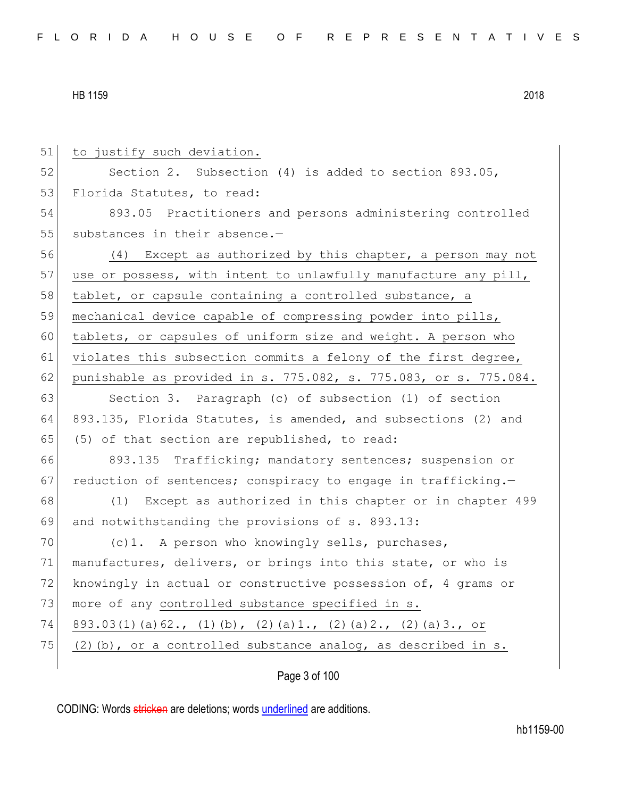| 51 | to justify such deviation.                                           |
|----|----------------------------------------------------------------------|
| 52 | Section 2. Subsection $(4)$ is added to section 893.05,              |
| 53 | Florida Statutes, to read:                                           |
| 54 | 893.05 Practitioners and persons administering controlled            |
| 55 | substances in their absence.-                                        |
| 56 | (4) Except as authorized by this chapter, a person may not           |
| 57 | use or possess, with intent to unlawfully manufacture any pill,      |
| 58 | tablet, or capsule containing a controlled substance, a              |
| 59 | mechanical device capable of compressing powder into pills,          |
| 60 | tablets, or capsules of uniform size and weight. A person who        |
| 61 | violates this subsection commits a felony of the first degree,       |
| 62 | punishable as provided in s. 775.082, s. 775.083, or s. 775.084.     |
| 63 | Section 3. Paragraph (c) of subsection (1) of section                |
| 64 | 893.135, Florida Statutes, is amended, and subsections (2) and       |
| 65 | (5) of that section are republished, to read:                        |
| 66 | 893.135 Trafficking; mandatory sentences; suspension or              |
| 67 | reduction of sentences; conspiracy to engage in trafficking.-        |
| 68 | (1) Except as authorized in this chapter or in chapter 499           |
| 69 | and notwithstanding the provisions of s. 893.13:                     |
| 70 | (c) 1. A person who knowingly sells, purchases,                      |
| 71 | manufactures, delivers, or brings into this state, or who is         |
| 72 | knowingly in actual or constructive possession of, 4 grams or        |
| 73 | more of any controlled substance specified in s.                     |
| 74 | $893.03(1)$ (a) 62., (1) (b), (2) (a) 1., (2) (a) 2., (2) (a) 3., or |
| 75 | $(2)$ (b), or a controlled substance analog, as described in s.      |
|    | Page 3 of 100                                                        |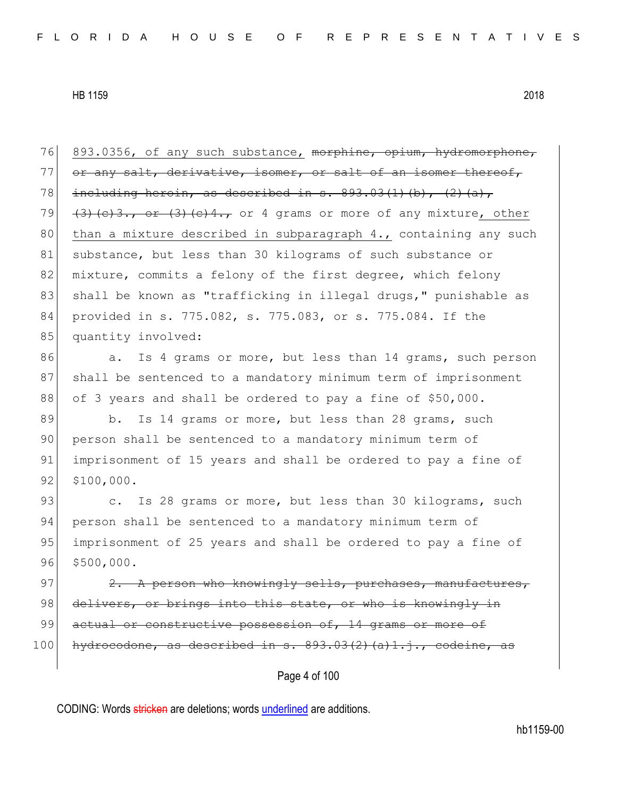76 893.0356, of any such substance, morphine, opium, hydromorphone, 77 or any salt, derivative, isomer, or salt of an isomer thereof, 78 including heroin, as described in s.  $893.03(1)(b)$ ,  $(2)(a)$ , 79  $(3)$  (c)3., or  $(3)$  (c)4., or 4 grams or more of any mixture, other 80 than a mixture described in subparagraph  $4.$ , containing any such 81 | substance, but less than 30 kilograms of such substance or 82 mixture, commits a felony of the first degree, which felony 83 shall be known as "trafficking in illegal drugs," punishable as 84 provided in s. 775.082, s. 775.083, or s. 775.084. If the 85 quantity involved:

86 a. Is 4 grams or more, but less than 14 grams, such person 87 shall be sentenced to a mandatory minimum term of imprisonment 88 of 3 years and shall be ordered to pay a fine of \$50,000.

89 b. Is 14 grams or more, but less than 28 grams, such 90 person shall be sentenced to a mandatory minimum term of 91 imprisonment of 15 years and shall be ordered to pay a fine of 92 \$100,000.

93 c. Is 28 grams or more, but less than 30 kilograms, such 94 person shall be sentenced to a mandatory minimum term of 95 imprisonment of 25 years and shall be ordered to pay a fine of 96 \$500,000.

97  $\vert$  2. A person who knowingly sells, purchases, manufactures, 98 delivers, or brings into this state, or who is knowingly in 99 actual or constructive possession of, 14 grams or more of  $100$  hydrocodone, as described in s.  $893.03(2)(a)1.$ j., codeine, as

Page 4 of 100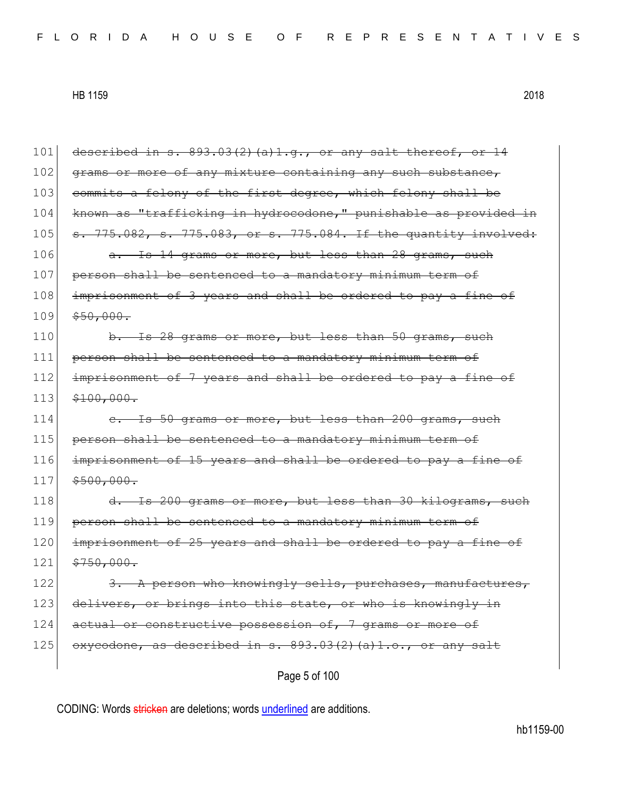Page 5 of 100 101 described in s.  $893.03(2)$  (a)1.g., or any salt thereof, or 14 102 grams or more of any mixture containing any such substance, 103 commits a felony of the first degree, which felony shall be 104 known as "trafficking in hydrocodone," punishable as provided in 105 s. 775.082, s. 775.083, or s. 775.084. If the quantity involved: 106 a. Is 14 grams or more, but less than 28 grams, such 107 person shall be sentenced to a mandatory minimum term of 108 imprisonment of 3 years and shall be ordered to pay a fine of  $109$   $$50,000.$  $110$  b. Is 28 grams or more, but less than 50 grams, such 111 person shall be sentenced to a mandatory minimum term of 112 imprisonment of 7 years and shall be ordered to pay a fine of  $113$   $$100,000.$ 114 c. Is 50 grams or more, but less than 200 grams, such 115 person shall be sentenced to a mandatory minimum term of 116 imprisonment of 15 years and shall be ordered to pay a fine of  $117$   $$500,000.$ 118 d. Is 200 grams or more, but less than 30 kilograms, such 119 person shall be sentenced to a mandatory minimum term of 120 imprisonment of 25 years and shall be ordered to pay a fine of  $121 \mid$  \$750,000. 122  $\left| \right|$  3. A person who knowingly sells, purchases, manufactures, 123 delivers, or brings into this state, or who is knowingly in 124 actual or constructive possession of, 7 grams or more of 125 oxycodone, as described in s.  $893.03(2)$  (a)1.o., or any salt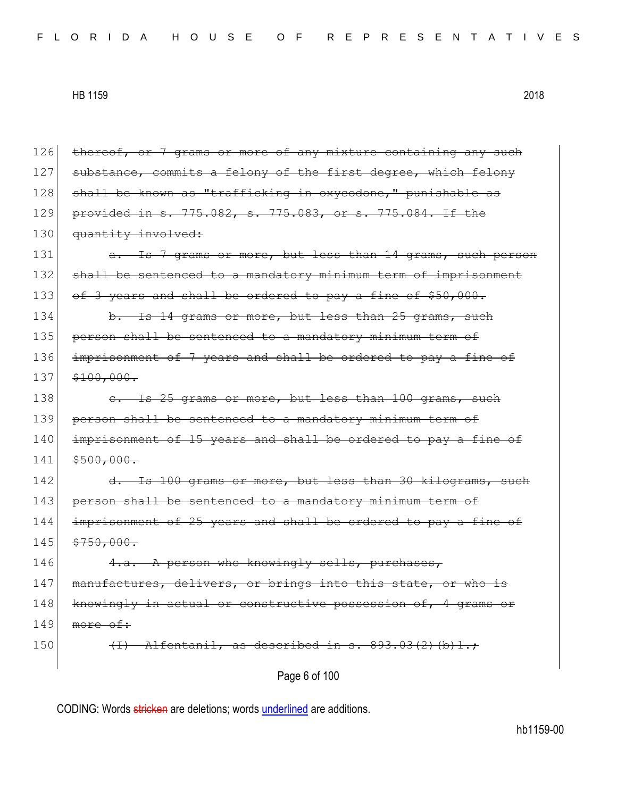| 126 | thereof, or 7 grams or more of any mixture containing any such |
|-----|----------------------------------------------------------------|
| 127 | substance, commits a felony of the first degree, which felony  |
| 128 | shall be known as "trafficking in oxycodone," punishable as    |
| 129 | provided in s. 775.082, s. 775.083, or s. 775.084. If the      |
| 130 | quantity involved:                                             |
| 131 | a. Is 7 grams or more, but less than 14 grams, such person     |
| 132 | shall be sentenced to a mandatory minimum term of imprisonment |
| 133 | of 3 years and shall be ordered to pay a fine of \$50,000.     |
| 134 | b. Is 14 grams or more, but less than 25 grams, such           |
| 135 | person shall be sentenced to a mandatory minimum term of       |
| 136 | imprisonment of 7 years and shall be ordered to pay a fine of  |
| 137 | \$100,000.                                                     |
| 138 | e. Is 25 grams or more, but less than 100 grams, such          |
| 139 | person shall be sentenced to a mandatory minimum term of       |
| 140 | imprisonment of 15 years and shall be ordered to pay a fine of |
| 141 | \$500,000.                                                     |
| 142 | d. Is 100 grams or more, but less than 30 kilograms, such      |
| 143 | person shall be sentenced to a mandatory minimum term of       |
| 144 | imprisonment of 25 years and shall be ordered to pay a fine of |
| 145 | \$750,000.                                                     |
| 146 | 4.a. A person who knowingly sells, purchases,                  |
| 147 | manufactures, delivers, or brings into this state, or who is   |
| 148 | knowingly in actual or constructive possession of, 4 grams or  |
| 149 | more of:                                                       |
| 150 | Alfentanil, as described in s. 893.03(2)(b)1.;                 |
|     | Page 6 of 100                                                  |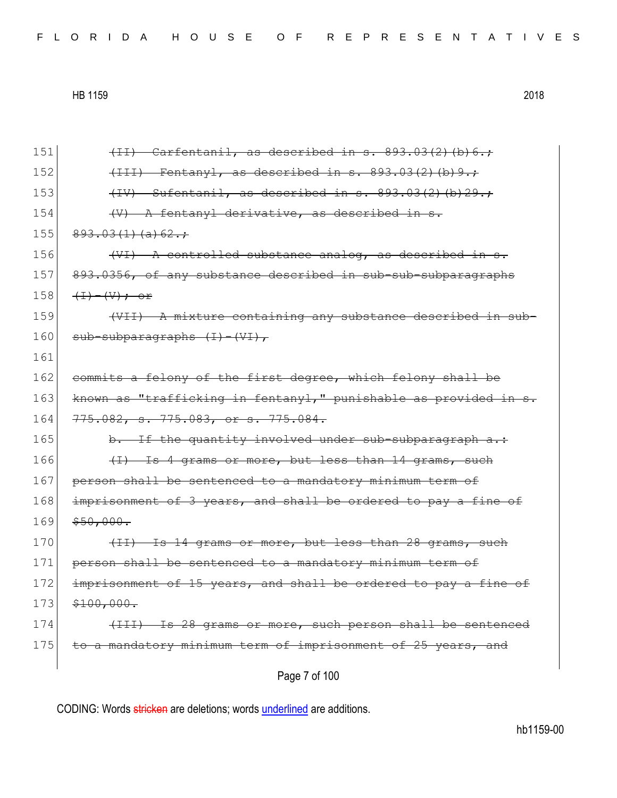Page 7 of 100 151  $\left\{\text{II}\right\}$  Carfentanil, as described in s. 893.03(2)(b)6.; 152  $(152)$   $(111)$  Fentanyl, as described in s. 893.03(2)(b)9.; 153  $(IV)$  Sufentanil, as described in s.  $893.03(2)(b)29.$ ; 154  $\left\langle V\right\rangle$  A fentanyl derivative, as described in s.  $155 \mid 893.03(1)(a)62.$ ; 156  $($   $($ VI $)$   $\Lambda$  controlled substance analog, as described in s. 157 893.0356, of any substance described in sub-sub-subparagraphs 158  $(\text{I}-\text{I})-(\text{V})$ ; or 159 (VII) A mixture containing any substance described in sub- $160$  sub-subparagraphs  $(I) - (VI)$ , 161 162 commits a felony of the first degree, which felony shall be 163 known as "trafficking in fentanyl," punishable as provided in s. 164 775.082, s. 775.083, or s. 775.084.  $165$  b. If the quantity involved under sub-subparagraph a.: 166  $(1)$  Is 4 grams or more, but less than 14 grams, such 167 person shall be sentenced to a mandatory minimum term of 168 imprisonment of 3 years, and shall be ordered to pay a fine of  $169$   $$50,000.$  $170$  (II) Is 14 grams or more, but less than 28 grams, such 171 person shall be sentenced to a mandatory minimum term of 172 imprisonment of 15 years, and shall be ordered to pay a fine of  $173$   $$100,000.$ 174 (III) Is 28 grams or more, such person shall be sentenced 175 to a mandatory minimum term of imprisonment of 25 years, and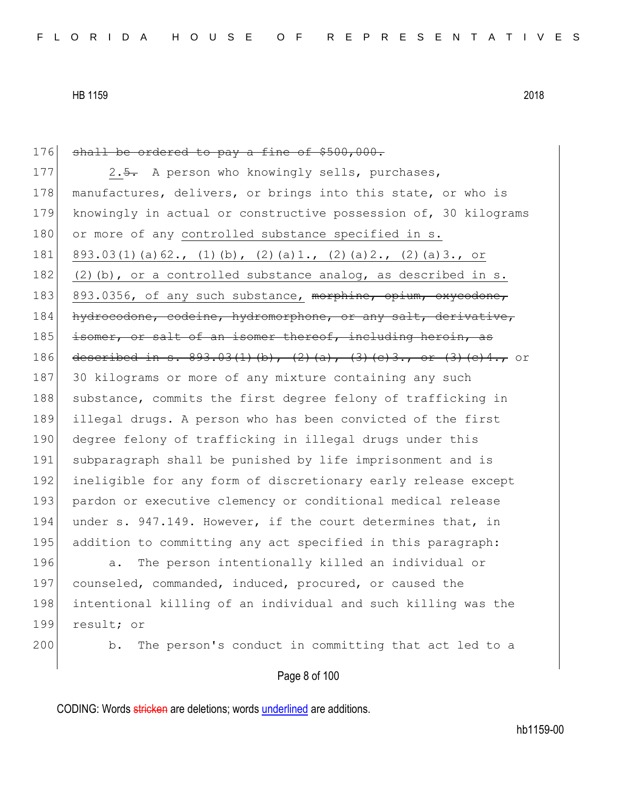176 shall be ordered to pay a fine of \$500,000. 177 2.<del>5.</del> A person who knowingly sells, purchases, 178 manufactures, delivers, or brings into this state, or who is 179 knowingly in actual or constructive possession of, 30 kilograms 180 or more of any controlled substance specified in s. 181 893.03(1)(a)62., (1)(b), (2)(a)1., (2)(a)2., (2)(a)3., or 182 (2)(b), or a controlled substance analog, as described in s. 183 893.0356, of any such substance, morphine, opium, oxycodone, 184 hydrocodone, codeine, hydromorphone, or any salt, derivative, 185 isomer, or salt of an isomer thereof, including heroin, as 186 described in s. 893.03(1)(b), (2)(a), (3)(c)3., or (3)(c)4., or 187 30 kilograms or more of any mixture containing any such 188 substance, commits the first degree felony of trafficking in 189 illegal drugs. A person who has been convicted of the first 190 degree felony of trafficking in illegal drugs under this 191 subparagraph shall be punished by life imprisonment and is 192 ineligible for any form of discretionary early release except 193 pardon or executive clemency or conditional medical release 194 under s. 947.149. However, if the court determines that, in 195 addition to committing any act specified in this paragraph: 196 a. The person intentionally killed an individual or 197 counseled, commanded, induced, procured, or caused the 198 intentional killing of an individual and such killing was the 199 result; or 200 b. The person's conduct in committing that act led to a

# Page 8 of 100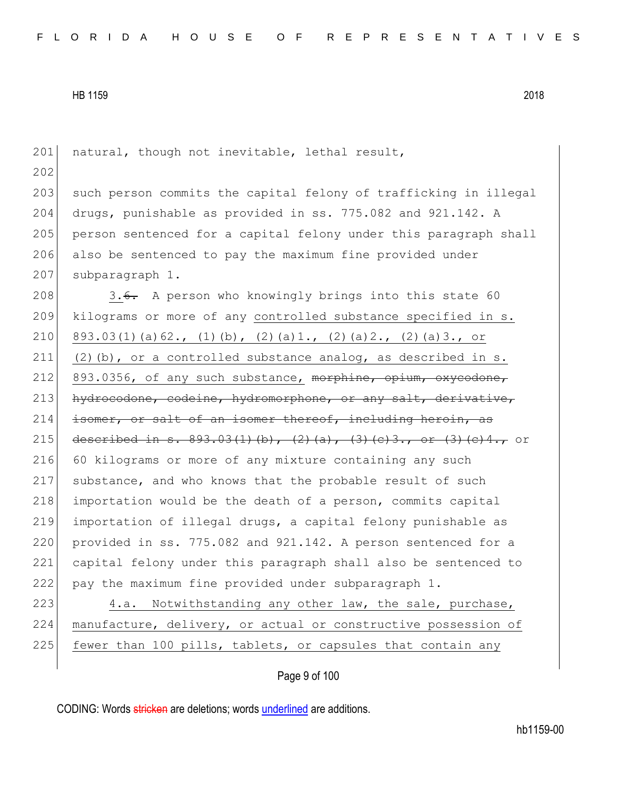201 natural, though not inevitable, lethal result, 202 203 such person commits the capital felony of trafficking in illegal 204 drugs, punishable as provided in ss. 775.082 and 921.142. A 205 person sentenced for a capital felony under this paragraph shall 206 also be sentenced to pay the maximum fine provided under 207 subparagraph 1. 208 3.6. A person who knowingly brings into this state 60 209 kilograms or more of any controlled substance specified in s. 210 893.03(1)(a)62., (1)(b), (2)(a)1., (2)(a)2., (2)(a)3., or 211 (2)(b), or a controlled substance analog, as described in s. 212 893.0356, of any such substance,  $m$ orphine, opium, oxycodone, 213 hydrocodone, codeine, hydromorphone, or any salt, derivative,  $214$  isomer, or salt of an isomer thereof, including heroin, as 215 described in s.  $893.03(1)(b)$ ,  $(2)(a)$ ,  $(3)(e)3$ , or  $(3)(e)4$ , or 216 60 kilograms or more of any mixture containing any such 217 substance, and who knows that the probable result of such  $218$  importation would be the death of a person, commits capital 219 importation of illegal drugs, a capital felony punishable as 220 provided in ss.  $775.082$  and  $921.142$ . A person sentenced for a 221 capital felony under this paragraph shall also be sentenced to 222 pay the maximum fine provided under subparagraph 1. 223 4.a. Notwithstanding any other law, the sale, purchase, 224 manufacture, delivery, or actual or constructive possession of

225 fewer than 100 pills, tablets, or capsules that contain any

Page 9 of 100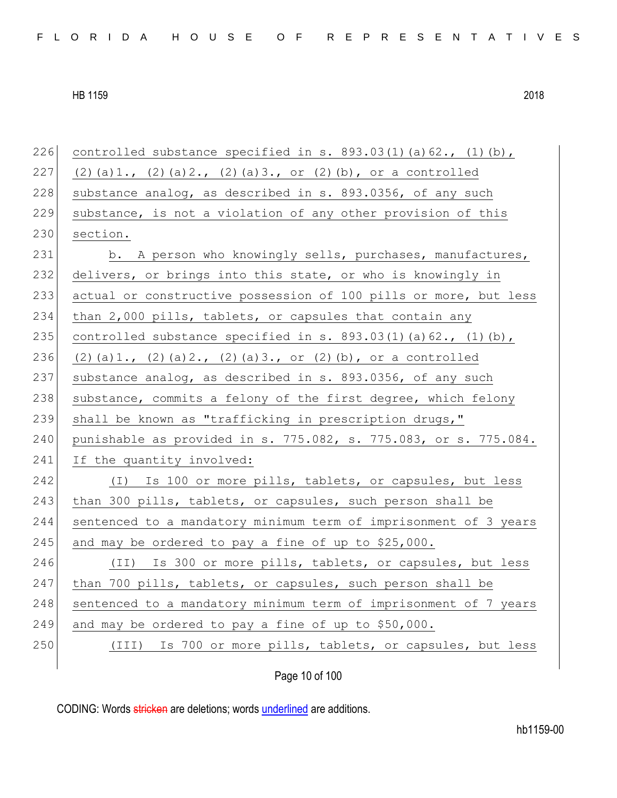| 226 | controlled substance specified in s. $893.03(1)(a)62.$ , $(1)(b)$ ,     |
|-----|-------------------------------------------------------------------------|
| 227 | $(2)$ (a) 1., $(2)$ (a) 2., $(2)$ (a) 3., or $(2)$ (b), or a controlled |
| 228 | substance analog, as described in s. 893.0356, of any such              |
| 229 | substance, is not a violation of any other provision of this            |
| 230 | section.                                                                |
| 231 | b. A person who knowingly sells, purchases, manufactures,               |
| 232 | delivers, or brings into this state, or who is knowingly in             |
| 233 | actual or constructive possession of 100 pills or more, but less        |
| 234 | than 2,000 pills, tablets, or capsules that contain any                 |
| 235 | controlled substance specified in s. $893.03(1)$ (a) $62.$ , (1) (b),   |
| 236 | $(2)$ (a) 1., $(2)$ (a) 2., $(2)$ (a) 3., or $(2)$ (b), or a controlled |
| 237 | substance analog, as described in s. 893.0356, of any such              |
| 238 | substance, commits a felony of the first degree, which felony           |
| 239 | shall be known as "trafficking in prescription drugs,"                  |
| 240 | punishable as provided in s. 775.082, s. 775.083, or s. 775.084.        |
| 241 | If the quantity involved:                                               |
| 242 | (I) Is 100 or more pills, tablets, or capsules, but less                |
| 243 | than 300 pills, tablets, or capsules, such person shall be              |
| 244 | sentenced to a mandatory minimum term of imprisonment of 3 years        |
| 245 | and may be ordered to pay a fine of up to \$25,000.                     |
| 246 | (II) Is 300 or more pills, tablets, or capsules, but less               |
| 247 | than 700 pills, tablets, or capsules, such person shall be              |
| 248 | sentenced to a mandatory minimum term of imprisonment of 7 years        |
| 249 | and may be ordered to pay a fine of up to \$50,000.                     |
| 250 | Is 700 or more pills, tablets, or capsules, but less<br>(III)           |
|     |                                                                         |

Page 10 of 100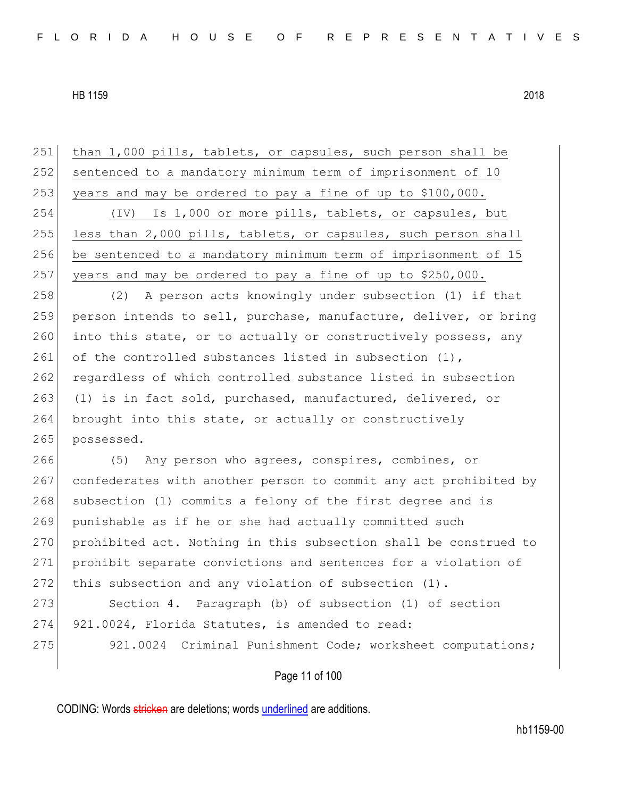Page 11 of 100 251 than 1,000 pills, tablets, or capsules, such person shall be 252 sentenced to a mandatory minimum term of imprisonment of 10 253 years and may be ordered to pay a fine of up to \$100,000. 254 (IV) Is 1,000 or more pills, tablets, or capsules, but 255 less than 2,000 pills, tablets, or capsules, such person shall 256 be sentenced to a mandatory minimum term of imprisonment of 15 257 years and may be ordered to pay a fine of up to  $$250,000$ . 258 (2) A person acts knowingly under subsection (1) if that 259 person intends to sell, purchase, manufacture, deliver, or bring 260 into this state, or to actually or constructively possess, any 261 of the controlled substances listed in subsection  $(1)$ , 262 regardless of which controlled substance listed in subsection 263 (1) is in fact sold, purchased, manufactured, delivered, or 264 brought into this state, or actually or constructively 265 possessed. 266 (5) Any person who agrees, conspires, combines, or 267 confederates with another person to commit any act prohibited by 268 subsection (1) commits a felony of the first degree and is 269 punishable as if he or she had actually committed such 270 prohibited act. Nothing in this subsection shall be construed to 271 prohibit separate convictions and sentences for a violation of 272 this subsection and any violation of subsection (1). 273 Section 4. Paragraph (b) of subsection (1) of section 274 921.0024, Florida Statutes, is amended to read: 275 921.0024 Criminal Punishment Code; worksheet computations;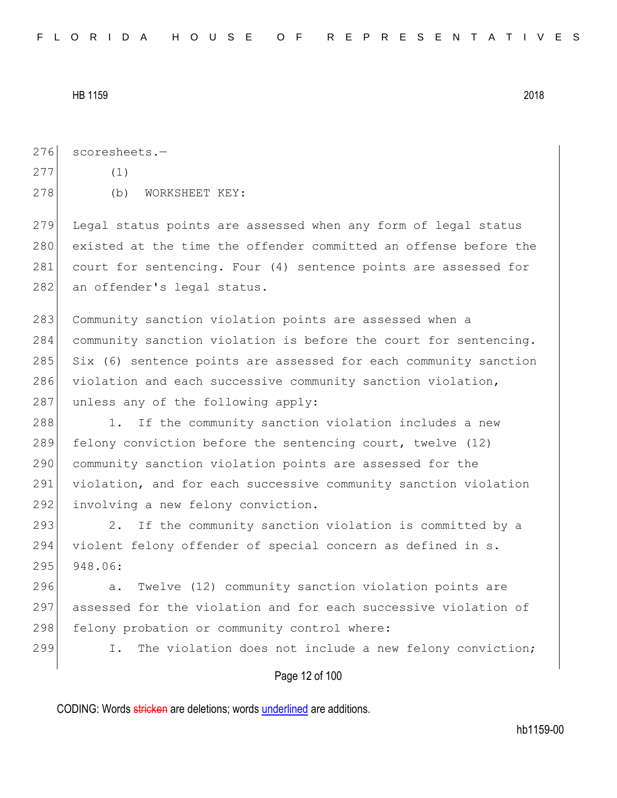276 scoresheets.-

 $277$  (1)

278 (b) WORKSHEET KEY:

279 Legal status points are assessed when any form of legal status 280 existed at the time the offender committed an offense before the 281 court for sentencing. Four (4) sentence points are assessed for 282 an offender's legal status.

283 Community sanction violation points are assessed when a 284 community sanction violation is before the court for sentencing.  $285$  Six (6) sentence points are assessed for each community sanction 286 violation and each successive community sanction violation, 287 unless any of the following apply:

288 1. If the community sanction violation includes a new 289 felony conviction before the sentencing court, twelve  $(12)$ 290 community sanction violation points are assessed for the 291 violation, and for each successive community sanction violation 292 involving a new felony conviction.

293 2012. If the community sanction violation is committed by a 294 violent felony offender of special concern as defined in s. 295 948.06:

296 a. Twelve (12) community sanction violation points are 297 assessed for the violation and for each successive violation of 298 felony probation or community control where:

299 I. The violation does not include a new felony conviction;

## Page 12 of 100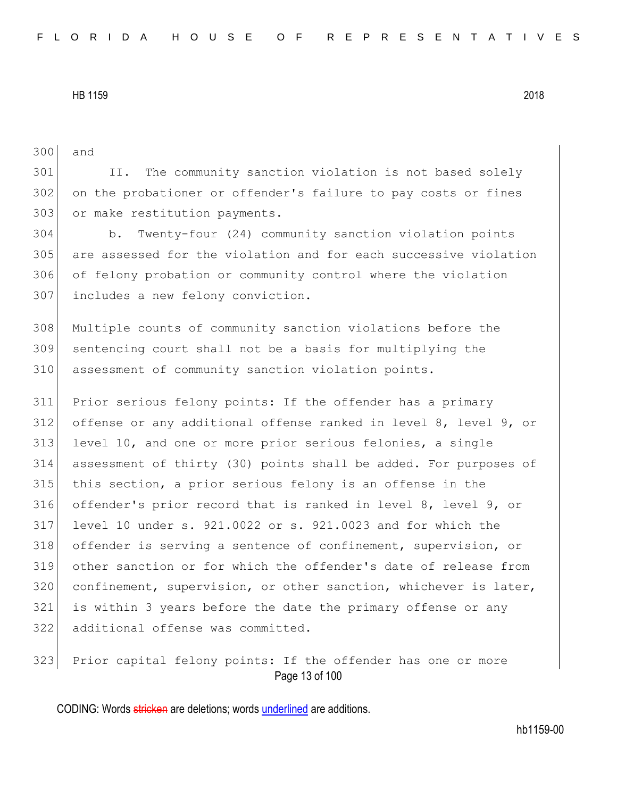and

 II. The community sanction violation is not based solely on the probationer or offender's failure to pay costs or fines 303 or make restitution payments. b. Twenty-four (24) community sanction violation points are assessed for the violation and for each successive violation of felony probation or community control where the violation includes a new felony conviction. Multiple counts of community sanction violations before the sentencing court shall not be a basis for multiplying the assessment of community sanction violation points. Prior serious felony points: If the offender has a primary offense or any additional offense ranked in level 8, level 9, or level 10, and one or more prior serious felonies, a single assessment of thirty (30) points shall be added. For purposes of this section, a prior serious felony is an offense in the offender's prior record that is ranked in level 8, level 9, or level 10 under s. 921.0022 or s. 921.0023 and for which the offender is serving a sentence of confinement, supervision, or other sanction or for which the offender's date of release from confinement, supervision, or other sanction, whichever is later, is within 3 years before the date the primary offense or any additional offense was committed. 323 Prior capital felony points: If the offender has one or more

Page 13 of 100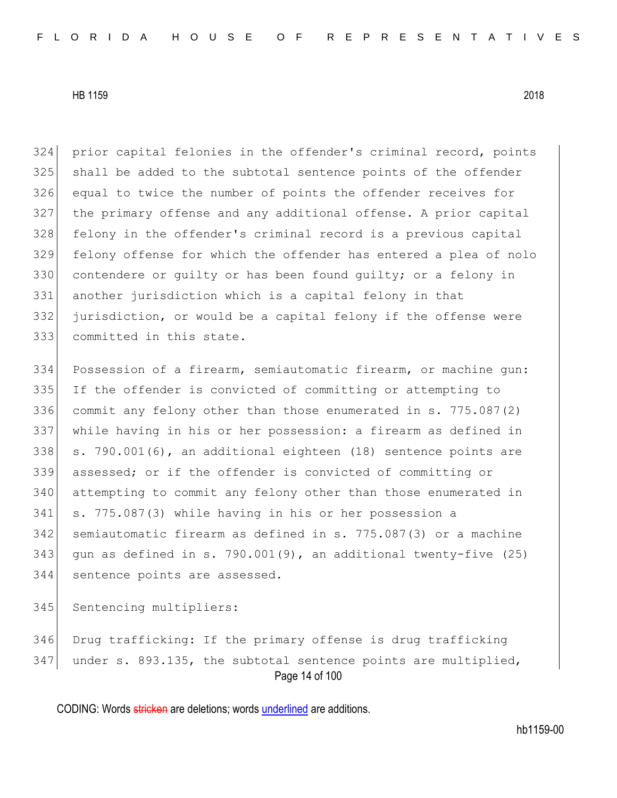prior capital felonies in the offender's criminal record, points shall be added to the subtotal sentence points of the offender equal to twice the number of points the offender receives for the primary offense and any additional offense. A prior capital felony in the offender's criminal record is a previous capital felony offense for which the offender has entered a plea of nolo 330 contendere or quilty or has been found quilty; or a felony in another jurisdiction which is a capital felony in that jurisdiction, or would be a capital felony if the offense were committed in this state.

 Possession of a firearm, semiautomatic firearm, or machine gun: If the offender is convicted of committing or attempting to commit any felony other than those enumerated in s. 775.087(2) while having in his or her possession: a firearm as defined in 338 s. 790.001 $(6)$ , an additional eighteen  $(18)$  sentence points are assessed; or if the offender is convicted of committing or attempting to commit any felony other than those enumerated in s. 775.087(3) while having in his or her possession a semiautomatic firearm as defined in s. 775.087(3) or a machine 343 gun as defined in s. 790.001(9), an additional twenty-five (25) sentence points are assessed.

345 Sentencing multipliers:

Page 14 of 100 Drug trafficking: If the primary offense is drug trafficking under s. 893.135, the subtotal sentence points are multiplied,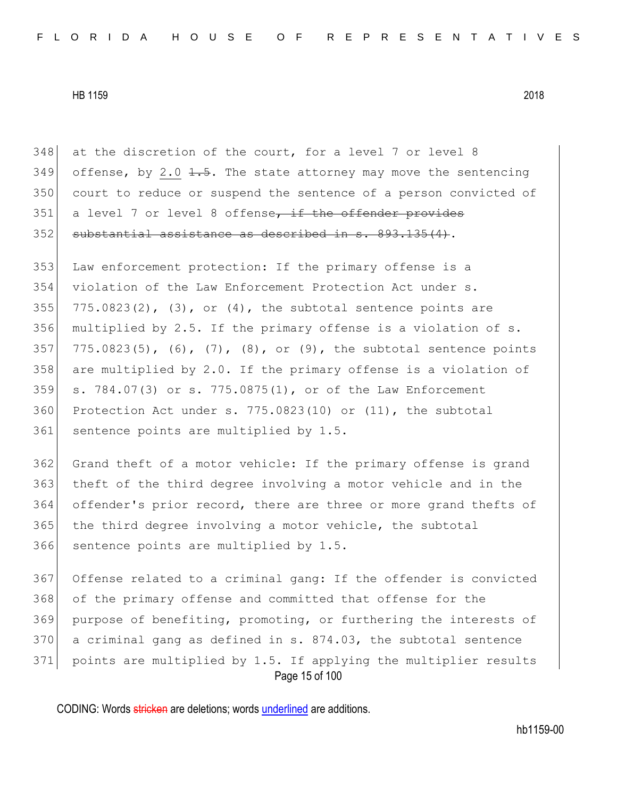348 at the discretion of the court, for a level 7 or level 8 349 offense, by 2.0  $\frac{1}{1.5}$ . The state attorney may move the sentencing 350 court to reduce or suspend the sentence of a person convicted of  $351$  a level 7 or level 8 offense, if the offender provides 352 substantial assistance as described in s. 893.135(4).

353 Law enforcement protection: If the primary offense is a 354 violation of the Law Enforcement Protection Act under s. 355 775.0823(2), (3), or  $(4)$ , the subtotal sentence points are 356 multiplied by 2.5. If the primary offense is a violation of s. 357 775.0823(5), (6), (7), (8), or (9), the subtotal sentence points 358 are multiplied by 2.0. If the primary offense is a violation of 359 s. 784.07(3) or s. 775.0875(1), or of the Law Enforcement 360 Protection Act under s.  $775.0823(10)$  or  $(11)$ , the subtotal 361 sentence points are multiplied by 1.5.

 Grand theft of a motor vehicle: If the primary offense is grand theft of the third degree involving a motor vehicle and in the offender's prior record, there are three or more grand thefts of the third degree involving a motor vehicle, the subtotal 366 sentence points are multiplied by 1.5.

Page 15 of 100 Offense related to a criminal gang: If the offender is convicted of the primary offense and committed that offense for the purpose of benefiting, promoting, or furthering the interests of a criminal gang as defined in s.  $874.03$ , the subtotal sentence points are multiplied by 1.5. If applying the multiplier results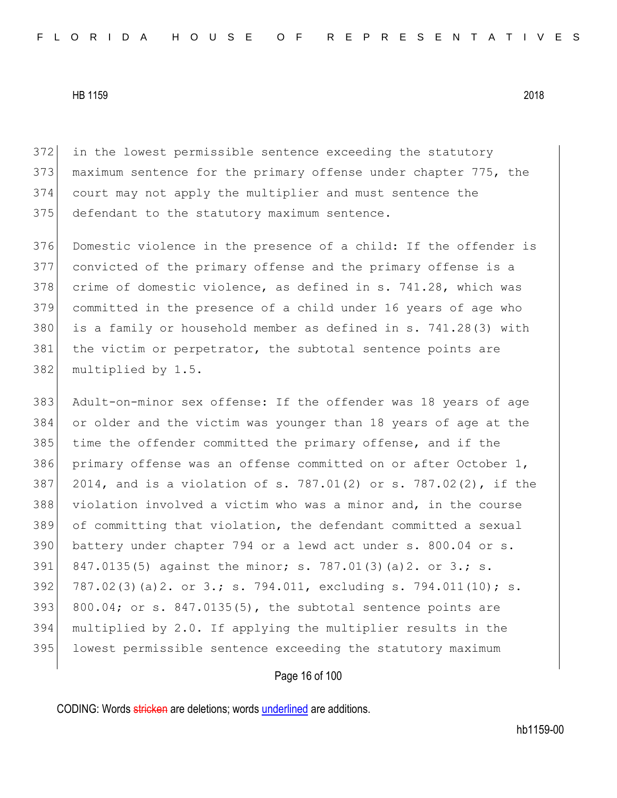in the lowest permissible sentence exceeding the statutory maximum sentence for the primary offense under chapter 775, the court may not apply the multiplier and must sentence the 375 defendant to the statutory maximum sentence.

376 Domestic violence in the presence of a child: If the offender is 377 convicted of the primary offense and the primary offense is a 378 crime of domestic violence, as defined in s. 741.28, which was 379 committed in the presence of a child under 16 years of age who 380 is a family or household member as defined in s. 741.28(3) with 381 the victim or perpetrator, the subtotal sentence points are 382 multiplied by 1.5.

383 Adult-on-minor sex offense: If the offender was 18 years of age 384 or older and the victim was younger than 18 years of age at the 385 time the offender committed the primary offense, and if the 386 primary offense was an offense committed on or after October 1, 387 2014, and is a violation of s. 787.01(2) or s. 787.02(2), if the 388 violation involved a victim who was a minor and, in the course 389 of committing that violation, the defendant committed a sexual 390 battery under chapter 794 or a lewd act under s. 800.04 or s. 391 847.0135(5) against the minor; s. 787.01(3)(a)2. or 3.; s. 392 787.02(3)(a) 2. or 3.; s. 794.011, excluding s. 794.011(10); s. 393 800.04; or s.  $847.0135(5)$ , the subtotal sentence points are 394 multiplied by 2.0. If applying the multiplier results in the 395 lowest permissible sentence exceeding the statutory maximum

Page 16 of 100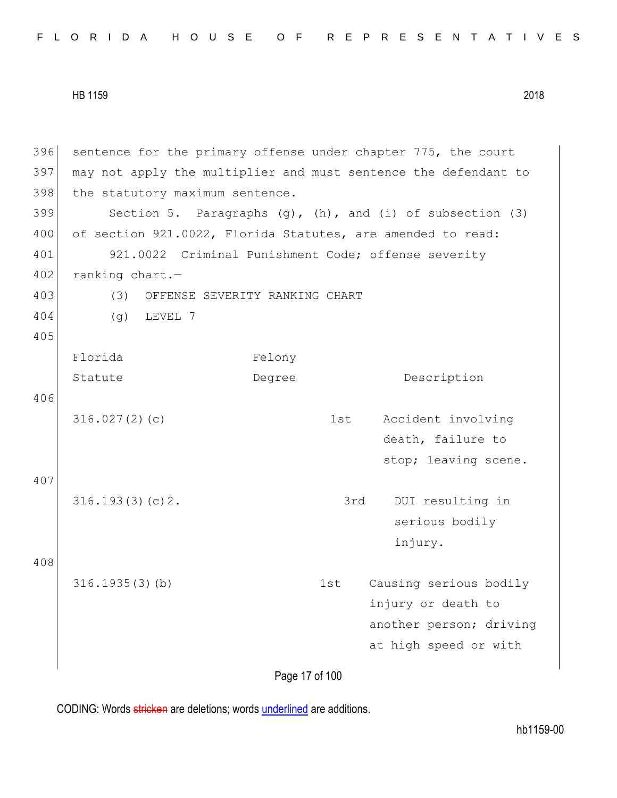|  |  |  |  |  |  |  |  |  |  |  |  |  | FLORIDA HOUSE OF REPRESENTATIVES |  |  |  |  |  |  |  |  |  |  |  |  |  |  |  |  |
|--|--|--|--|--|--|--|--|--|--|--|--|--|----------------------------------|--|--|--|--|--|--|--|--|--|--|--|--|--|--|--|--|
|--|--|--|--|--|--|--|--|--|--|--|--|--|----------------------------------|--|--|--|--|--|--|--|--|--|--|--|--|--|--|--|--|

396 sentence for the primary offense under chapter 775, the court 397 may not apply the multiplier and must sentence the defendant to 398 the statutory maximum sentence. 399 Section 5. Paragraphs  $(g)$ ,  $(h)$ , and  $(i)$  of subsection  $(3)$ 400 of section 921.0022, Florida Statutes, are amended to read: 401 921.0022 Criminal Punishment Code; offense severity 402 ranking chart.-403 (3) OFFENSE SEVERITY RANKING CHART 404 (g) LEVEL 7 405 Florida Statute Felony Degree Description 406 316.027(2)(c) 1st Accident involving death, failure to stop; leaving scene. 407 316.193(3)(c)2. 3rd DUI resulting in serious bodily injury. 408 316.1935(3)(b) 1st Causing serious bodily injury or death to another person; driving at high speed or with

Page 17 of 100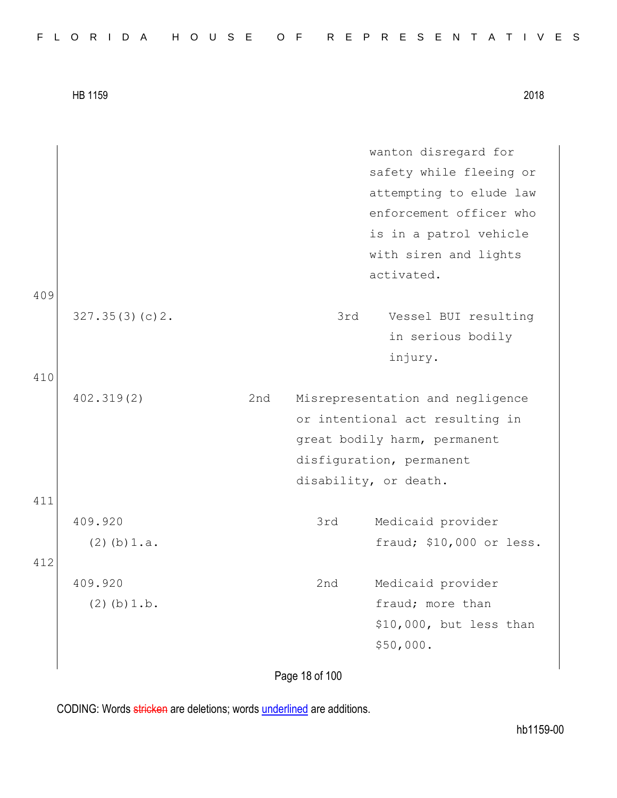|     |                  |     |     | wanton disregard for             |
|-----|------------------|-----|-----|----------------------------------|
|     |                  |     |     | safety while fleeing or          |
|     |                  |     |     | attempting to elude law          |
|     |                  |     |     | enforcement officer who          |
|     |                  |     |     | is in a patrol vehicle           |
|     |                  |     |     | with siren and lights            |
|     |                  |     |     | activated.                       |
| 409 |                  |     |     |                                  |
|     | 327.35(3)(c)2.   |     | 3rd | Vessel BUI resulting             |
|     |                  |     |     | in serious bodily                |
|     |                  |     |     | injury.                          |
| 410 |                  |     |     |                                  |
|     | 402.319(2)       | 2nd |     | Misrepresentation and negligence |
|     |                  |     |     | or intentional act resulting in  |
|     |                  |     |     | great bodily harm, permanent     |
|     |                  |     |     | disfiguration, permanent         |
|     |                  |     |     | disability, or death.            |
| 411 |                  |     |     |                                  |
|     | 409.920          |     | 3rd | Medicaid provider                |
|     | $(2)$ (b) $1.a.$ |     |     | fraud; \$10,000 or less.         |
| 412 |                  |     |     |                                  |
|     | 409.920          |     | 2nd | Medicaid provider                |
|     | $(2)$ (b) $1.b.$ |     |     | fraud; more than                 |
|     |                  |     |     | \$10,000, but less than          |
|     |                  |     |     | \$50,000.                        |
|     |                  |     |     |                                  |

Page 18 of 100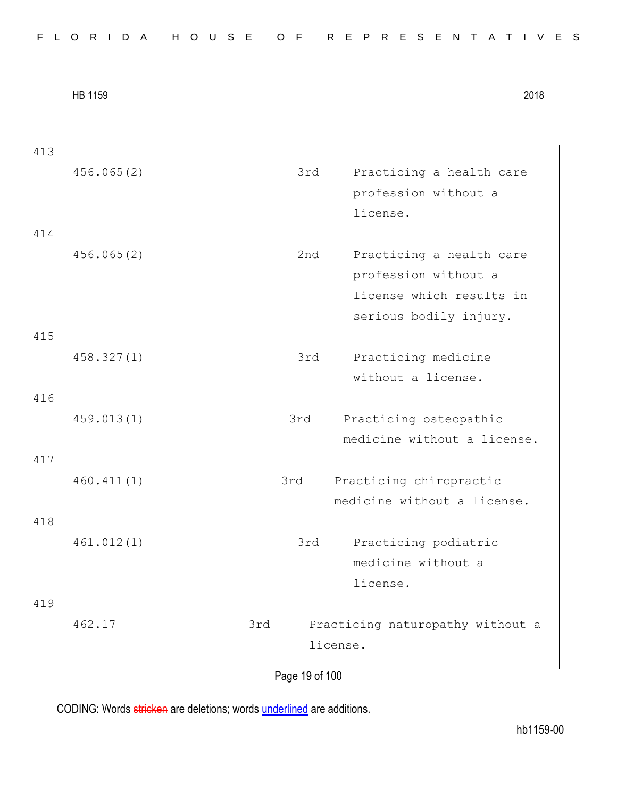Page 19 of 100 413 456.065(2) 3rd Practicing a health care profession without a license. 414 456.065(2) 2nd Practicing a health care profession without a license which results in serious bodily injury. 415 458.327(1) 3rd Practicing medicine without a license. 416 459.013(1) 3rd Practicing osteopathic medicine without a license. 417 460.411(1) 3rd Practicing chiropractic medicine without a license. 418 461.012(1) 3rd Practicing podiatric medicine without a license. 419 462.17 3rd Practicing naturopathy without a license.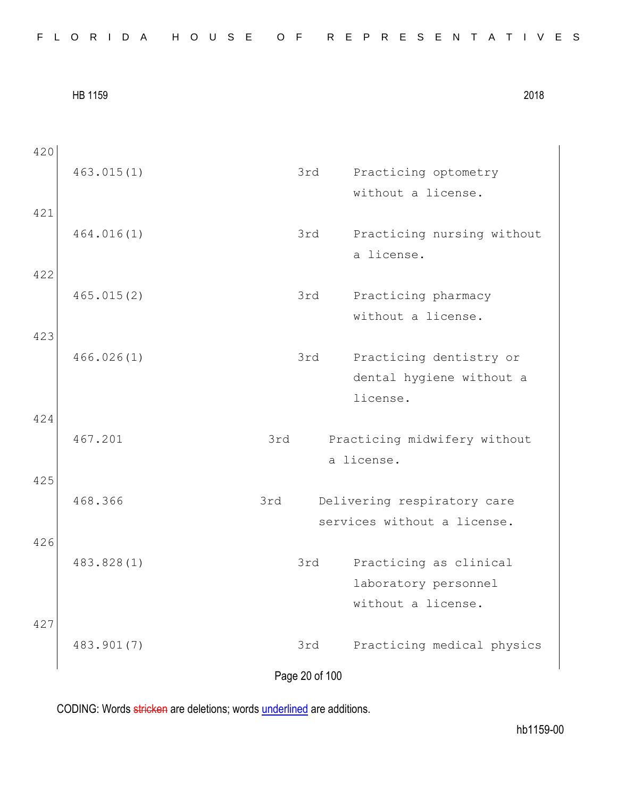| 420        | 463.015(1) | 3rd                   | Practicing optometry<br>without a license.                           |
|------------|------------|-----------------------|----------------------------------------------------------------------|
| 421        | 464.016(1) | 3rd                   | Practicing nursing without<br>a license.                             |
| 422        | 465.015(2) | 3rd                   | Practicing pharmacy<br>without a license.                            |
| 423        | 466.026(1) | 3rd                   | Practicing dentistry or<br>dental hygiene without a<br>license.      |
| 424<br>425 | 467.201    | 3rd                   | Practicing midwifery without<br>a license.                           |
|            | 468.366    | 3rd                   | Delivering respiratory care<br>services without a license.           |
| 426        | 483.828(1) | 3rd                   | Practicing as clinical<br>laboratory personnel<br>without a license. |
| 427        | 483.901(7) | 3rd<br>Page 20 of 100 | Practicing medical physics                                           |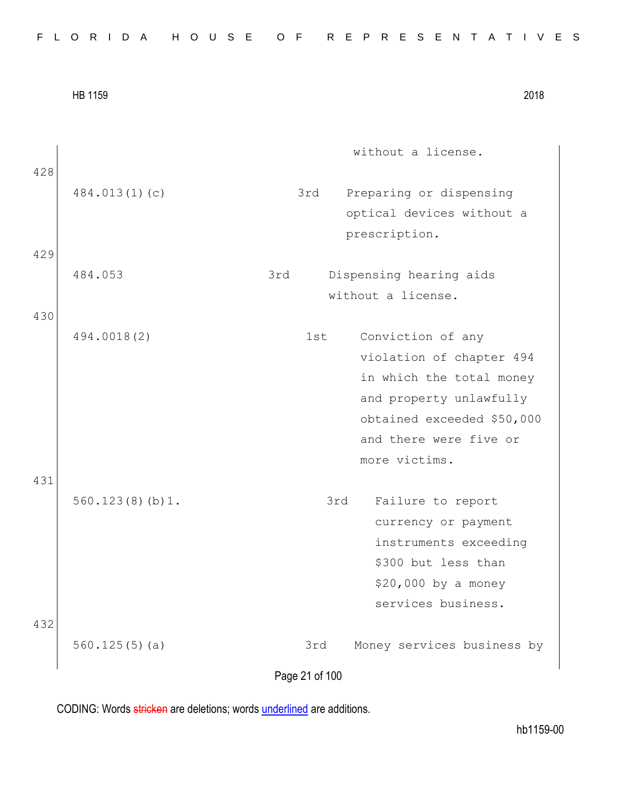|            | HB 1159         |                       | 2018                                                                                                                                                                          |
|------------|-----------------|-----------------------|-------------------------------------------------------------------------------------------------------------------------------------------------------------------------------|
| 428        |                 |                       | without a license.                                                                                                                                                            |
| 429        | 484.013(1)(c)   | 3rd                   | Preparing or dispensing<br>optical devices without a<br>prescription.                                                                                                         |
|            | 484.053         | 3rd                   | Dispensing hearing aids<br>without a license.                                                                                                                                 |
| 430        | 494.0018(2)     | 1st                   | Conviction of any<br>violation of chapter 494<br>in which the total money<br>and property unlawfully<br>obtained exceeded \$50,000<br>and there were five or<br>more victims. |
| 431<br>432 | 560.123(8)(b)1. | 3rd                   | Failure to report<br>currency or payment<br>instruments exceeding<br>\$300 but less than<br>\$20,000 by a money<br>services business.                                         |
|            | 560.125(5)(a)   | 3rd<br>Page 21 of 100 | Money services business by                                                                                                                                                    |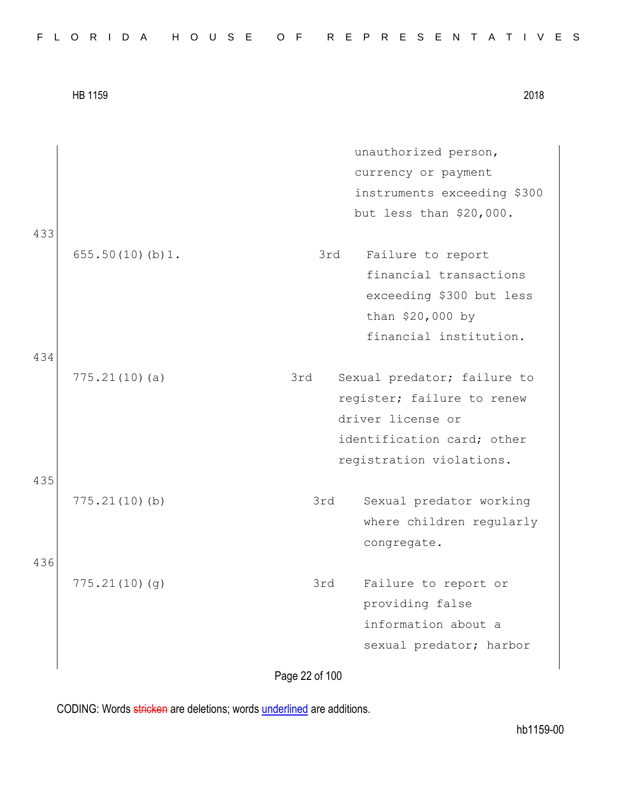|     | HB 1159         |                | 2018                        |
|-----|-----------------|----------------|-----------------------------|
|     |                 |                | unauthorized person,        |
|     |                 |                | currency or payment         |
|     |                 |                | instruments exceeding \$300 |
|     |                 |                | but less than \$20,000.     |
| 433 |                 |                |                             |
|     | 655.50(10)(b)1. | 3rd            | Failure to report           |
|     |                 |                | financial transactions      |
|     |                 |                | exceeding \$300 but less    |
|     |                 |                | than \$20,000 by            |
|     |                 |                | financial institution.      |
| 434 |                 |                |                             |
|     | 775.21(10)(a)   | 3rd            | Sexual predator; failure to |
|     |                 |                | register; failure to renew  |
|     |                 |                | driver license or           |
|     |                 |                | identification card; other  |
|     |                 |                | registration violations.    |
| 435 |                 |                |                             |
|     | 775.21(10)(b)   | 3rd            | Sexual predator working     |
|     |                 |                | where children regularly    |
|     |                 |                | congregate.                 |
| 436 |                 |                |                             |
|     | 775.21(10)(g)   | 3rd            | Failure to report or        |
|     |                 |                | providing false             |
|     |                 |                | information about a         |
|     |                 |                | sexual predator; harbor     |
|     |                 |                |                             |
|     |                 | Page 22 of 100 |                             |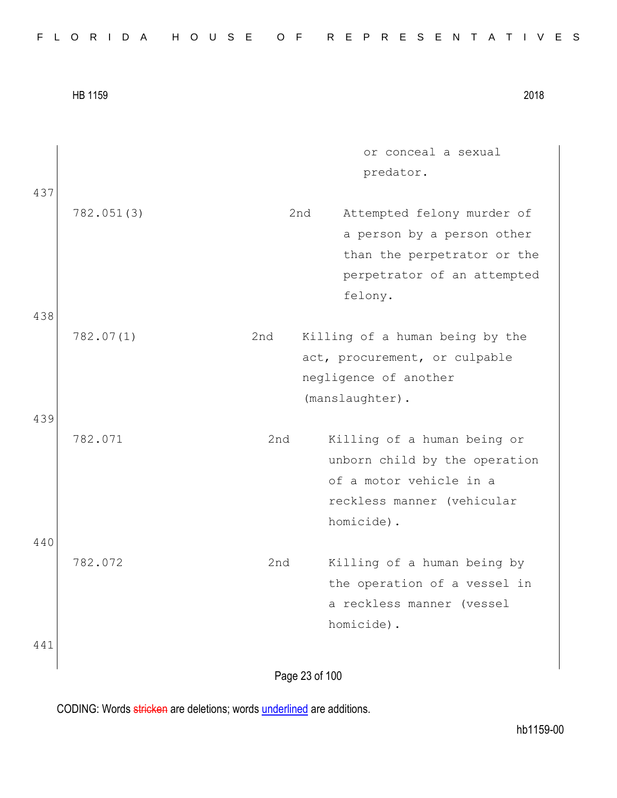|  |  |  |  |  |  |  |  |  |  |  |  |  | FLORIDA HOUSE OF REPRESENTATIVES |  |  |  |  |  |  |  |  |  |  |  |  |  |  |  |  |  |  |  |  |  |
|--|--|--|--|--|--|--|--|--|--|--|--|--|----------------------------------|--|--|--|--|--|--|--|--|--|--|--|--|--|--|--|--|--|--|--|--|--|
|--|--|--|--|--|--|--|--|--|--|--|--|--|----------------------------------|--|--|--|--|--|--|--|--|--|--|--|--|--|--|--|--|--|--|--|--|--|

|     | <b>HB 1159</b> |                | 2018                                                                                                                   |
|-----|----------------|----------------|------------------------------------------------------------------------------------------------------------------------|
|     |                |                | or conceal a sexual<br>predator.                                                                                       |
| 437 | 782.051(3)     | 2nd            | Attempted felony murder of<br>a person by a person other<br>than the perpetrator or the<br>perpetrator of an attempted |
| 438 | 782.07(1)      | 2nd            | felony.<br>Killing of a human being by the                                                                             |
|     |                |                | act, procurement, or culpable<br>negligence of another<br>(manslaughter).                                              |
| 439 | 782.071        | 2nd            | Killing of a human being or<br>unborn child by the operation<br>of a motor vehicle in a                                |
| 440 |                |                | reckless manner (vehicular<br>homicide).                                                                               |
|     | 782.072        | 2nd            | Killing of a human being by<br>the operation of a vessel in<br>a reckless manner (vessel<br>homicide).                 |
| 441 |                | Page 23 of 100 |                                                                                                                        |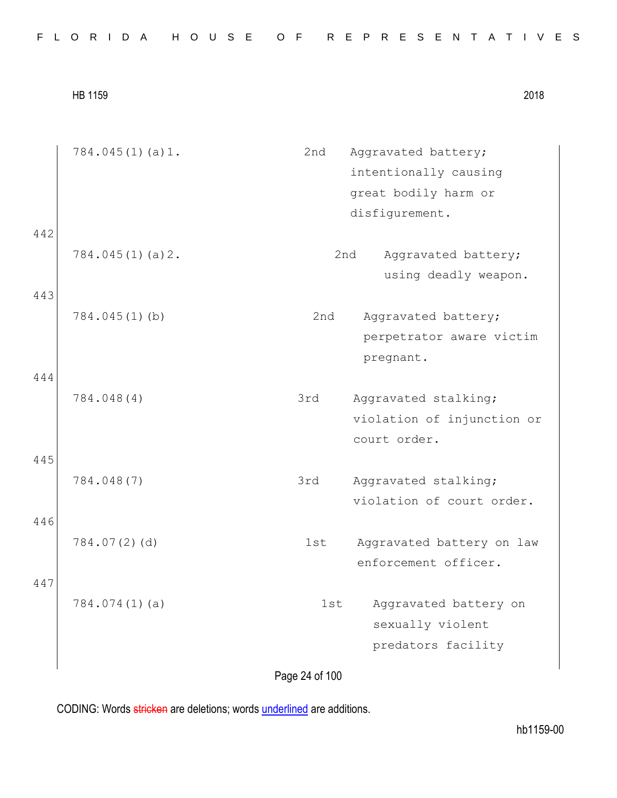|  |  |  |  |  |  |  |  |  |  |  |  |  |  | FLORIDA HOUSE OF REPRESENTATIVES |  |  |  |  |  |  |  |  |  |  |  |  |  |  |  |  |  |  |
|--|--|--|--|--|--|--|--|--|--|--|--|--|--|----------------------------------|--|--|--|--|--|--|--|--|--|--|--|--|--|--|--|--|--|--|
|--|--|--|--|--|--|--|--|--|--|--|--|--|--|----------------------------------|--|--|--|--|--|--|--|--|--|--|--|--|--|--|--|--|--|--|

|            | $784.045(1)$ (a) 1. | 2nd | Aggravated battery;<br>intentionally causing<br>great bodily harm or<br>disfigurement. |
|------------|---------------------|-----|----------------------------------------------------------------------------------------|
| 442<br>443 | 784.045(1)(a)2.     | 2nd | Aggravated battery;<br>using deadly weapon.                                            |
| 444        | 784.045(1)(b)       | 2nd | Aggravated battery;<br>perpetrator aware victim<br>pregnant.                           |
| 445        | 784.048(4)          | 3rd | Aggravated stalking;<br>violation of injunction or<br>court order.                     |
| 446        | 784.048(7)          | 3rd | Aggravated stalking;<br>violation of court order.                                      |
| 447        | 784.07(2)(d)        | 1st | Aggravated battery on law<br>enforcement officer.                                      |
|            | 784.074(1)(a)       | 1st | Aggravated battery on<br>sexually violent<br>predators facility                        |

Page 24 of 100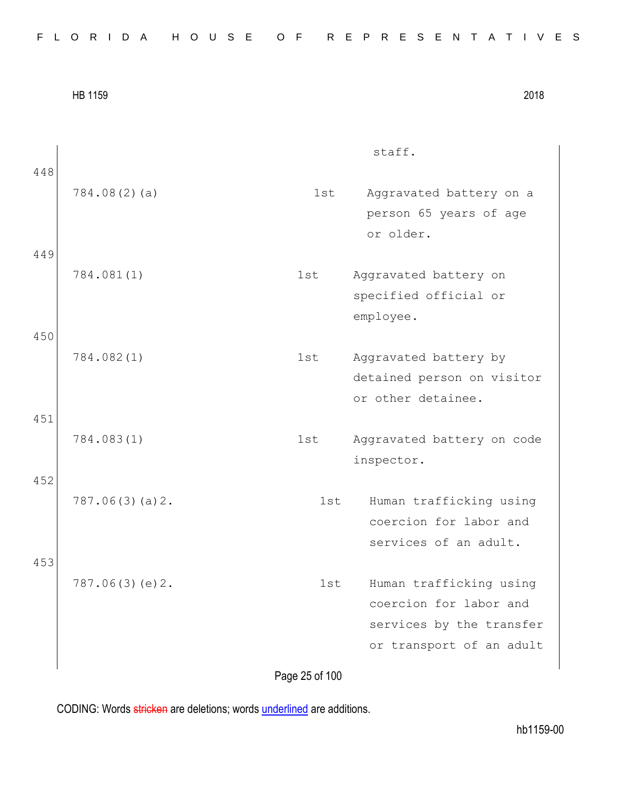|            |                |     | staff.                                                                                                    |
|------------|----------------|-----|-----------------------------------------------------------------------------------------------------------|
| 448        | 784.08(2)(a)   | 1st | Aggravated battery on a<br>person 65 years of age<br>or older.                                            |
| 449        | 784.081(1)     | 1st | Aggravated battery on<br>specified official or<br>employee.                                               |
| 450        | 784.082(1)     | 1st | Aggravated battery by<br>detained person on visitor<br>or other detainee.                                 |
| 451<br>452 | 784.083(1)     | 1st | Aggravated battery on code<br>inspector.                                                                  |
|            | 787.06(3)(a)2. | 1st | Human trafficking using<br>coercion for labor and<br>services of an adult.                                |
| 453        | 787.06(3)(e)2. | 1st | Human trafficking using<br>coercion for labor and<br>services by the transfer<br>or transport of an adult |
|            |                |     |                                                                                                           |

Page 25 of 100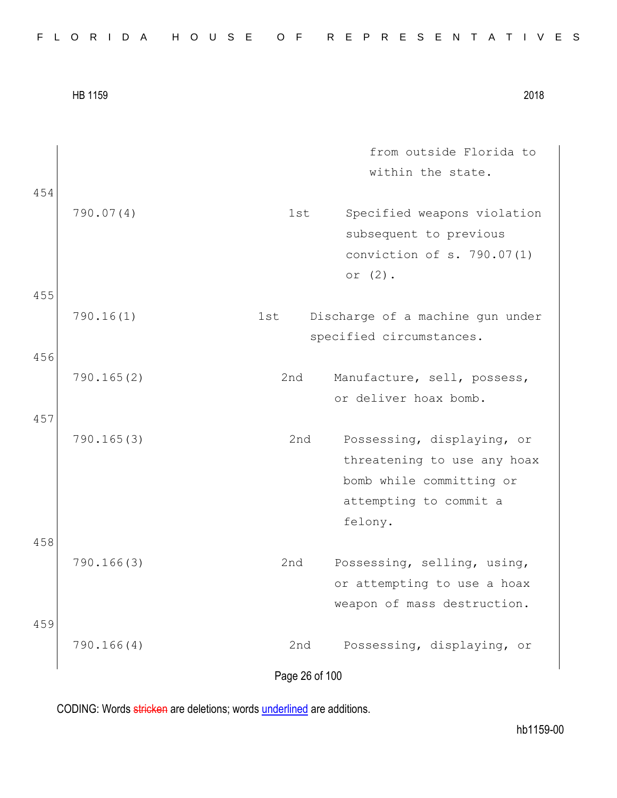|  |  |  |  |  |  |  |  | FLORIDA HOUSE OF REPRESENTATIVES |  |  |  |  |  |  |  |  |  |  |  |  |  |  |  |  |  |  |  |  |  |  |  |  |  |  |
|--|--|--|--|--|--|--|--|----------------------------------|--|--|--|--|--|--|--|--|--|--|--|--|--|--|--|--|--|--|--|--|--|--|--|--|--|--|
|--|--|--|--|--|--|--|--|----------------------------------|--|--|--|--|--|--|--|--|--|--|--|--|--|--|--|--|--|--|--|--|--|--|--|--|--|--|

|     | <b>HB 1159</b> |                | 2018                                                                                                                       |
|-----|----------------|----------------|----------------------------------------------------------------------------------------------------------------------------|
| 454 |                |                | from outside Florida to<br>within the state.                                                                               |
|     | 790.07(4)      | 1st            | Specified weapons violation<br>subsequent to previous<br>conviction of s. 790.07(1)<br>or $(2)$ .                          |
| 455 |                |                |                                                                                                                            |
|     | 790.16(1)      | 1st            | Discharge of a machine gun under<br>specified circumstances.                                                               |
| 456 |                |                |                                                                                                                            |
|     | 790.165(2)     | 2nd            | Manufacture, sell, possess,<br>or deliver hoax bomb.                                                                       |
| 457 | 790.165(3)     | 2nd            | Possessing, displaying, or<br>threatening to use any hoax<br>bomb while committing or<br>attempting to commit a<br>felony. |
| 458 | 790.166(3)     | 2nd            | Possessing, selling, using,<br>or attempting to use a hoax<br>weapon of mass destruction.                                  |
| 459 | 790.166(4)     | 2nd            | Possessing, displaying, or                                                                                                 |
|     |                | Page 26 of 100 |                                                                                                                            |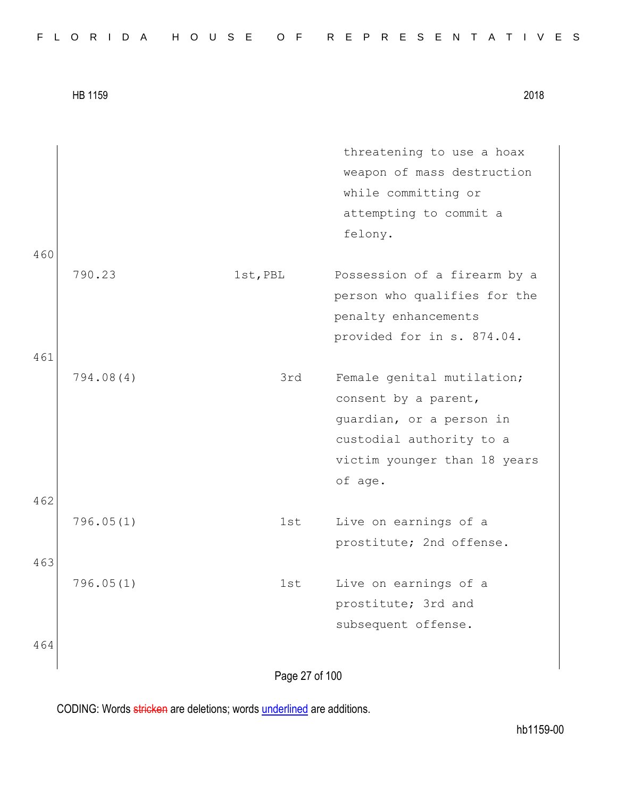| FLORIDA HOUSE OF REPRESENTATIVES |  |  |  |  |  |  |  |  |  |  |  |  |  |  |  |  |  |  |  |  |  |  |  |  |  |  |  |  |  |  |  |
|----------------------------------|--|--|--|--|--|--|--|--|--|--|--|--|--|--|--|--|--|--|--|--|--|--|--|--|--|--|--|--|--|--|--|
|----------------------------------|--|--|--|--|--|--|--|--|--|--|--|--|--|--|--|--|--|--|--|--|--|--|--|--|--|--|--|--|--|--|--|

|     |           |                | threatening to use a hoax    |
|-----|-----------|----------------|------------------------------|
|     |           |                | weapon of mass destruction   |
|     |           |                | while committing or          |
|     |           |                | attempting to commit a       |
|     |           |                | felony.                      |
| 460 |           |                |                              |
|     | 790.23    | 1st, PBL       | Possession of a firearm by a |
|     |           |                | person who qualifies for the |
|     |           |                | penalty enhancements         |
|     |           |                | provided for in s. 874.04.   |
| 461 |           |                |                              |
|     | 794.08(4) | 3rd            | Female genital mutilation;   |
|     |           |                | consent by a parent,         |
|     |           |                | guardian, or a person in     |
|     |           |                | custodial authority to a     |
|     |           |                | victim younger than 18 years |
|     |           |                | of age.                      |
| 462 |           |                |                              |
|     | 796.05(1) | 1st            | Live on earnings of a        |
|     |           |                | prostitute; 2nd offense.     |
| 463 |           |                |                              |
|     | 796.05(1) | 1st            | Live on earnings of a        |
|     |           |                | prostitute; 3rd and          |
|     |           |                | subsequent offense.          |
| 464 |           |                |                              |
|     |           |                |                              |
|     |           | Page 27 of 100 |                              |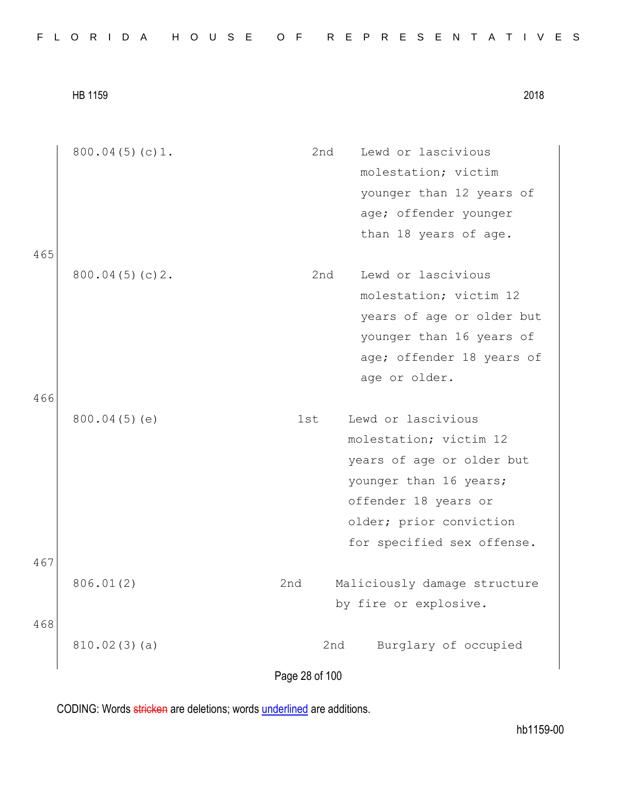|  |  | FLORIDA HOUSE OF REPRESENTATIVES |
|--|--|----------------------------------|
|--|--|----------------------------------|

|     | 800.04(5)(c)1. | 2nd<br>Lewd or lascivious           |
|-----|----------------|-------------------------------------|
|     |                | molestation; victim                 |
|     |                | younger than 12 years of            |
|     |                | age; offender younger               |
|     |                | than 18 years of age.               |
| 465 |                |                                     |
|     | 800.04(5)(c)2. | Lewd or lascivious<br>2nd           |
|     |                | molestation; victim 12              |
|     |                | years of age or older but           |
|     |                | younger than 16 years of            |
|     |                | age; offender 18 years of           |
|     |                | age or older.                       |
| 466 |                |                                     |
|     | 800.04(5)(e)   | Lewd or lascivious<br>1st           |
|     |                | molestation; victim 12              |
|     |                | years of age or older but           |
|     |                | younger than 16 years;              |
|     |                | offender 18 years or                |
|     |                | older; prior conviction             |
|     |                | for specified sex offense.          |
| 467 |                |                                     |
|     | 806.01(2)      | 2nd<br>Maliciously damage structure |
|     |                | by fire or explosive.               |
| 468 |                |                                     |
|     | 810.02(3)(a)   | Burglary of occupied<br>2nd         |
|     |                |                                     |
|     |                | Page 28 of 100                      |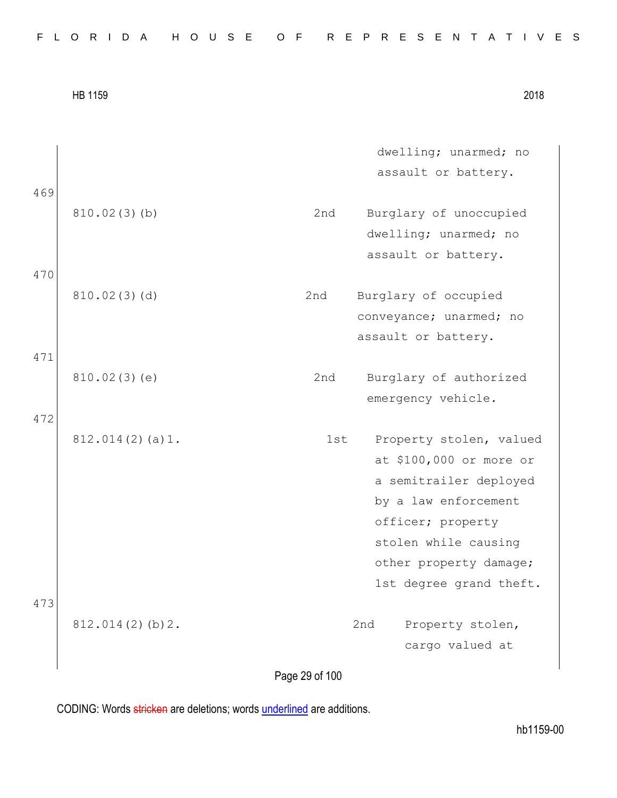|  |  | FLORIDA HOUSE OF REPRESENTATIVES |
|--|--|----------------------------------|
|--|--|----------------------------------|

| 2018 |
|------|
|      |

|     |                 | dwelling; unarmed; no          |
|-----|-----------------|--------------------------------|
|     |                 | assault or battery.            |
| 469 |                 |                                |
|     | 810.02(3)(b)    | 2nd<br>Burglary of unoccupied  |
|     |                 | dwelling; unarmed; no          |
|     |                 | assault or battery.            |
| 470 |                 |                                |
|     | 810.02(3)(d)    | Burglary of occupied<br>2nd    |
|     |                 | conveyance; unarmed; no        |
|     |                 | assault or battery.            |
| 471 |                 |                                |
|     | 810.02(3)(e)    | 2nd<br>Burglary of authorized  |
|     |                 | emergency vehicle.             |
| 472 |                 |                                |
|     | 812.014(2)(a)1. | 1st<br>Property stolen, valued |
|     |                 | at \$100,000 or more or        |
|     |                 | a semitrailer deployed         |
|     |                 | by a law enforcement           |
|     |                 | officer; property              |
|     |                 | stolen while causing           |
|     |                 | other property damage;         |
|     |                 | 1st degree grand theft.        |
| 473 |                 |                                |
|     | 812.014(2)(b)2. | 2nd<br>Property stolen,        |
|     |                 | cargo valued at                |
|     |                 |                                |

Page 29 of 100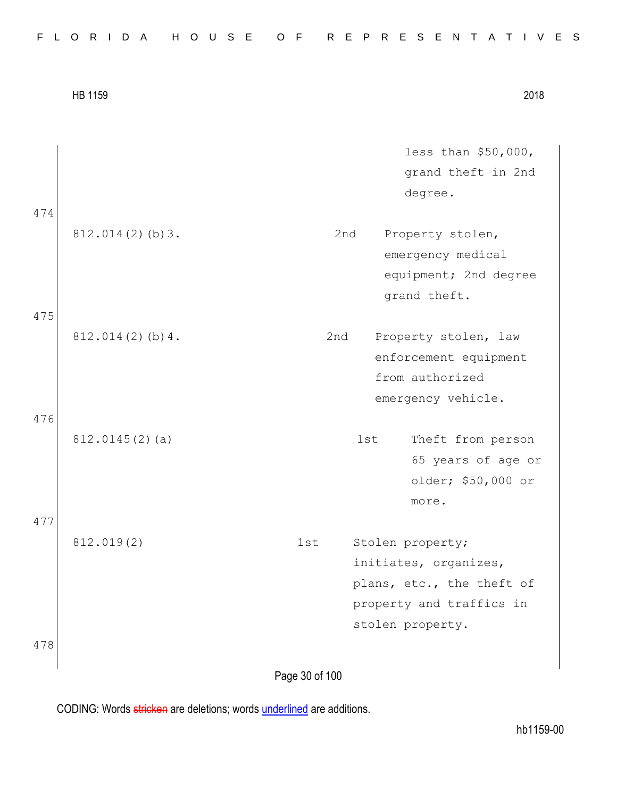| 2018 |
|------|
|      |

less than \$50,000, grand theft in 2nd degree. 474 812.014(2)(b)3. 2nd Property stolen, emergency medical equipment; 2nd degree grand theft. 475 812.014(2)(b)4. 2nd Property stolen, law enforcement equipment from authorized emergency vehicle. 476 812.0145(2)(a) 1st Theft from person 65 years of age or older; \$50,000 or more. 477 812.019(2) 1st Stolen property; initiates, organizes, plans, etc., the theft of property and traffics in stolen property. 478

Page 30 of 100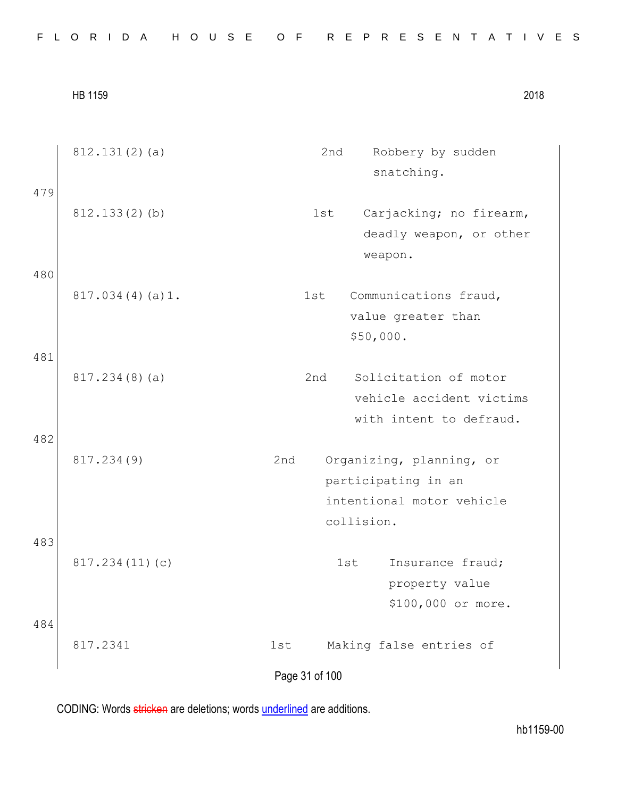|  |  |  |  |  |  |  |  |  |  |  |  |  |  | FLORIDA HOUSE OF REPRESENTATIVES |  |  |  |  |  |  |  |  |  |  |  |  |  |  |  |  |  |  |
|--|--|--|--|--|--|--|--|--|--|--|--|--|--|----------------------------------|--|--|--|--|--|--|--|--|--|--|--|--|--|--|--|--|--|--|
|--|--|--|--|--|--|--|--|--|--|--|--|--|--|----------------------------------|--|--|--|--|--|--|--|--|--|--|--|--|--|--|--|--|--|--|

| 479 | 812.131(2)(a)   | 2nd                   | Robbery by sudden<br>snatching.                                              |
|-----|-----------------|-----------------------|------------------------------------------------------------------------------|
|     | 812.133(2)(b)   | 1st                   | Carjacking; no firearm,<br>deadly weapon, or other<br>weapon.                |
| 480 | 817.034(4)(a)1. | 1st                   | Communications fraud,<br>value greater than<br>\$50,000.                     |
| 481 | 817.234(8)(a)   | 2nd                   | Solicitation of motor<br>vehicle accident victims<br>with intent to defraud. |
| 482 | 817.234(9)      | 2nd                   | Organizing, planning, or<br>participating in an<br>intentional motor vehicle |
| 483 | 817.234(11)(c)  | collision.<br>1st     | Insurance fraud;<br>property value<br>\$100,000 or more.                     |
| 484 | 817.2341        | 1st<br>Page 31 of 100 | Making false entries of                                                      |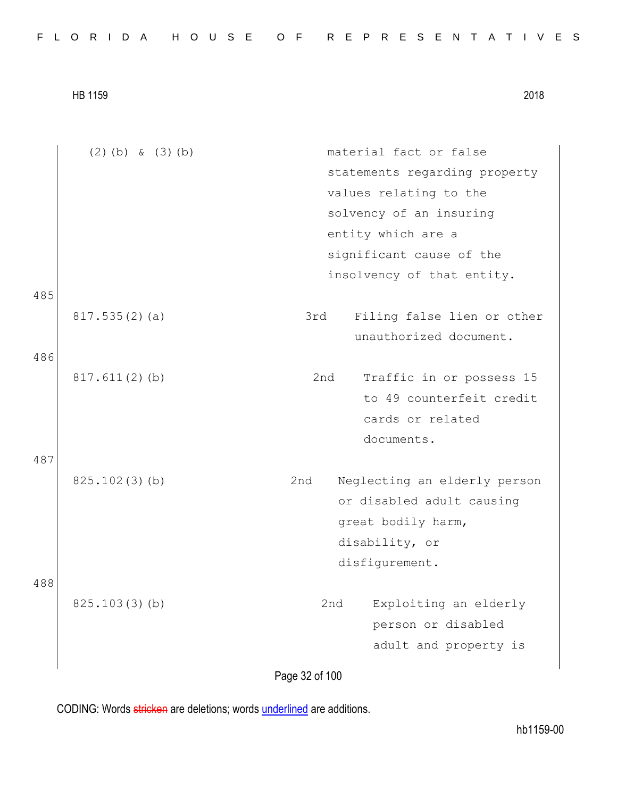|  |  |  |  |  |  |  |  | FLORIDA HOUSE OF REPRESENTATIVES |  |  |  |  |  |  |  |  |  |  |  |  |  |  |  |  |  |  |  |  |  |  |  |  |  |  |
|--|--|--|--|--|--|--|--|----------------------------------|--|--|--|--|--|--|--|--|--|--|--|--|--|--|--|--|--|--|--|--|--|--|--|--|--|--|
|--|--|--|--|--|--|--|--|----------------------------------|--|--|--|--|--|--|--|--|--|--|--|--|--|--|--|--|--|--|--|--|--|--|--|--|--|--|

|     | $(2)$ (b) & $(3)$ (b) | material fact or false              |
|-----|-----------------------|-------------------------------------|
|     |                       | statements regarding property       |
|     |                       | values relating to the              |
|     |                       | solvency of an insuring             |
|     |                       | entity which are a                  |
|     |                       | significant cause of the            |
|     |                       | insolvency of that entity.          |
| 485 |                       |                                     |
|     | 817.535(2)(a)         | 3rd<br>Filing false lien or other   |
|     |                       | unauthorized document.              |
| 486 |                       |                                     |
|     | $817.611(2)$ (b)      | 2nd<br>Traffic in or possess 15     |
|     |                       | to 49 counterfeit credit            |
|     |                       | cards or related                    |
|     |                       | documents.                          |
| 487 |                       |                                     |
|     | 825.102(3)(b)         | 2nd<br>Neglecting an elderly person |
|     |                       | or disabled adult causing           |
|     |                       | great bodily harm,                  |
|     |                       | disability, or                      |
|     |                       | disfigurement.                      |
| 488 |                       |                                     |
|     | 825.103(3)(b)         | Exploiting an elderly<br>2nd        |
|     |                       | person or disabled                  |
|     |                       | adult and property is               |
|     |                       |                                     |

Page 32 of 100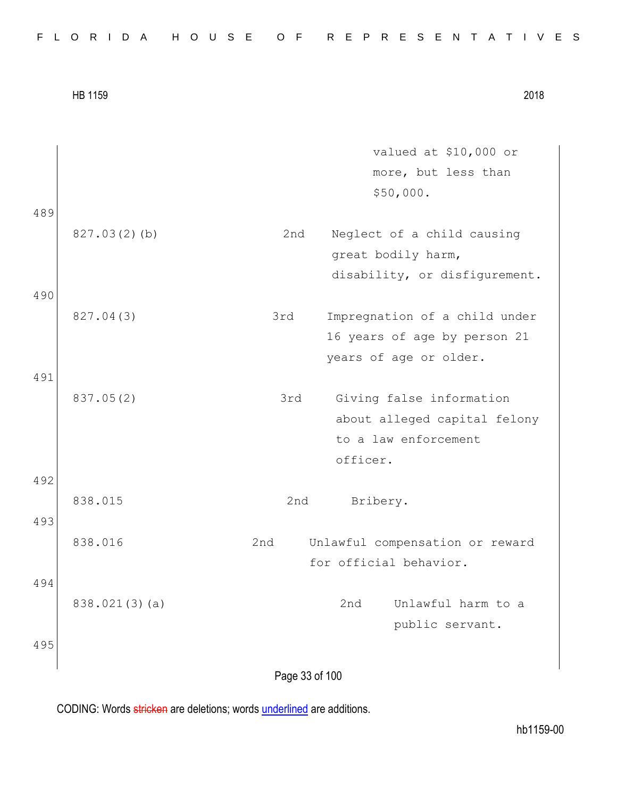| FLORIDA HOUSE OF REPRESENTATIVES |  |  |  |  |  |  |  |  |  |  |  |  |  |  |  |  |  |  |  |  |  |  |  |  |  |  |  |  |  |  |  |
|----------------------------------|--|--|--|--|--|--|--|--|--|--|--|--|--|--|--|--|--|--|--|--|--|--|--|--|--|--|--|--|--|--|--|
|----------------------------------|--|--|--|--|--|--|--|--|--|--|--|--|--|--|--|--|--|--|--|--|--|--|--|--|--|--|--|--|--|--|--|

|     |               | valued at \$10,000 or                  |
|-----|---------------|----------------------------------------|
|     |               | more, but less than                    |
|     |               | \$50,000.                              |
| 489 |               |                                        |
|     | 827.03(2)(b)  | 2nd<br>Neglect of a child causing      |
|     |               | great bodily harm,                     |
|     |               | disability, or disfigurement.          |
| 490 |               |                                        |
|     | 827.04(3)     | 3rd<br>Impregnation of a child under   |
|     |               | 16 years of age by person 21           |
|     |               | years of age or older.                 |
| 491 |               |                                        |
|     | 837.05(2)     | Giving false information<br>3rd        |
|     |               | about alleged capital felony           |
|     |               | to a law enforcement                   |
|     |               | officer.                               |
| 492 |               |                                        |
|     | 838.015       | Bribery.<br>2nd                        |
| 493 |               |                                        |
|     | 838.016       | 2nd<br>Unlawful compensation or reward |
|     |               | for official behavior.                 |
| 494 |               |                                        |
|     | 838.021(3)(a) | 2nd<br>Unlawful harm to a              |
|     |               | public servant.                        |
| 495 |               |                                        |
|     |               |                                        |
|     |               | Page 33 of 100                         |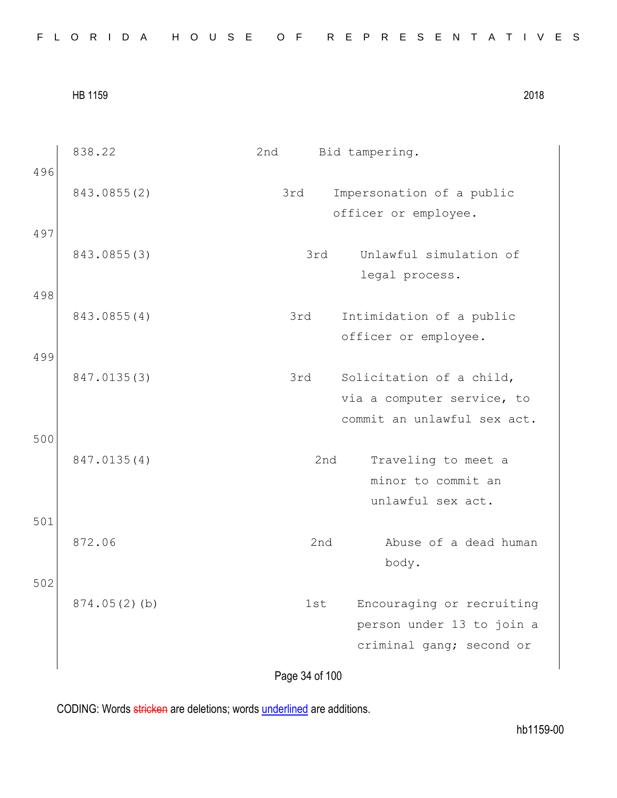Page 34 of 100 838.22 2nd Bid tampering. 496 843.0855(2) 3rd Impersonation of a public officer or employee. 497 843.0855(3) 3rd Unlawful simulation of legal process. 498 843.0855(4) 3rd Intimidation of a public officer or employee. 499 847.0135(3) 3rd Solicitation of a child, via a computer service, to commit an unlawful sex act. 500 847.0135(4) 2nd Traveling to meet a minor to commit an unlawful sex act. 501 872.06 2nd Abuse of a dead human body. 502 874.05(2)(b) 1st Encouraging or recruiting person under 13 to join a criminal gang; second or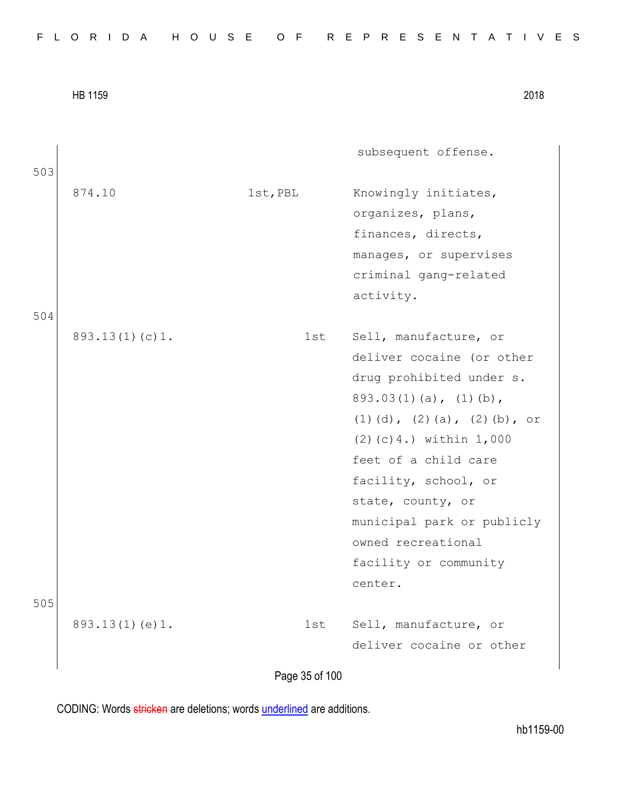|     | HB 1159        |                | 2018                                                                                                                                                                                                                                                                                                                                                        |
|-----|----------------|----------------|-------------------------------------------------------------------------------------------------------------------------------------------------------------------------------------------------------------------------------------------------------------------------------------------------------------------------------------------------------------|
| 503 |                |                | subsequent offense.                                                                                                                                                                                                                                                                                                                                         |
|     | 874.10         | 1st, PBL       | Knowingly initiates,<br>organizes, plans,<br>finances, directs,<br>manages, or supervises<br>criminal gang-related<br>activity.                                                                                                                                                                                                                             |
| 504 |                |                |                                                                                                                                                                                                                                                                                                                                                             |
|     | 893.13(1)(c)1. | 1st            | Sell, manufacture, or<br>deliver cocaine (or other<br>drug prohibited under s.<br>$893.03(1)(a)$ , $(1)(b)$ ,<br>$(1)$ $(d)$ , $(2)$ $(a)$ , $(2)$ $(b)$ , or<br>$(2) (c) 4.$ ) within $1,000$<br>feet of a child care<br>facility, school, or<br>state, county, or<br>municipal park or publicly<br>owned recreational<br>facility or community<br>center. |
| 505 |                |                |                                                                                                                                                                                                                                                                                                                                                             |
|     | 893.13(1)(e)1. | 1st            | Sell, manufacture, or<br>deliver cocaine or other                                                                                                                                                                                                                                                                                                           |
|     |                | Page 35 of 100 |                                                                                                                                                                                                                                                                                                                                                             |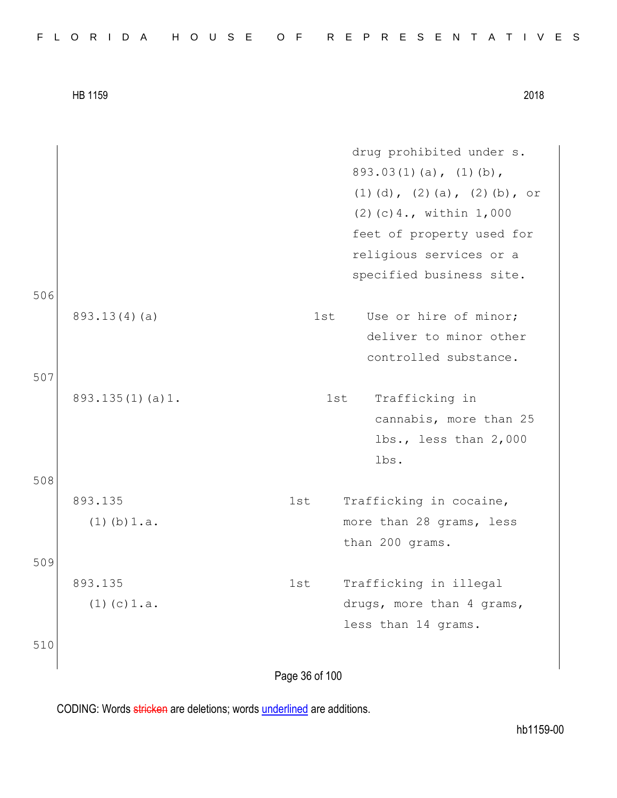| FLORIDA HOUSE OF REPRESENTATIVES |  |  |  |  |  |  |  |  |  |  |  |  |  |  |  |  |  |  |  |  |  |  |  |  |  |  |  |  |  |  |
|----------------------------------|--|--|--|--|--|--|--|--|--|--|--|--|--|--|--|--|--|--|--|--|--|--|--|--|--|--|--|--|--|--|
|----------------------------------|--|--|--|--|--|--|--|--|--|--|--|--|--|--|--|--|--|--|--|--|--|--|--|--|--|--|--|--|--|--|

|     |                  | drug prohibited under s.                     |
|-----|------------------|----------------------------------------------|
|     |                  | $893.03(1)(a)$ , $(1)(b)$ ,                  |
|     |                  | $(1)$ $(d)$ , $(2)$ $(a)$ , $(2)$ $(b)$ , or |
|     |                  | $(2)$ (c) 4., within 1,000                   |
|     |                  | feet of property used for                    |
|     |                  | religious services or a                      |
|     |                  | specified business site.                     |
| 506 |                  |                                              |
|     | 893.13(4)(a)     | Use or hire of minor;<br>1st                 |
|     |                  | deliver to minor other                       |
|     |                  | controlled substance.                        |
| 507 |                  |                                              |
|     | 893.135(1)(a)1.  | Trafficking in<br>1st                        |
|     |                  | cannabis, more than 25                       |
|     |                  | lbs., less than 2,000                        |
|     |                  | lbs.                                         |
| 508 |                  |                                              |
|     | 893.135          | Trafficking in cocaine,<br>1st               |
|     | $(1)$ (b) $1.a.$ | more than 28 grams, less                     |
|     |                  | than 200 grams.                              |
| 509 |                  |                                              |
|     | 893.135          | Trafficking in illegal<br>1st                |
|     | $(1)$ (c) $1.a.$ | drugs, more than 4 grams,                    |
|     |                  | less than 14 grams.                          |
| 510 |                  |                                              |
|     |                  |                                              |

Page 36 of 100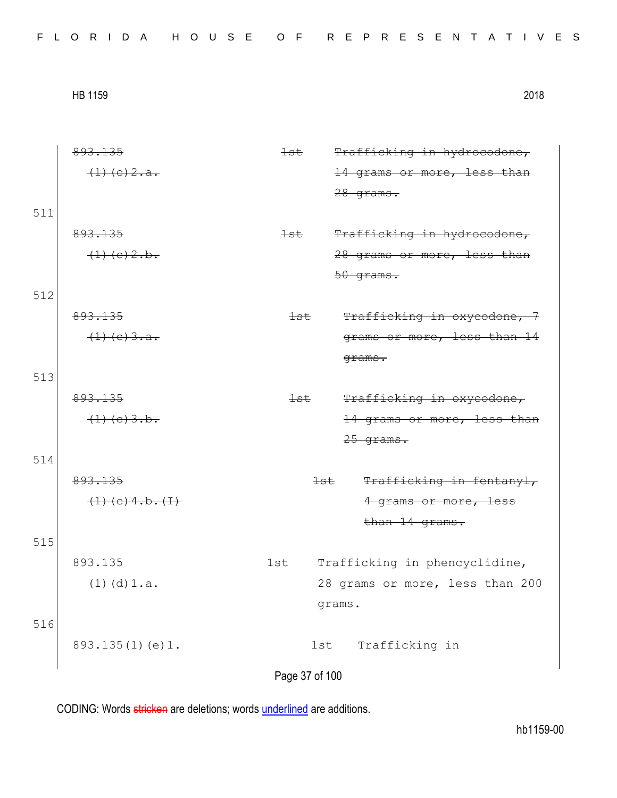| FLORIDA HOUSE OF REPRESENTATIVES |  |  |  |  |  |  |  |  |  |  |  |  |  |  |  |  |  |  |  |  |  |  |  |  |  |  |  |  |  |  |
|----------------------------------|--|--|--|--|--|--|--|--|--|--|--|--|--|--|--|--|--|--|--|--|--|--|--|--|--|--|--|--|--|--|
|----------------------------------|--|--|--|--|--|--|--|--|--|--|--|--|--|--|--|--|--|--|--|--|--|--|--|--|--|--|--|--|--|--|

893.135  $(1)(e)2.a.$ 1st Trafficking in hydrocodone, 14 grams or more, less than 28 grams. 511 893.135  $(1)(e)2.b.$ 1st Trafficking in hydrocodone, 28 grams or more, less than 50 grams. 512 893.135  $(1)(e)3.a.$ 1st Trafficking in oxycodone, 7 grams or more, less than 14 grams. 513 893.135  $(1)(c)3.b.$ 1st Trafficking in oxycodone, 14 grams or more, less than 25 grams. 514 893.135  $(1)(c)$  4.b. $(1)$ 1st Trafficking in fentanyl, 4 grams or more, less than 14 grams. 515 893.135 (1)(d)1.a. 1st Trafficking in phencyclidine, 28 grams or more, less than 200 grams. 516 893.135(1)(e)1. 1st Trafficking in

Page 37 of 100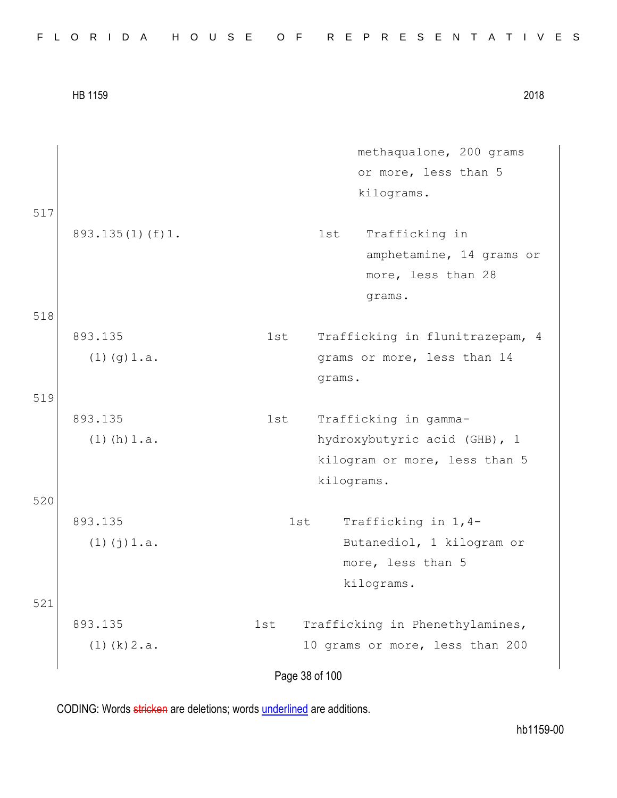|  |  |  |  |  |  |  |  | FLORIDA HOUSE OF REPRESENTATIVES |  |  |  |  |  |  |  |  |  |  |  |  |  |  |  |  |  |  |  |  |  |  |  |  |  |  |
|--|--|--|--|--|--|--|--|----------------------------------|--|--|--|--|--|--|--|--|--|--|--|--|--|--|--|--|--|--|--|--|--|--|--|--|--|--|
|--|--|--|--|--|--|--|--|----------------------------------|--|--|--|--|--|--|--|--|--|--|--|--|--|--|--|--|--|--|--|--|--|--|--|--|--|--|

517

519

520

521

methaqualone, 200 grams or more, less than 5 kilograms.

893.135(1)(f)1. 1st Trafficking in amphetamine, 14 grams or more, less than 28 grams. 518

893.135 (1)(g)1.a. 1st Trafficking in flunitrazepam, 4 grams or more, less than 14 grams.

- 893.135  $(1)$  (h)  $1.a.$ 1st Trafficking in gammahydroxybutyric acid (GHB), 1 kilogram or more, less than 5 kilograms.
- 893.135 (1)(j)1.a. 1st Trafficking in 1,4- Butanediol, 1 kilogram or more, less than 5 kilograms.

893.135  $(1)(k)2.a.$ 1st Trafficking in Phenethylamines, 10 grams or more, less than 200

Page 38 of 100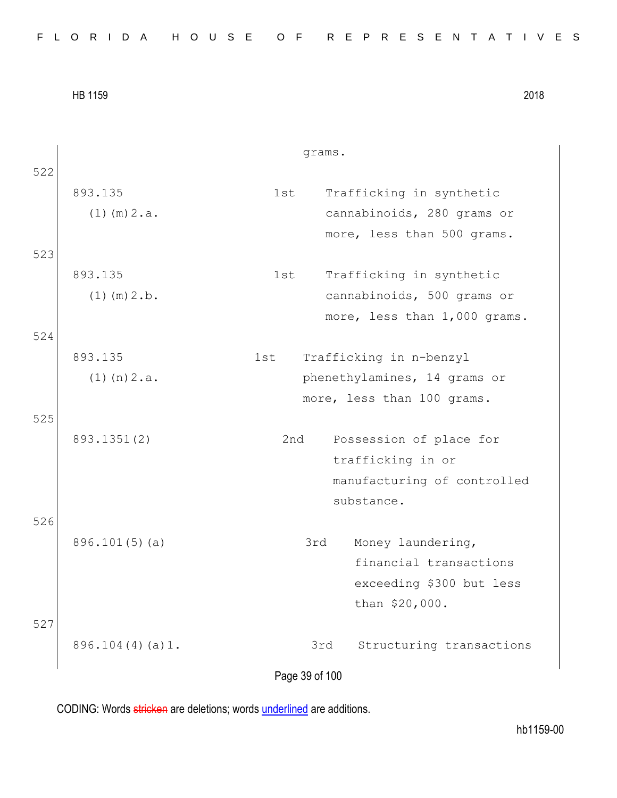|  |  |  |  |  |  |  |  |  |  | FLORIDA HOUSE OF REPRESENTATIVES |  |  |  |  |  |  |  |  |  |  |  |  |  |  |  |  |
|--|--|--|--|--|--|--|--|--|--|----------------------------------|--|--|--|--|--|--|--|--|--|--|--|--|--|--|--|--|
|--|--|--|--|--|--|--|--|--|--|----------------------------------|--|--|--|--|--|--|--|--|--|--|--|--|--|--|--|--|

grams. 522 893.135  $(1)$  (m)  $2.a.$ 1st Trafficking in synthetic cannabinoids, 280 grams or more, less than 500 grams. 523 893.135  $(1)$  (m)  $2.b$ . 1st Trafficking in synthetic cannabinoids, 500 grams or more, less than 1,000 grams. 524 893.135 (1)(n)2.a. 1st Trafficking in n-benzyl phenethylamines, 14 grams or more, less than 100 grams. 525 893.1351(2) 2nd Possession of place for trafficking in or manufacturing of controlled substance. 526 896.101(5)(a) 3rd Money laundering, financial transactions exceeding \$300 but less than \$20,000. 527 896.104(4)(a)1. 3rd Structuring transactions

Page 39 of 100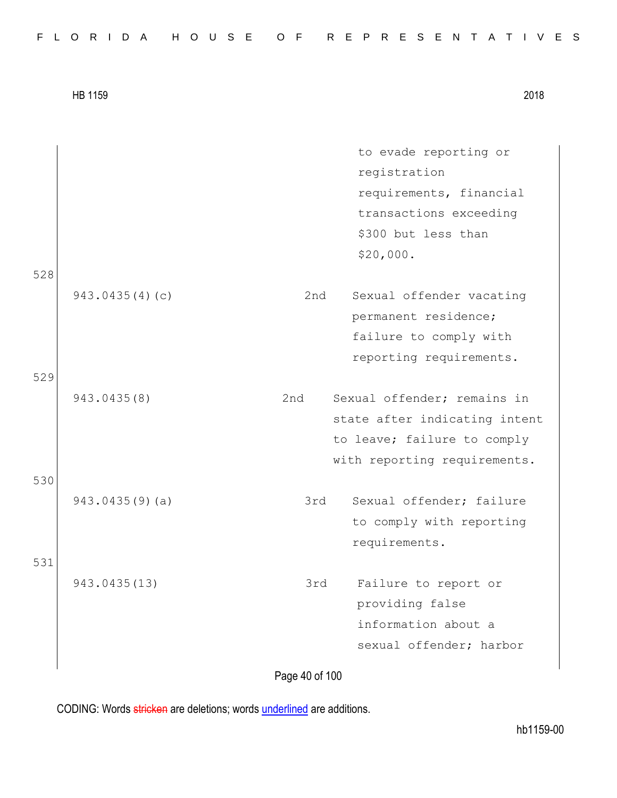to evade reporting or registration requirements, financial transactions exceeding \$300 but less than \$20,000. 528 943.0435(4)(c) 2nd Sexual offender vacating permanent residence; failure to comply with reporting requirements. 529 943.0435(8) 2nd Sexual offender; remains in state after indicating intent to leave; failure to comply with reporting requirements. 530 943.0435(9)(a) 3rd Sexual offender; failure to comply with reporting requirements. 531 943.0435(13) 3rd Failure to report or providing false information about a sexual offender; harbor

Page 40 of 100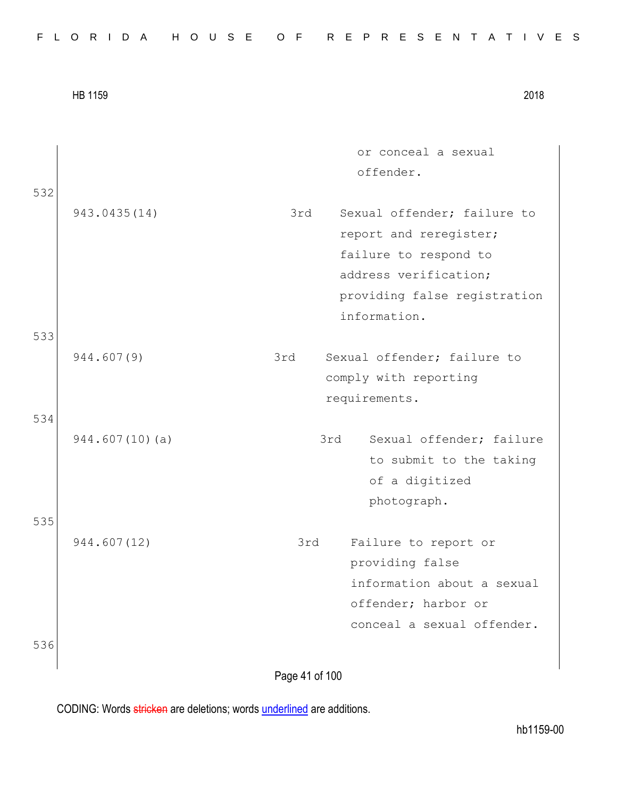|     | HB 1159        |                | 2018                                                                                                                                                    |
|-----|----------------|----------------|---------------------------------------------------------------------------------------------------------------------------------------------------------|
| 532 |                |                | or conceal a sexual<br>offender.                                                                                                                        |
|     | 943.0435(14)   | 3rd            | Sexual offender: failure to<br>report and reregister;<br>failure to respond to<br>address verification;<br>providing false registration<br>information. |
| 533 | 944.607(9)     | 3rd            | Sexual offender; failure to<br>comply with reporting<br>requirements.                                                                                   |
| 534 | 944.607(10)(a) |                | 3rd<br>Sexual offender; failure<br>to submit to the taking<br>of a digitized<br>photograph.                                                             |
| 535 | 944.607(12)    | 3rd            | Failure to report or<br>providing false<br>information about a sexual<br>offender; harbor or<br>conceal a sexual offender.                              |
| 536 |                | Page 41 of 100 |                                                                                                                                                         |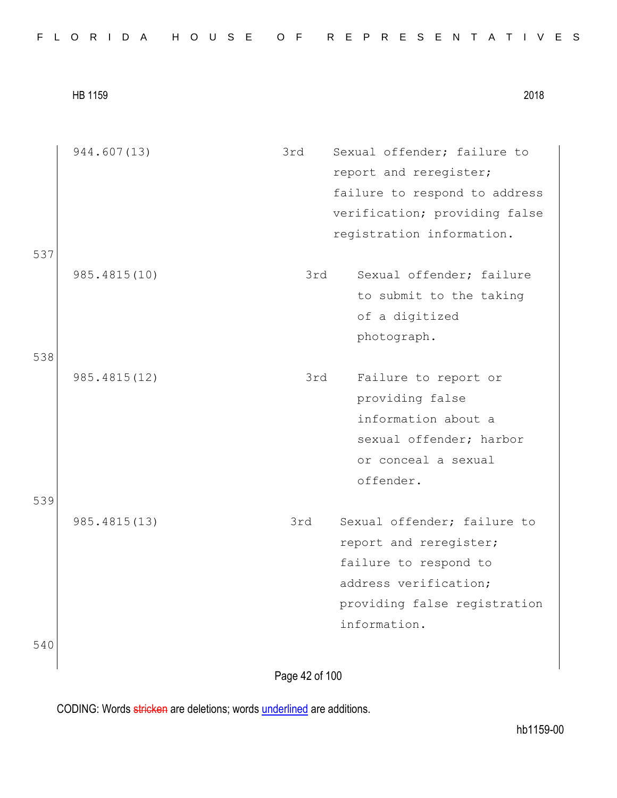|  |  |  |  |  |  |  |  |  |  |  |  |  |  | FLORIDA HOUSE OF REPRESENTATIVES |  |  |  |  |  |  |  |  |  |  |  |  |  |  |  |  |  |  |
|--|--|--|--|--|--|--|--|--|--|--|--|--|--|----------------------------------|--|--|--|--|--|--|--|--|--|--|--|--|--|--|--|--|--|--|
|--|--|--|--|--|--|--|--|--|--|--|--|--|--|----------------------------------|--|--|--|--|--|--|--|--|--|--|--|--|--|--|--|--|--|--|

|     | 944.607(13)  | 3rd | Sexual offender; failure to   |
|-----|--------------|-----|-------------------------------|
|     |              |     | report and reregister;        |
|     |              |     | failure to respond to address |
|     |              |     | verification; providing false |
|     |              |     | registration information.     |
| 537 |              |     |                               |
|     | 985.4815(10) | 3rd | Sexual offender; failure      |
|     |              |     | to submit to the taking       |
|     |              |     | of a digitized                |
|     |              |     | photograph.                   |
| 538 |              |     |                               |
|     | 985.4815(12) | 3rd | Failure to report or          |
|     |              |     | providing false               |
|     |              |     | information about a           |
|     |              |     | sexual offender; harbor       |
|     |              |     | or conceal a sexual           |
|     |              |     | offender.                     |
| 539 |              |     |                               |
|     | 985.4815(13) | 3rd | Sexual offender; failure to   |
|     |              |     | report and reregister;        |
|     |              |     | failure to respond to         |
|     |              |     | address verification;         |
|     |              |     | providing false registration  |
|     |              |     | information.                  |
| 540 |              |     |                               |
|     |              |     |                               |

Page 42 of 100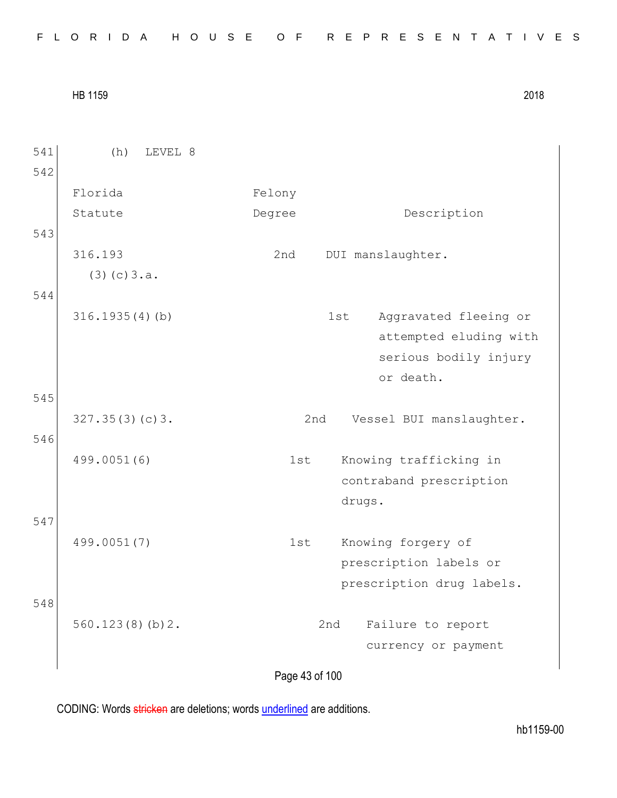|  |  |  |  |  |  |  |  |  |  | FLORIDA HOUSE OF REPRESENTATIVES |  |  |  |  |  |  |  |  |  |  |  |  |  |  |  |  |
|--|--|--|--|--|--|--|--|--|--|----------------------------------|--|--|--|--|--|--|--|--|--|--|--|--|--|--|--|--|
|--|--|--|--|--|--|--|--|--|--|----------------------------------|--|--|--|--|--|--|--|--|--|--|--|--|--|--|--|--|

| 541 | LEVEL 8<br>(h)    |                                 |  |
|-----|-------------------|---------------------------------|--|
| 542 |                   |                                 |  |
|     | Florida           | Felony                          |  |
|     | Statute           | Description<br>Degree           |  |
| 543 |                   |                                 |  |
|     | 316.193           | DUI manslaughter.<br>2nd        |  |
|     | (3)(c)3.a.        |                                 |  |
| 544 |                   |                                 |  |
|     | $316.1935(4)$ (b) | 1st<br>Aggravated fleeing or    |  |
|     |                   | attempted eluding with          |  |
|     |                   | serious bodily injury           |  |
|     |                   | or death.                       |  |
| 545 |                   |                                 |  |
|     | 327.35(3)(c)3.    | Vessel BUI manslaughter.<br>2nd |  |
| 546 |                   |                                 |  |
|     | 499.0051(6)       | Knowing trafficking in<br>1st   |  |
|     |                   | contraband prescription         |  |
|     |                   | drugs.                          |  |
| 547 |                   |                                 |  |
|     | 499.0051(7)       | Knowing forgery of<br>1st       |  |
|     |                   | prescription labels or          |  |
|     |                   | prescription drug labels.       |  |
| 548 |                   |                                 |  |
|     | 560.123(8)(b)2.   | Failure to report<br>2nd        |  |
|     |                   | currency or payment             |  |
|     |                   |                                 |  |

Page 43 of 100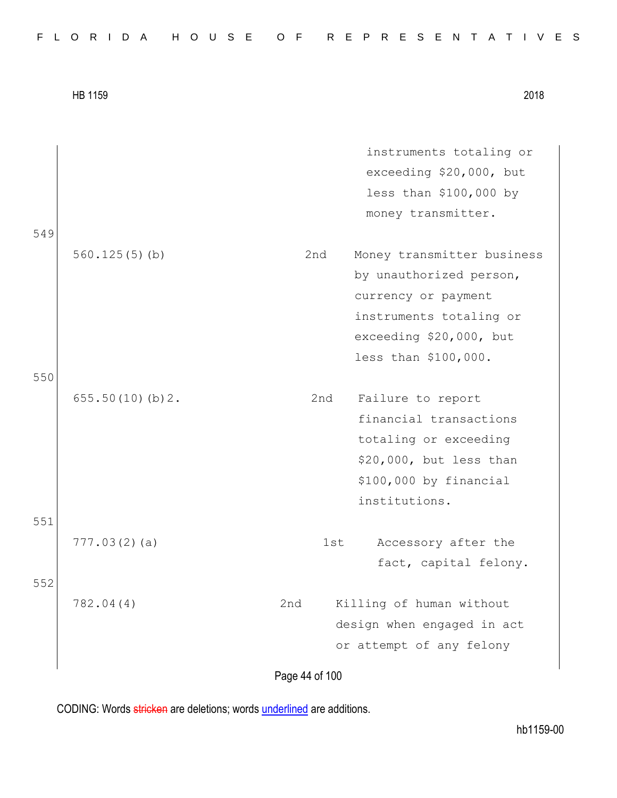|     | HB 1159         |                | 2018                       |
|-----|-----------------|----------------|----------------------------|
|     |                 |                |                            |
|     |                 |                | instruments totaling or    |
|     |                 |                | exceeding \$20,000, but    |
|     |                 |                | less than \$100,000 by     |
|     |                 |                | money transmitter.         |
| 549 |                 |                |                            |
|     | 560.125(5)(b)   | 2nd            | Money transmitter business |
|     |                 |                | by unauthorized person,    |
|     |                 |                | currency or payment        |
|     |                 |                | instruments totaling or    |
|     |                 |                | exceeding \$20,000, but    |
|     |                 |                | less than \$100,000.       |
| 550 |                 |                |                            |
|     | 655.50(10)(b)2. | 2nd            | Failure to report          |
|     |                 |                | financial transactions     |
|     |                 |                | totaling or exceeding      |
|     |                 |                | \$20,000, but less than    |
|     |                 |                | \$100,000 by financial     |
|     |                 |                | institutions.              |
| 551 |                 |                |                            |
|     | 777.03(2)(a)    | 1st            | Accessory after the        |
|     |                 |                | fact, capital felony.      |
| 552 |                 |                |                            |
|     | 782.04(4)       | 2nd            | Killing of human without   |
|     |                 |                | design when engaged in act |
|     |                 |                | or attempt of any felony   |
|     |                 | Page 44 of 100 |                            |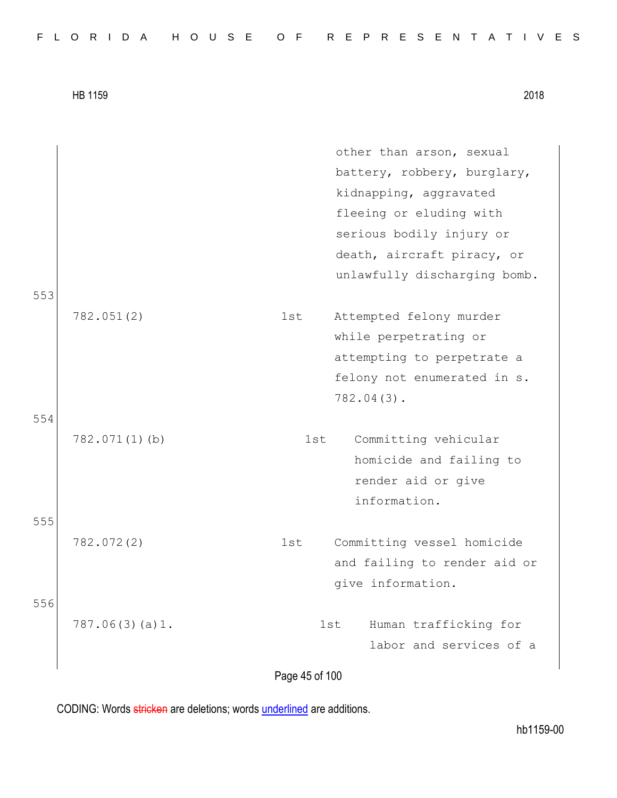| FLORIDA HOUSE OF REPRESENTATIVES |  |  |  |  |  |  |  |  |  |  |  |  |  |  |  |  |  |  |  |  |  |  |  |  |
|----------------------------------|--|--|--|--|--|--|--|--|--|--|--|--|--|--|--|--|--|--|--|--|--|--|--|--|
|----------------------------------|--|--|--|--|--|--|--|--|--|--|--|--|--|--|--|--|--|--|--|--|--|--|--|--|

|     |                | other than arson, sexual<br>battery, robbery, burglary,<br>kidnapping, aggravated<br>fleeing or eluding with<br>serious bodily injury or<br>death, aircraft piracy, or<br>unlawfully discharging bomb. |
|-----|----------------|--------------------------------------------------------------------------------------------------------------------------------------------------------------------------------------------------------|
| 553 |                |                                                                                                                                                                                                        |
|     | 782.051(2)     | 1st<br>Attempted felony murder<br>while perpetrating or<br>attempting to perpetrate a<br>felony not enumerated in s.<br>$782.04(3)$ .                                                                  |
| 554 | 782.071(1)(b)  | Committing vehicular<br>1st<br>homicide and failing to<br>render aid or give<br>information.                                                                                                           |
| 555 | 782.072(2)     | Committing vessel homicide<br>1st<br>and failing to render aid or<br>give information.                                                                                                                 |
| 556 | 787.06(3)(a)1. | Human trafficking for<br>1st<br>labor and services of a                                                                                                                                                |
|     |                | Page 45 of 100                                                                                                                                                                                         |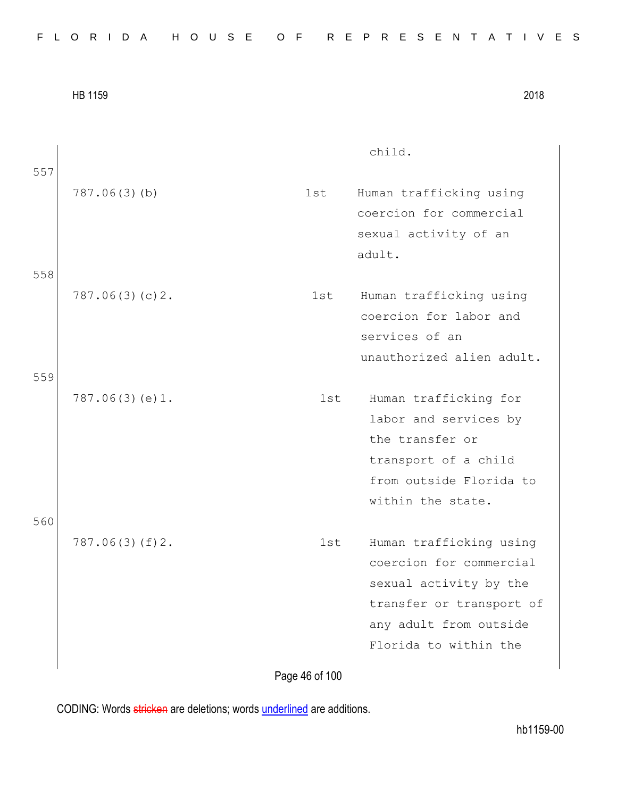|  |  |  | FLORIDA HOUSE OF REPRESENTATIVES |  |  |
|--|--|--|----------------------------------|--|--|
|--|--|--|----------------------------------|--|--|

| 2018 |
|------|
|      |

| 557 |                |     | child.                                                                                                                                                      |
|-----|----------------|-----|-------------------------------------------------------------------------------------------------------------------------------------------------------------|
|     | 787.06(3)(b)   | 1st | Human trafficking using<br>coercion for commercial<br>sexual activity of an                                                                                 |
| 558 |                |     | adult.                                                                                                                                                      |
|     | 787.06(3)(c)2. | 1st | Human trafficking using<br>coercion for labor and<br>services of an<br>unauthorized alien adult.                                                            |
| 559 | 787.06(3)(e)1. | 1st | Human trafficking for<br>labor and services by<br>the transfer or<br>transport of a child<br>from outside Florida to                                        |
| 560 |                |     | within the state.                                                                                                                                           |
|     | 787.06(3)(f)2. | 1st | Human trafficking using<br>coercion for commercial<br>sexual activity by the<br>transfer or transport of<br>any adult from outside<br>Florida to within the |
|     |                |     |                                                                                                                                                             |

Page 46 of 100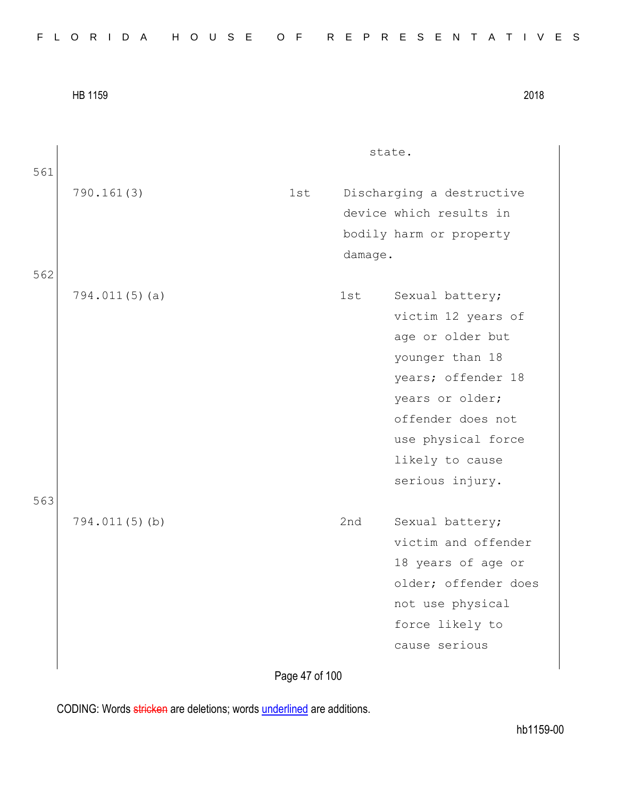|  |  |  |  |  |  |  |  |  |  | FLORIDA HOUSE OF REPRESENTATIVES |  |  |  |  |  |  |  |  |  |  |  |  |  |  |  |  |
|--|--|--|--|--|--|--|--|--|--|----------------------------------|--|--|--|--|--|--|--|--|--|--|--|--|--|--|--|--|
|--|--|--|--|--|--|--|--|--|--|----------------------------------|--|--|--|--|--|--|--|--|--|--|--|--|--|--|--|--|

| 2018 |
|------|
|      |

| 561 |                  |     |         | state.                                                                                                                                       |
|-----|------------------|-----|---------|----------------------------------------------------------------------------------------------------------------------------------------------|
|     | 790.161(3)       | 1st | damage. | Discharging a destructive<br>device which results in<br>bodily harm or property                                                              |
| 562 | $794.011(5)$ (a) |     | 1st     | Sexual battery;<br>victim 12 years of<br>age or older but                                                                                    |
|     |                  |     |         | younger than 18<br>years; offender 18<br>years or older;<br>offender does not<br>use physical force<br>likely to cause<br>serious injury.    |
| 563 | 794.011(5)(b)    |     | 2nd     | Sexual battery;<br>victim and offender<br>18 years of age or<br>older; offender does<br>not use physical<br>force likely to<br>cause serious |

Page 47 of 100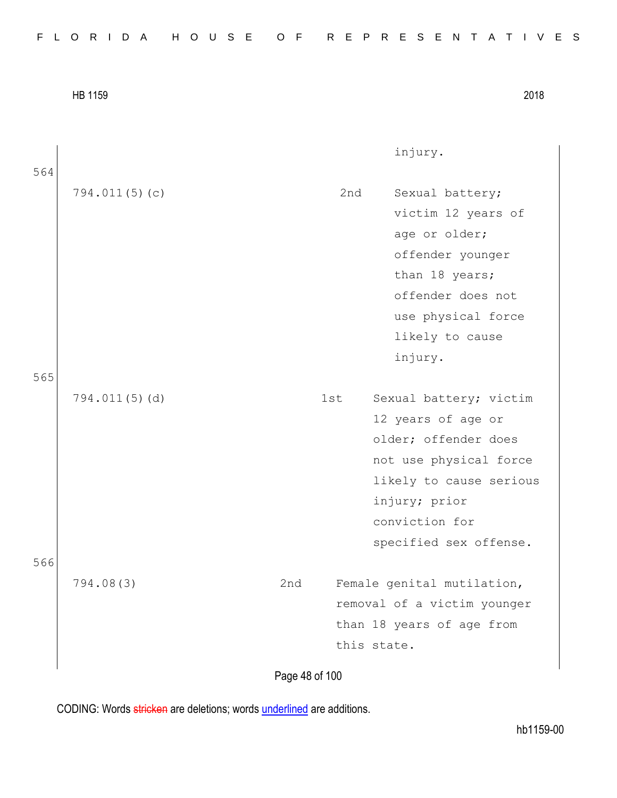|     |               |                | injury.                     |
|-----|---------------|----------------|-----------------------------|
| 564 |               |                |                             |
|     | 794.011(5)(c) |                | 2nd<br>Sexual battery;      |
|     |               |                | victim 12 years of          |
|     |               |                | age or older;               |
|     |               |                | offender younger            |
|     |               |                | than 18 years;              |
|     |               |                | offender does not           |
|     |               |                | use physical force          |
|     |               |                | likely to cause             |
|     |               |                | injury.                     |
| 565 |               |                |                             |
|     | 794.011(5)(d) | 1st            | Sexual battery; victim      |
|     |               |                | 12 years of age or          |
|     |               |                | older; offender does        |
|     |               |                | not use physical force      |
|     |               |                | likely to cause serious     |
|     |               |                | injury; prior               |
|     |               |                | conviction for              |
|     |               |                | specified sex offense.      |
| 566 |               |                |                             |
|     | 794.08(3)     | 2nd            | Female genital mutilation,  |
|     |               |                | removal of a victim younger |
|     |               |                | than 18 years of age from   |
|     |               |                | this state.                 |
|     |               |                |                             |
|     |               | Page 48 of 100 |                             |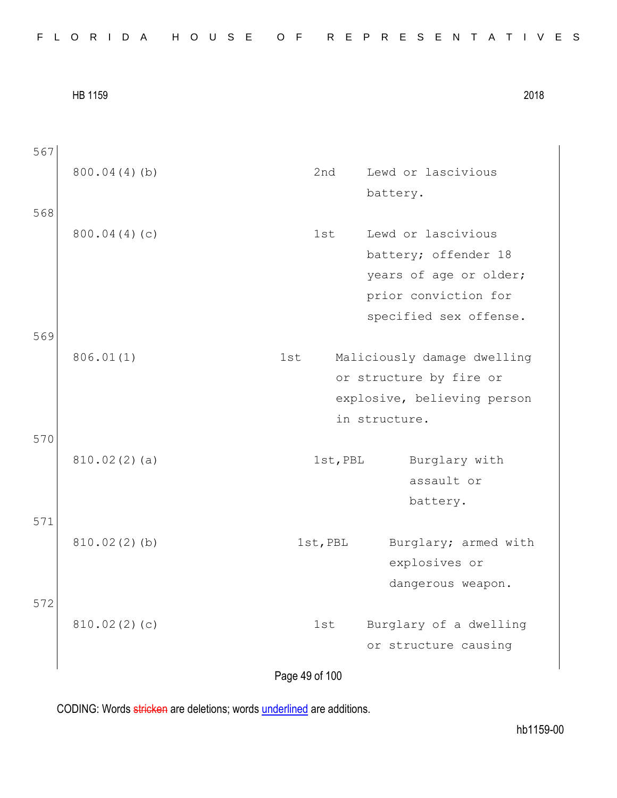|  |  |  |  |  |  |  |  |  |  | FLORIDA HOUSE OF REPRESENTATIVES |  |  |  |  |  |  |  |  |  |  |  |  |  |  |  |  |
|--|--|--|--|--|--|--|--|--|--|----------------------------------|--|--|--|--|--|--|--|--|--|--|--|--|--|--|--|--|
|--|--|--|--|--|--|--|--|--|--|----------------------------------|--|--|--|--|--|--|--|--|--|--|--|--|--|--|--|--|

Page 49 of 100 567 800.04(4)(b) 2nd Lewd or lascivious battery. 568 800.04(4)(c) 1st Lewd or lascivious battery; offender 18 years of age or older; prior conviction for specified sex offense. 569 806.01(1) 1st Maliciously damage dwelling or structure by fire or explosive, believing person in structure. 570 810.02(2)(a) 1st, PBL Burglary with assault or battery. 571 810.02(2)(b) 1st, PBL Burglary; armed with explosives or dangerous weapon. 572 810.02(2)(c) 1st Burglary of a dwelling or structure causing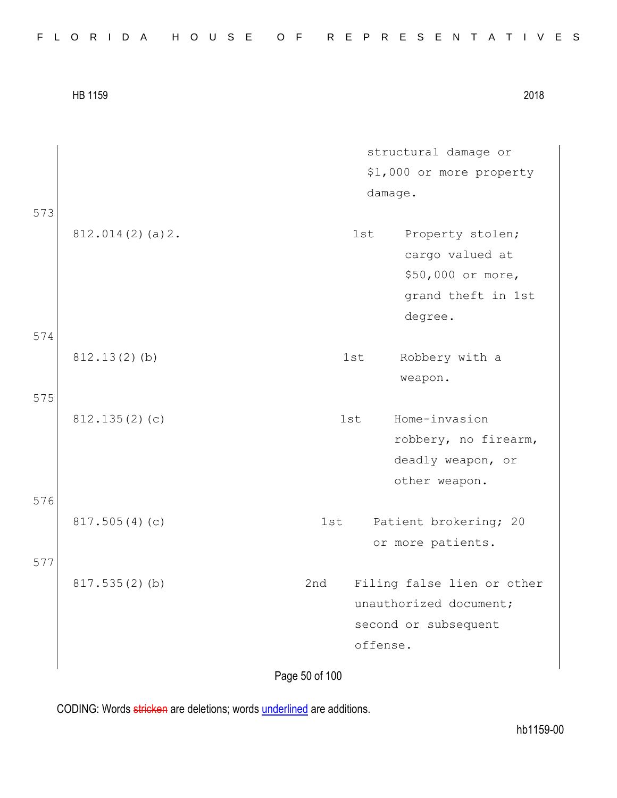| 2018 |
|------|
|      |

structural damage or \$1,000 or more property damage. 573 812.014(2)(a)2. 1st Property stolen; cargo valued at \$50,000 or more, grand theft in 1st degree. 574 812.13(2)(b) 1st Robbery with a weapon. 575 812.135(2)(c) 1st Home-invasion robbery, no firearm, deadly weapon, or other weapon. 576 817.505(4)(c) 1st Patient brokering; 20 or more patients. 577 817.535(2)(b) 2nd Filing false lien or other unauthorized document; second or subsequent offense.

Page 50 of 100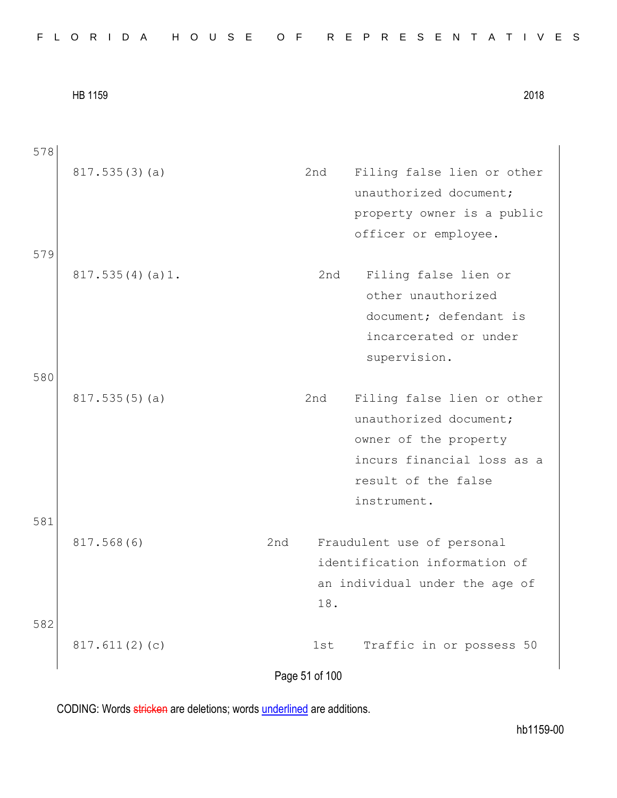|  |  |  |  |  |  |  |  |  |  | FLORIDA HOUSE OF REPRESENTATIVES |  |  |  |  |  |  |  |  |  |  |  |  |  |  |  |  |
|--|--|--|--|--|--|--|--|--|--|----------------------------------|--|--|--|--|--|--|--|--|--|--|--|--|--|--|--|--|
|--|--|--|--|--|--|--|--|--|--|----------------------------------|--|--|--|--|--|--|--|--|--|--|--|--|--|--|--|--|

| Filing false lien or other<br>817.535(3)(a)<br>2nd<br>unauthorized document;<br>property owner is a public<br>officer or employee.<br>579<br>817.535(4)(a)1.<br>Filing false lien or<br>2nd<br>other unauthorized<br>document; defendant is<br>incarcerated or under<br>supervision.<br>580<br>817.535(5)(a)<br>2nd<br>Filing false lien or other<br>unauthorized document;<br>owner of the property<br>incurs financial loss as a<br>result of the false<br>instrument.<br>581<br>817.568(6)<br>2nd<br>Fraudulent use of personal<br>identification information of<br>an individual under the age of<br>18.<br>582<br>Traffic in or possess 50<br>817.611(2)(c)<br>1st<br>Page 51 of 100 | 578 |  |  |
|-------------------------------------------------------------------------------------------------------------------------------------------------------------------------------------------------------------------------------------------------------------------------------------------------------------------------------------------------------------------------------------------------------------------------------------------------------------------------------------------------------------------------------------------------------------------------------------------------------------------------------------------------------------------------------------------|-----|--|--|
|                                                                                                                                                                                                                                                                                                                                                                                                                                                                                                                                                                                                                                                                                           |     |  |  |
|                                                                                                                                                                                                                                                                                                                                                                                                                                                                                                                                                                                                                                                                                           |     |  |  |
|                                                                                                                                                                                                                                                                                                                                                                                                                                                                                                                                                                                                                                                                                           |     |  |  |
|                                                                                                                                                                                                                                                                                                                                                                                                                                                                                                                                                                                                                                                                                           |     |  |  |
|                                                                                                                                                                                                                                                                                                                                                                                                                                                                                                                                                                                                                                                                                           |     |  |  |
|                                                                                                                                                                                                                                                                                                                                                                                                                                                                                                                                                                                                                                                                                           |     |  |  |
|                                                                                                                                                                                                                                                                                                                                                                                                                                                                                                                                                                                                                                                                                           |     |  |  |
|                                                                                                                                                                                                                                                                                                                                                                                                                                                                                                                                                                                                                                                                                           |     |  |  |
|                                                                                                                                                                                                                                                                                                                                                                                                                                                                                                                                                                                                                                                                                           |     |  |  |
|                                                                                                                                                                                                                                                                                                                                                                                                                                                                                                                                                                                                                                                                                           |     |  |  |
|                                                                                                                                                                                                                                                                                                                                                                                                                                                                                                                                                                                                                                                                                           |     |  |  |
|                                                                                                                                                                                                                                                                                                                                                                                                                                                                                                                                                                                                                                                                                           |     |  |  |
|                                                                                                                                                                                                                                                                                                                                                                                                                                                                                                                                                                                                                                                                                           |     |  |  |
|                                                                                                                                                                                                                                                                                                                                                                                                                                                                                                                                                                                                                                                                                           |     |  |  |
|                                                                                                                                                                                                                                                                                                                                                                                                                                                                                                                                                                                                                                                                                           |     |  |  |
|                                                                                                                                                                                                                                                                                                                                                                                                                                                                                                                                                                                                                                                                                           |     |  |  |
|                                                                                                                                                                                                                                                                                                                                                                                                                                                                                                                                                                                                                                                                                           |     |  |  |
|                                                                                                                                                                                                                                                                                                                                                                                                                                                                                                                                                                                                                                                                                           |     |  |  |
|                                                                                                                                                                                                                                                                                                                                                                                                                                                                                                                                                                                                                                                                                           |     |  |  |
|                                                                                                                                                                                                                                                                                                                                                                                                                                                                                                                                                                                                                                                                                           |     |  |  |
|                                                                                                                                                                                                                                                                                                                                                                                                                                                                                                                                                                                                                                                                                           |     |  |  |
|                                                                                                                                                                                                                                                                                                                                                                                                                                                                                                                                                                                                                                                                                           |     |  |  |
|                                                                                                                                                                                                                                                                                                                                                                                                                                                                                                                                                                                                                                                                                           |     |  |  |
|                                                                                                                                                                                                                                                                                                                                                                                                                                                                                                                                                                                                                                                                                           |     |  |  |
|                                                                                                                                                                                                                                                                                                                                                                                                                                                                                                                                                                                                                                                                                           |     |  |  |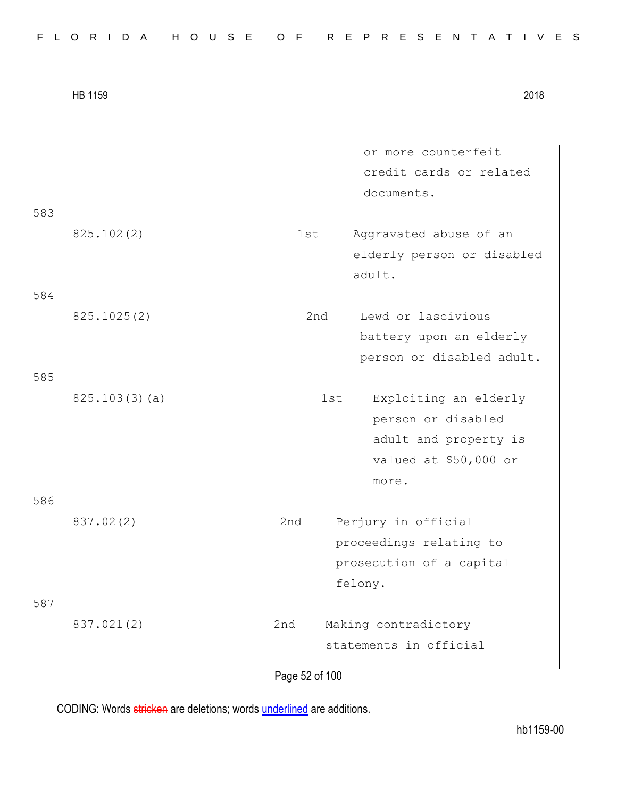|     | <b>HB 1159</b> |                       | 2018                                                                                                 |
|-----|----------------|-----------------------|------------------------------------------------------------------------------------------------------|
|     |                |                       | or more counterfeit<br>credit cards or related<br>documents.                                         |
| 583 | 825.102(2)     | 1st                   | Aggravated abuse of an<br>elderly person or disabled<br>adult.                                       |
| 584 | 825.1025(2)    | 2nd                   | Lewd or lascivious<br>battery upon an elderly<br>person or disabled adult.                           |
| 585 | 825.103(3)(a)  |                       | Exploiting an elderly<br>1st<br>person or disabled<br>adult and property is<br>valued at \$50,000 or |
| 586 | 837.02(2)      | 2nd                   | more.<br>Perjury in official<br>proceedings relating to<br>prosecution of a capital                  |
| 587 | 837.021(2)     | 2nd<br>Page 52 of 100 | felony.<br>Making contradictory<br>statements in official                                            |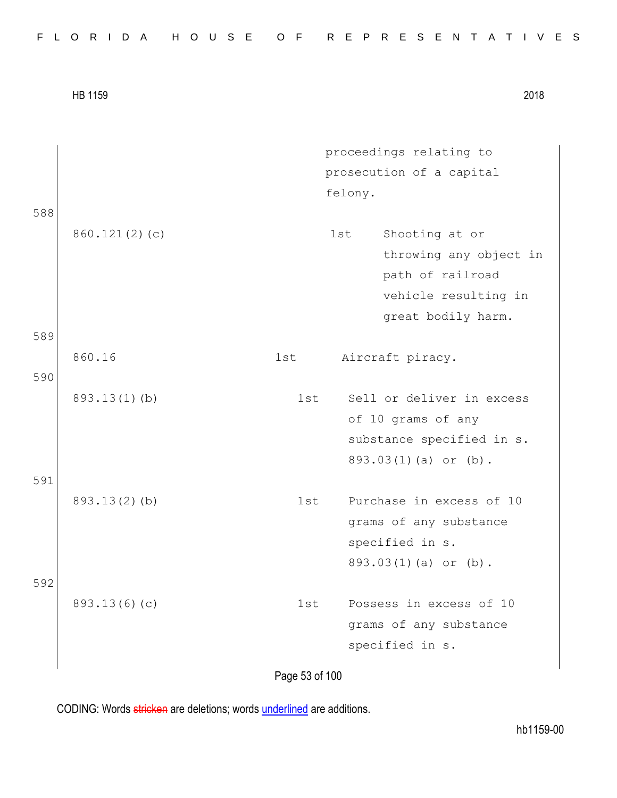| 588 |                 | proceedings relating to<br>prosecution of a capital<br>felony.                                                    |
|-----|-----------------|-------------------------------------------------------------------------------------------------------------------|
|     | 860.121(2)(c)   | Shooting at or<br>1st<br>throwing any object in<br>path of railroad<br>vehicle resulting in<br>great bodily harm. |
| 589 |                 |                                                                                                                   |
| 590 | 860.16          | 1st<br>Aircraft piracy.                                                                                           |
| 591 | $893.13(1)$ (b) | Sell or deliver in excess<br>1st<br>of 10 grams of any<br>substance specified in s.<br>893.03(1)(a) or (b).       |
| 592 | 893.13(2)(b)    | Purchase in excess of 10<br>1st<br>grams of any substance<br>specified in s.<br>893.03(1)(a) or (b).              |
|     | 893.13(6)(c)    | Possess in excess of 10<br>1st<br>grams of any substance<br>specified in s.                                       |

Page 53 of 100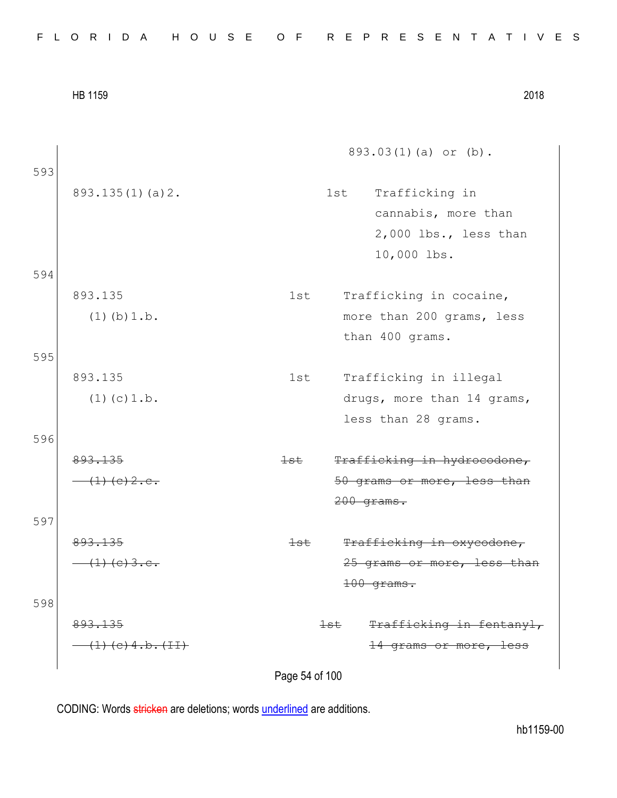|  |  | FLORIDA HOUSE OF REPRESENTATIVES |
|--|--|----------------------------------|
|--|--|----------------------------------|

893.03(1)(a) or (b).

- 893.135(1)(a)2. 1st Trafficking in cannabis, more than 2,000 lbs., less than 10,000 lbs. 594
	- 893.135  $(1)(b)1.b.$ 1st Trafficking in cocaine, more than 200 grams, less than 400 grams.
- 595

593

893.135  $(1)(c)1.b.$ 

596

893.135 (1)(c)2.c. 1st Trafficking in hydrocodone, 50 grams or more, less than 200 grams.

597

893.135  $(1)(e)3.e.$ 

598 893.135  $(11)$  1st Trafficking in oxycodone, 25 grams or more, less than

1st Trafficking in fentanyl, 14 grams or more, less

100 grams.

1st Trafficking in illegal

less than 28 grams.

drugs, more than 14 grams,

Page 54 of 100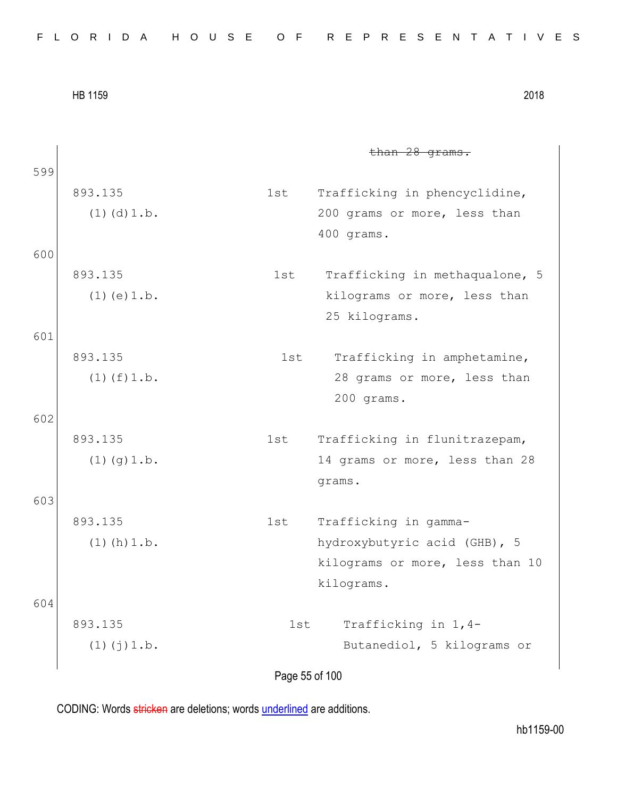| FLORIDA HOUSE OF REPRESENTATIVES |  |  |  |  |  |  |  |  |  |  |  |  |  |  |  |  |  |  |  |  |  |  |  |  |  |  |  |  |  |  |  |
|----------------------------------|--|--|--|--|--|--|--|--|--|--|--|--|--|--|--|--|--|--|--|--|--|--|--|--|--|--|--|--|--|--|--|
|----------------------------------|--|--|--|--|--|--|--|--|--|--|--|--|--|--|--|--|--|--|--|--|--|--|--|--|--|--|--|--|--|--|--|

than 28 grams. 599 893.135  $(1)(d)1.b.$ 1st Trafficking in phencyclidine, 200 grams or more, less than 400 grams. 600 893.135  $(1)(e)1.b.$ 1st Trafficking in methaqualone, 5 kilograms or more, less than 25 kilograms. 601 893.135  $(1)(f)1.b.$ 1st Trafficking in amphetamine, 28 grams or more, less than 200 grams. 602 893.135  $(1)(g)1.b.$ 1st Trafficking in flunitrazepam, 14 grams or more, less than 28 grams. 603 893.135  $(1)(h)1.b.$ 1st Trafficking in gammahydroxybutyric acid (GHB), 5 kilograms or more, less than 10 kilograms. 604 893.135  $(1)(j)1.b.$ 1st Trafficking in 1,4- Butanediol, 5 kilograms or

Page 55 of 100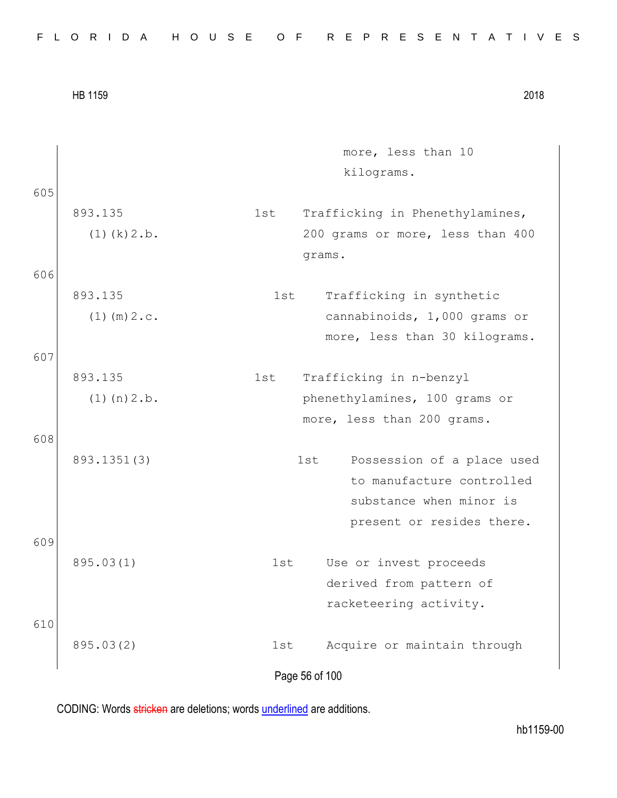| FLORIDA HOUSE OF REPRESENTATIVES |  |
|----------------------------------|--|
|----------------------------------|--|

Page 56 of 100 more, less than 10 kilograms. 605 893.135  $(1)(k)2.b.$ 1st Trafficking in Phenethylamines, 200 grams or more, less than 400 grams. 606 893.135  $(1)$  (m)  $2.c.$ 1st Trafficking in synthetic cannabinoids, 1,000 grams or more, less than 30 kilograms. 607 893.135  $(1)(n)2.b.$ 1st Trafficking in n-benzyl phenethylamines, 100 grams or more, less than 200 grams. 608 893.1351(3) 1st Possession of a place used to manufacture controlled substance when minor is present or resides there. 609 895.03(1) 1st Use or invest proceeds derived from pattern of racketeering activity. 610 895.03(2) 1st Acquire or maintain through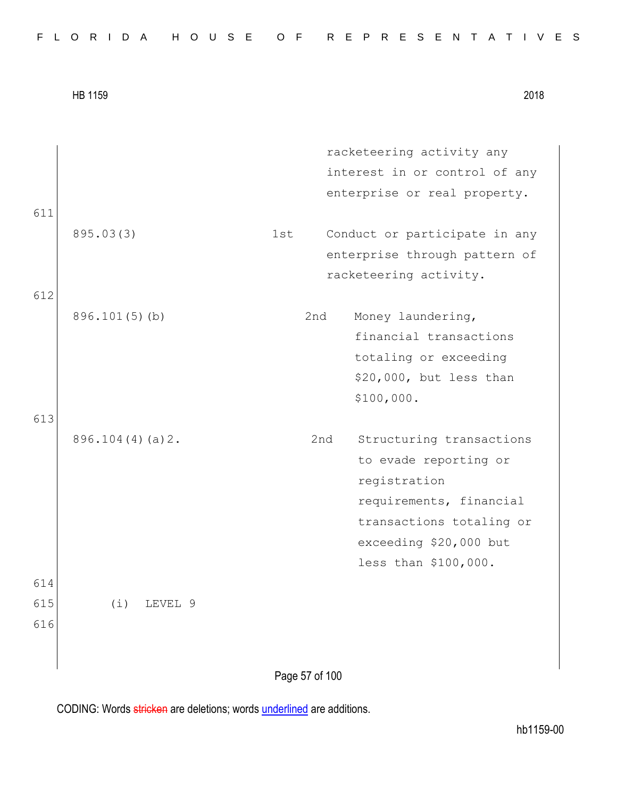| FLORIDA HOUSE OF REPRESENTATIVES |  |  |  |  |  |  |  |  |  |  |  |  |  |  |  |  |  |  |  |  |  |  |  |  |  |  |  |  |  |  |  |
|----------------------------------|--|--|--|--|--|--|--|--|--|--|--|--|--|--|--|--|--|--|--|--|--|--|--|--|--|--|--|--|--|--|--|
|----------------------------------|--|--|--|--|--|--|--|--|--|--|--|--|--|--|--|--|--|--|--|--|--|--|--|--|--|--|--|--|--|--|--|

|                   | HB 1159            |     |                | 2018                                                                                                                                                                       |
|-------------------|--------------------|-----|----------------|----------------------------------------------------------------------------------------------------------------------------------------------------------------------------|
|                   |                    |     |                | racketeering activity any<br>interest in or control of any<br>enterprise or real property.                                                                                 |
| 611               | 895.03(3)          | 1st |                | Conduct or participate in any<br>enterprise through pattern of<br>racketeering activity.                                                                                   |
| 612               | $896.101(5)$ (b)   |     | 2nd            | Money laundering,<br>financial transactions<br>totaling or exceeding<br>\$20,000, but less than<br>\$100,000.                                                              |
| 613               | $896.104(4)(a)$ 2. |     | 2nd            | Structuring transactions<br>to evade reporting or<br>registration<br>requirements, financial<br>transactions totaling or<br>exceeding \$20,000 but<br>less than \$100,000. |
| 614<br>615<br>616 | (i)<br>LEVEL 9     |     |                |                                                                                                                                                                            |
|                   |                    |     | Page 57 of 100 |                                                                                                                                                                            |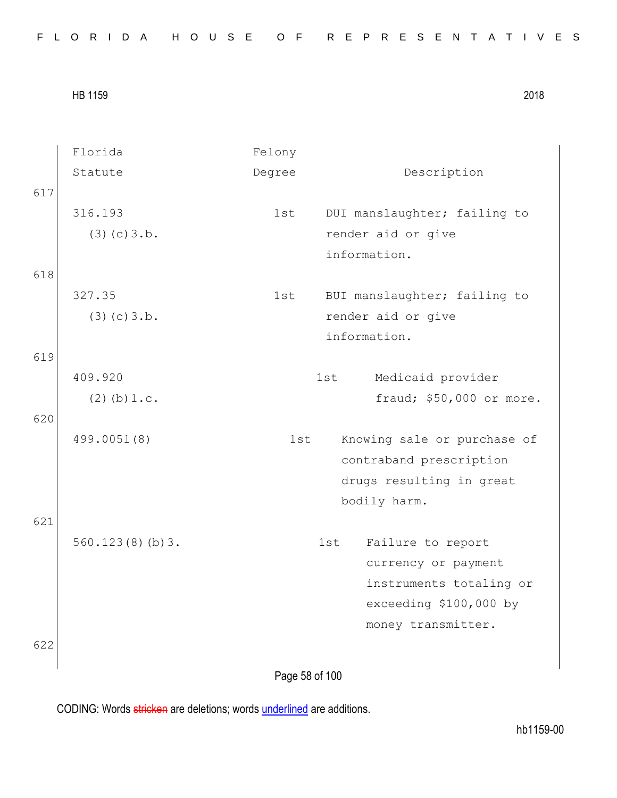|  |  |  |  |  |  |  |  |  |  |  |  |  |  | FLORIDA HOUSE OF REPRESENTATIVES |  |  |  |  |  |  |  |  |  |  |  |  |  |  |  |  |  |  |
|--|--|--|--|--|--|--|--|--|--|--|--|--|--|----------------------------------|--|--|--|--|--|--|--|--|--|--|--|--|--|--|--|--|--|--|
|--|--|--|--|--|--|--|--|--|--|--|--|--|--|----------------------------------|--|--|--|--|--|--|--|--|--|--|--|--|--|--|--|--|--|--|

|     | Florida          | Felony         |                              |
|-----|------------------|----------------|------------------------------|
|     | Statute          | Degree         | Description                  |
| 617 |                  |                |                              |
|     | 316.193          | 1st            | DUI manslaughter; failing to |
|     | (3)(c)3.b.       |                | render aid or give           |
|     |                  |                | information.                 |
| 618 |                  |                |                              |
|     | 327.35           | 1st            | BUI manslaughter; failing to |
|     | (3)(c)3.b.       |                | render aid or give           |
|     |                  |                | information.                 |
| 619 |                  |                |                              |
|     | 409.920          |                | 1st<br>Medicaid provider     |
|     | $(2)$ (b) $1.c.$ |                | fraud; \$50,000 or more.     |
| 620 |                  |                |                              |
|     | 499.0051(8)      | 1st            | Knowing sale or purchase of  |
|     |                  |                | contraband prescription      |
|     |                  |                | drugs resulting in great     |
|     |                  |                | bodily harm.                 |
| 621 |                  |                |                              |
|     | 560.123(8)(b)3.  |                | Failure to report<br>1st     |
|     |                  |                | currency or payment          |
|     |                  |                | instruments totaling or      |
|     |                  |                | exceeding \$100,000 by       |
|     |                  |                | money transmitter.           |
| 622 |                  |                |                              |
|     |                  |                |                              |
|     |                  | Page 58 of 100 |                              |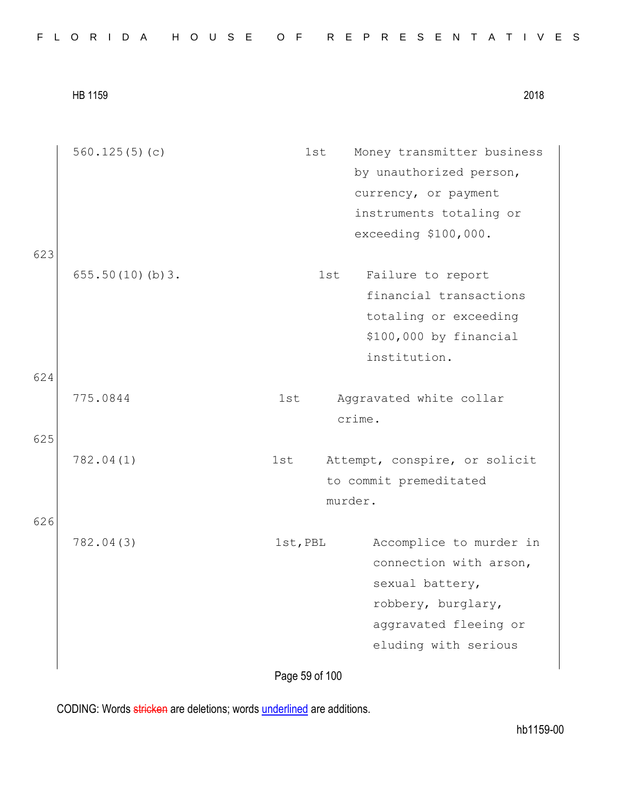|  |  |  |  |  |  |  |  |  | FLORIDA HOUSE OF REPRESENTATIVES |  |  |  |  |  |  |  |  |  |  |  |  |  |  |  |  |  |  |  |  |  |  |  |
|--|--|--|--|--|--|--|--|--|----------------------------------|--|--|--|--|--|--|--|--|--|--|--|--|--|--|--|--|--|--|--|--|--|--|--|
|--|--|--|--|--|--|--|--|--|----------------------------------|--|--|--|--|--|--|--|--|--|--|--|--|--|--|--|--|--|--|--|--|--|--|--|

|     | 560.125 $(5)(c)$ | 1st      | Money transmitter business    |
|-----|------------------|----------|-------------------------------|
|     |                  |          | by unauthorized person,       |
|     |                  |          | currency, or payment          |
|     |                  |          | instruments totaling or       |
|     |                  |          | exceeding \$100,000.          |
| 623 |                  |          |                               |
|     | 655.50(10)(b)3.  | 1st      | Failure to report             |
|     |                  |          | financial transactions        |
|     |                  |          | totaling or exceeding         |
|     |                  |          | \$100,000 by financial        |
|     |                  |          | institution.                  |
| 624 |                  |          |                               |
|     | 775.0844         | 1st      | Aggravated white collar       |
|     |                  |          | crime.                        |
| 625 |                  |          |                               |
|     | 782.04(1)        | 1st      | Attempt, conspire, or solicit |
|     |                  |          | to commit premeditated        |
|     |                  |          | murder.                       |
| 626 |                  |          |                               |
|     | 782.04(3)        | 1st, PBL | Accomplice to murder in       |
|     |                  |          | connection with arson,        |
|     |                  |          | sexual battery,               |
|     |                  |          | robbery, burglary,            |
|     |                  |          | aggravated fleeing or         |
|     |                  |          | eluding with serious          |
|     |                  |          |                               |

Page 59 of 100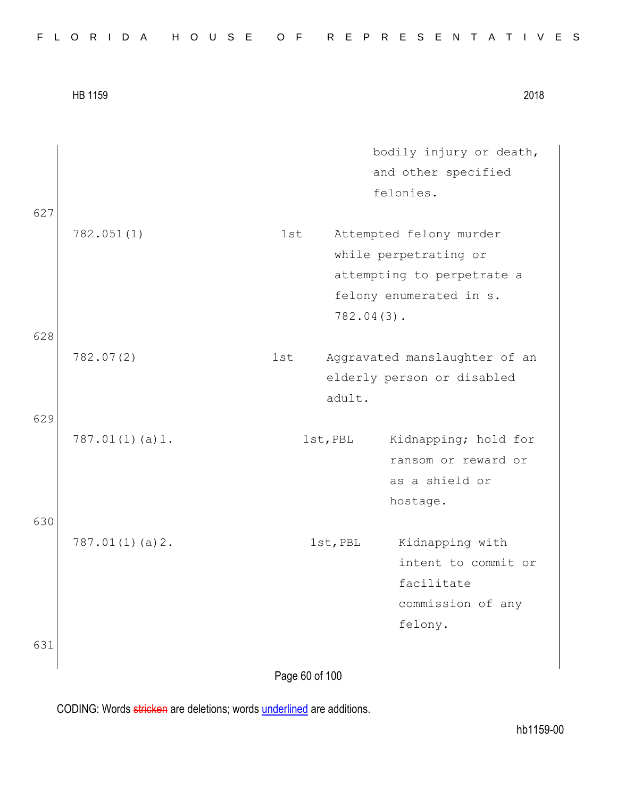|  |  |  | FLORIDA HOUSE OF REPRESENTATIVES |  |  |  |  |  |  |  |  |  |  |  |  |  |
|--|--|--|----------------------------------|--|--|--|--|--|--|--|--|--|--|--|--|--|
|  |  |  |                                  |  |  |  |  |  |  |  |  |  |  |  |  |  |

|            | HB 1159        |                |               |                                                                                                           | 2018 |
|------------|----------------|----------------|---------------|-----------------------------------------------------------------------------------------------------------|------|
| 627        |                |                |               | bodily injury or death,<br>and other specified<br>felonies.                                               |      |
|            | 782.051(1)     | 1st            | $782.04(3)$ . | Attempted felony murder<br>while perpetrating or<br>attempting to perpetrate a<br>felony enumerated in s. |      |
| 628<br>629 | 782.07(2)      | 1st            | adult.        | Aggravated manslaughter of an<br>elderly person or disabled                                               |      |
|            | 787.01(1)(a)1. |                | 1st, PBL      | Kidnapping; hold for<br>ransom or reward or<br>as a shield or<br>hostage.                                 |      |
| 630        | 787.01(1)(a)2. |                | 1st, PBL      | Kidnapping with<br>intent to commit or<br>facilitate<br>commission of any<br>felony.                      |      |
| 631        |                | Page 60 of 100 |               |                                                                                                           |      |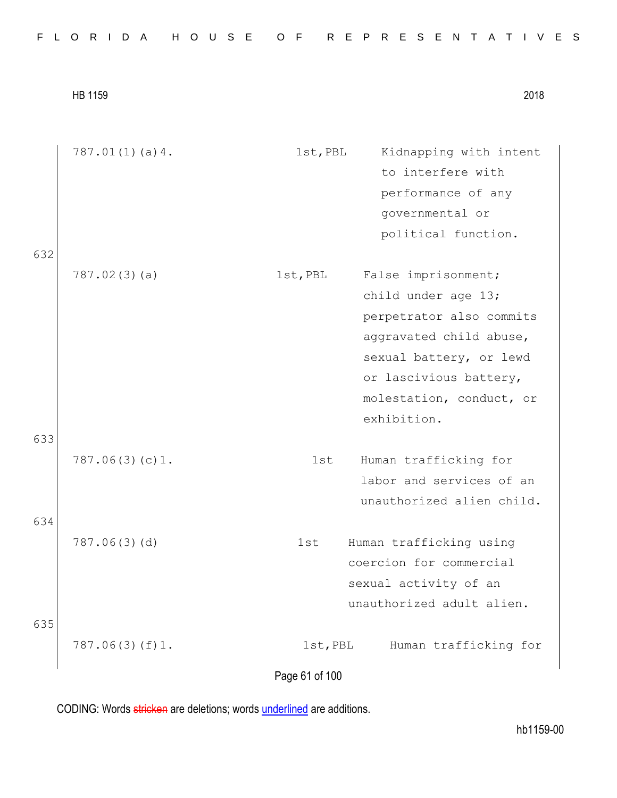|  |  |  |  |  |  | FLORIDA HOUSE OF REPRESENTATIVES |  |  |  |  |  |  |  |  |  |
|--|--|--|--|--|--|----------------------------------|--|--|--|--|--|--|--|--|--|
|  |  |  |  |  |  |                                  |  |  |  |  |  |  |  |  |  |

|     | 787.01(1)(a)4. | Kidnapping with intent<br>1st, PBL |  |
|-----|----------------|------------------------------------|--|
|     |                | to interfere with                  |  |
|     |                | performance of any                 |  |
|     |                | governmental or                    |  |
|     |                | political function.                |  |
| 632 |                |                                    |  |
|     | 787.02(3)(a)   | False imprisonment;<br>1st, PBL    |  |
|     |                | child under age 13;                |  |
|     |                | perpetrator also commits           |  |
|     |                | aggravated child abuse,            |  |
|     |                | sexual battery, or lewd            |  |
|     |                | or lascivious battery,             |  |
|     |                | molestation, conduct, or           |  |
|     |                | exhibition.                        |  |
| 633 |                |                                    |  |
|     | 787.06(3)(c)1. | 1st<br>Human trafficking for       |  |
|     |                | labor and services of an           |  |
|     |                | unauthorized alien child.          |  |
| 634 |                |                                    |  |
|     | 787.06(3)(d)   | Human trafficking using<br>1st     |  |
|     |                | coercion for commercial            |  |
|     |                | sexual activity of an              |  |
|     |                | unauthorized adult alien.          |  |
| 635 |                |                                    |  |
|     | 787.06(3)(f)1. | 1st, PBL<br>Human trafficking for  |  |
|     |                | Page 61 of 100                     |  |
|     |                |                                    |  |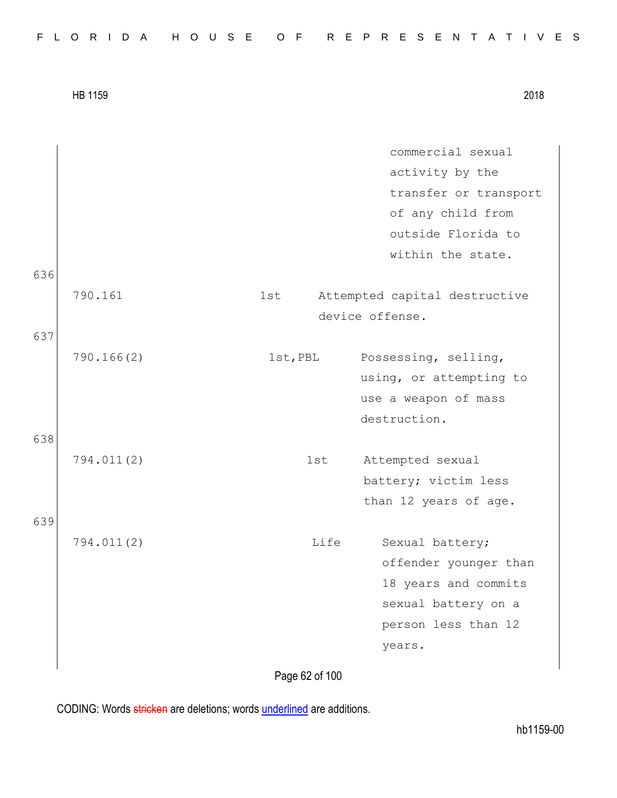|            |                       |     | commercial sexual             |
|------------|-----------------------|-----|-------------------------------|
|            |                       |     | activity by the               |
|            |                       |     | transfer or transport         |
|            |                       |     | of any child from             |
|            |                       |     | outside Florida to            |
|            |                       |     |                               |
|            |                       |     | within the state.             |
|            |                       |     |                               |
|            |                       |     | Attempted capital destructive |
|            |                       |     | device offense.               |
|            |                       |     |                               |
|            |                       |     | Possessing, selling,          |
|            |                       |     | using, or attempting to       |
|            |                       |     | use a weapon of mass          |
|            |                       |     | destruction.                  |
|            |                       |     |                               |
| 794.011(2) |                       |     | Attempted sexual              |
|            |                       |     | battery; victim less          |
|            |                       |     | than 12 years of age.         |
|            |                       |     |                               |
| 794.011(2) |                       |     | Sexual battery;               |
|            |                       |     | offender younger than         |
|            |                       |     | 18 years and commits          |
|            |                       |     | sexual battery on a           |
|            |                       |     | person less than 12           |
|            |                       |     | years.                        |
|            |                       |     |                               |
|            | 790.161<br>790.166(2) | 1st | 1st, PBL<br>1st<br>Life       |

Page 62 of 100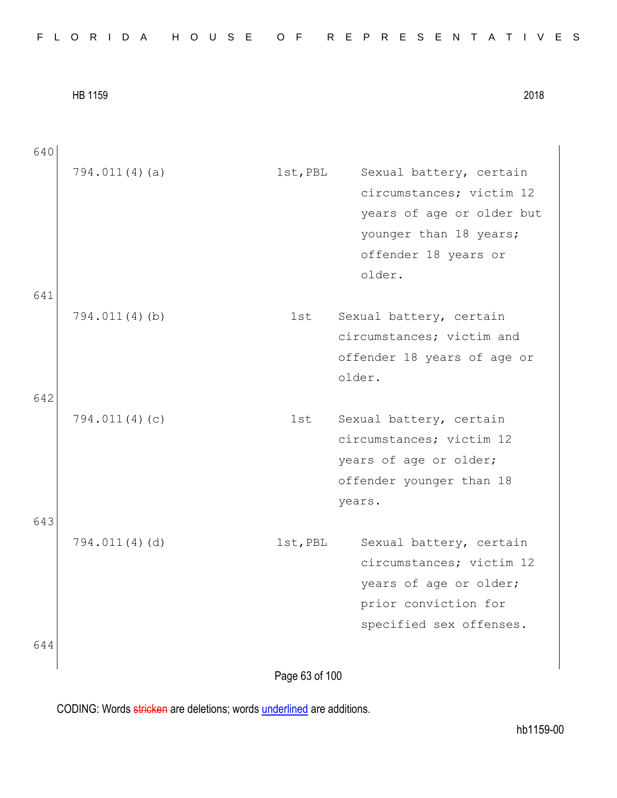| 640 |                  |                |                             |
|-----|------------------|----------------|-----------------------------|
|     | 794.011(4)(a)    | 1st, PBL       | Sexual battery, certain     |
|     |                  |                | circumstances; victim 12    |
|     |                  |                | years of age or older but   |
|     |                  |                | younger than 18 years;      |
|     |                  |                | offender 18 years or        |
|     |                  |                | older.                      |
| 641 |                  |                |                             |
|     | $794.011(4)$ (b) | 1st            | Sexual battery, certain     |
|     |                  |                | circumstances; victim and   |
|     |                  |                | offender 18 years of age or |
|     |                  |                | older.                      |
| 642 |                  |                |                             |
|     | 794.011(4)(c)    | lst            | Sexual battery, certain     |
|     |                  |                | circumstances; victim 12    |
|     |                  |                | years of age or older;      |
|     |                  |                | offender younger than 18    |
|     |                  |                | years.                      |
| 643 |                  |                |                             |
|     | 794.011(4)(d)    | 1st, PBL       | Sexual battery, certain     |
|     |                  |                | circumstances; victim 12    |
|     |                  |                | years of age or older;      |
|     |                  |                | prior conviction for        |
|     |                  |                | specified sex offenses.     |
| 644 |                  |                |                             |
|     |                  |                |                             |
|     |                  | Page 63 of 100 |                             |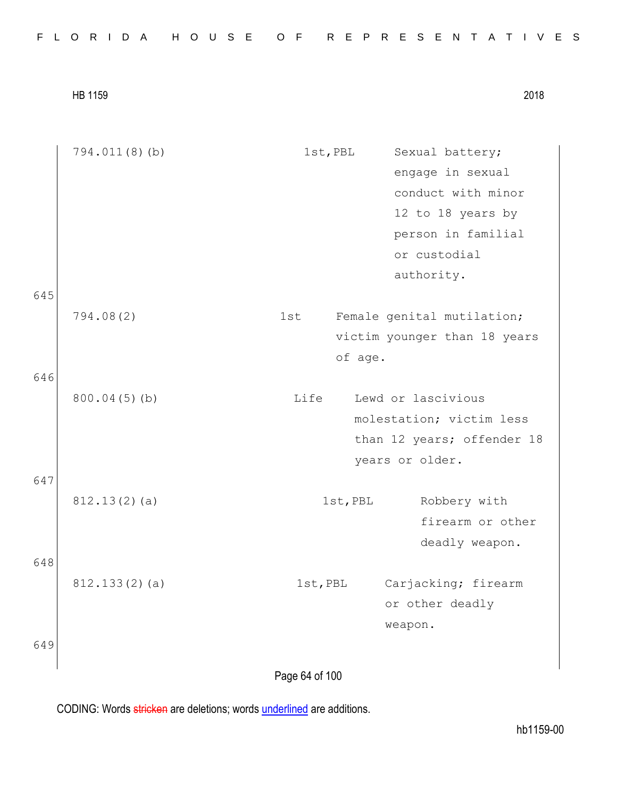|  |  |  |  |  |  |  |  |  |  |  |  |  |  | FLORIDA HOUSE OF REPRESENTATIVES |  |  |  |  |  |  |  |  |  |  |  |  |  |  |  |  |  |  |
|--|--|--|--|--|--|--|--|--|--|--|--|--|--|----------------------------------|--|--|--|--|--|--|--|--|--|--|--|--|--|--|--|--|--|--|
|--|--|--|--|--|--|--|--|--|--|--|--|--|--|----------------------------------|--|--|--|--|--|--|--|--|--|--|--|--|--|--|--|--|--|--|

645

646

647

648

649

794.011(8)(b) 1st, PBL Sexual battery; engage in sexual conduct with minor 12 to 18 years by person in familial or custodial authority. 794.08(2) 1st Female genital mutilation; victim younger than 18 years of age. 800.04(5)(b) Life Lewd or lascivious molestation; victim less than 12 years; offender 18 years or older. 812.13(2)(a) 1st, PBL Robbery with firearm or other deadly weapon. 812.133(2)(a) 1st, PBL Carjacking; firearm or other deadly weapon.

Page 64 of 100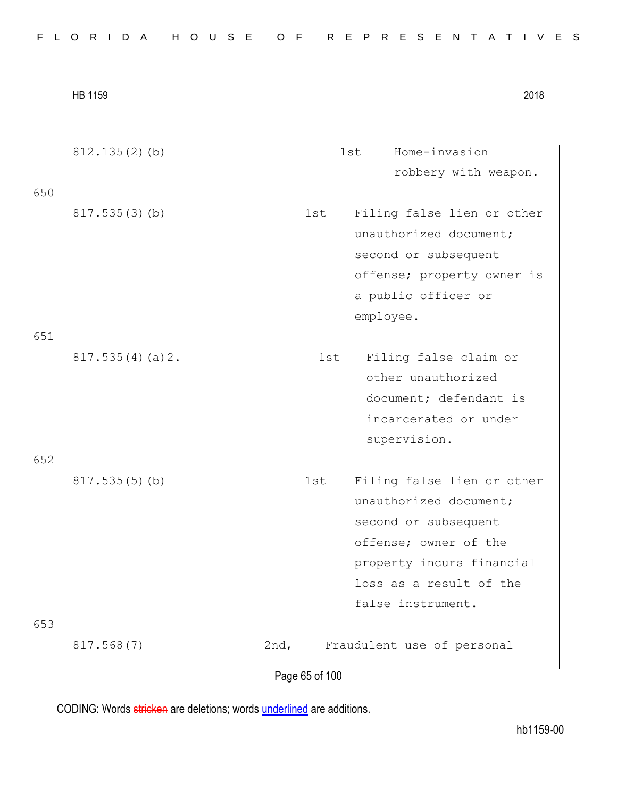|  |  |  |  |  |  |  |  |  |  |  |  |  |  | FLORIDA HOUSE OF REPRESENTATIVES |  |  |  |  |  |  |  |  |  |  |  |  |  |  |  |  |  |  |
|--|--|--|--|--|--|--|--|--|--|--|--|--|--|----------------------------------|--|--|--|--|--|--|--|--|--|--|--|--|--|--|--|--|--|--|
|--|--|--|--|--|--|--|--|--|--|--|--|--|--|----------------------------------|--|--|--|--|--|--|--|--|--|--|--|--|--|--|--|--|--|--|

|            | HB 1159          |                |     |           | 2018                                                                                                                                                                               |  |
|------------|------------------|----------------|-----|-----------|------------------------------------------------------------------------------------------------------------------------------------------------------------------------------------|--|
|            | $812.135(2)$ (b) |                |     | 1st       | Home-invasion<br>robbery with weapon.                                                                                                                                              |  |
| 650<br>651 | 817.535(3)(b)    |                | 1st | employee. | Filing false lien or other<br>unauthorized document;<br>second or subsequent<br>offense; property owner is<br>a public officer or                                                  |  |
|            | 817.535(4)(a)2.  |                | 1st |           | Filing false claim or<br>other unauthorized<br>document; defendant is<br>incarcerated or under<br>supervision.                                                                     |  |
| 652        | 817.535(5)(b)    |                | 1st |           | Filing false lien or other<br>unauthorized document;<br>second or subsequent<br>offense; owner of the<br>property incurs financial<br>loss as a result of the<br>false instrument. |  |
| 653        | 817.568(7)       | 2nd,           |     |           | Fraudulent use of personal                                                                                                                                                         |  |
|            |                  | Page 65 of 100 |     |           |                                                                                                                                                                                    |  |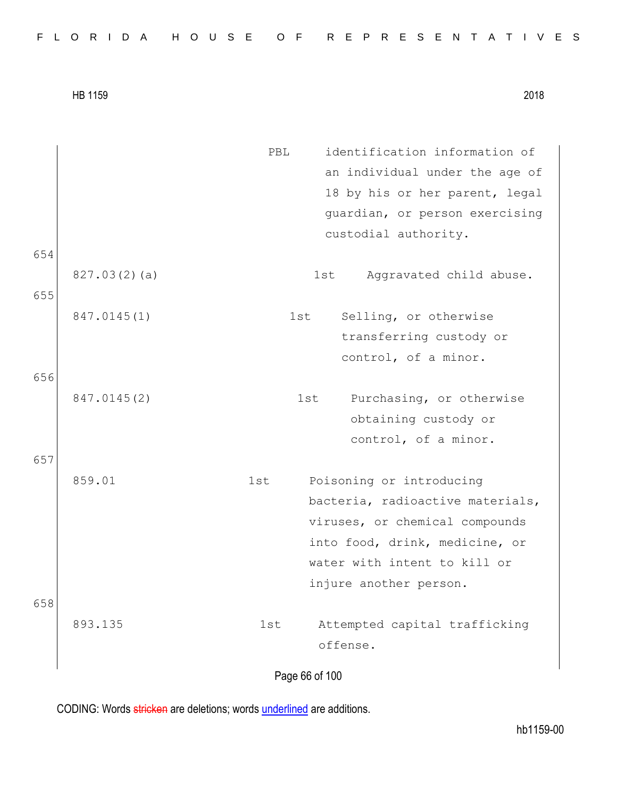| FLORIDA HOUSE OF REPRESENTATIVES |  |  |  |  |  |  |  |  |  |  |  |  |  |  |  |  |  |  |  |  |  |  |  |  |  |  |  |  |  |  |  |  |  |
|----------------------------------|--|--|--|--|--|--|--|--|--|--|--|--|--|--|--|--|--|--|--|--|--|--|--|--|--|--|--|--|--|--|--|--|--|
|----------------------------------|--|--|--|--|--|--|--|--|--|--|--|--|--|--|--|--|--|--|--|--|--|--|--|--|--|--|--|--|--|--|--|--|--|

Page 66 of 100 PBL identification information of an individual under the age of 18 by his or her parent, legal guardian, or person exercising custodial authority. 654 827.03(2)(a) 1st Aggravated child abuse. 655 847.0145(1) 1st Selling, or otherwise transferring custody or control, of a minor. 656 847.0145(2) 1st Purchasing, or otherwise obtaining custody or control, of a minor. 657 859.01 1st Poisoning or introducing bacteria, radioactive materials, viruses, or chemical compounds into food, drink, medicine, or water with intent to kill or injure another person. 658 893.135 1st Attempted capital trafficking offense.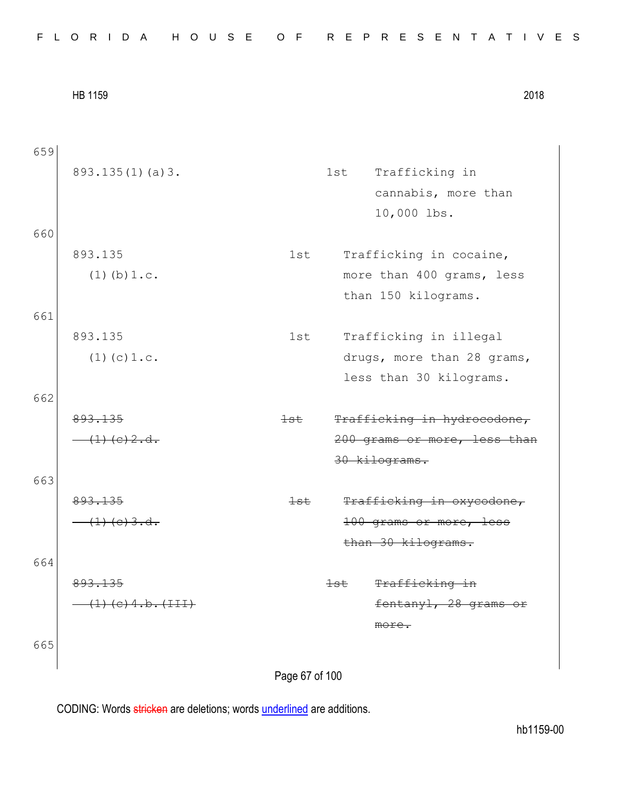|  |  |  |  |  |  |  |  |  |  | FLORIDA HOUSE OF REPRESENTATIVES |  |  |  |  |  |  |  |  |  |  |  |  |  |  |  |  |
|--|--|--|--|--|--|--|--|--|--|----------------------------------|--|--|--|--|--|--|--|--|--|--|--|--|--|--|--|--|
|--|--|--|--|--|--|--|--|--|--|----------------------------------|--|--|--|--|--|--|--|--|--|--|--|--|--|--|--|--|

| 659 |                                      |                |                |                              |
|-----|--------------------------------------|----------------|----------------|------------------------------|
|     | 893.135(1)(a)3.                      |                | 1st            | Trafficking in               |
|     |                                      |                |                | cannabis, more than          |
|     |                                      |                |                | 10,000 lbs.                  |
| 660 |                                      |                |                |                              |
|     | 893.135                              | 1st            |                | Trafficking in cocaine,      |
|     | $(1)$ (b) $1.c.$                     |                |                | more than 400 grams, less    |
|     |                                      |                |                | than 150 kilograms.          |
| 661 |                                      |                |                |                              |
|     | 893.135                              | 1st            |                | Trafficking in illegal       |
|     | $(1)$ (c) $1.c.$                     |                |                | drugs, more than 28 grams,   |
|     |                                      |                |                | less than 30 kilograms.      |
| 662 |                                      |                |                |                              |
|     | 893.135                              | $+$ st         |                | Trafficking in hydrocodone,  |
|     | $\frac{(1)(e)}{(2 \cdot 2 \cdot 4)}$ |                |                | 200 grams or more, less than |
|     |                                      |                |                | 30 kilograms.                |
| 663 |                                      |                |                |                              |
|     | 893.135                              | <del>lst</del> |                | Trafficking in oxycodone,    |
|     | $(1)$ (e) 3.d.                       |                |                | 100 grams or more, less      |
|     |                                      |                |                | than 30 kilograms.           |
| 664 |                                      |                |                |                              |
|     | 893.135                              |                | <del>lst</del> | Trafficking in               |
|     | $(1)$ (e) 4.b. (III)                 |                |                | fentanyl, 28 grams or        |
|     |                                      |                |                | $m$ ore.                     |
| 665 |                                      |                |                |                              |
|     |                                      |                |                |                              |

Page 67 of 100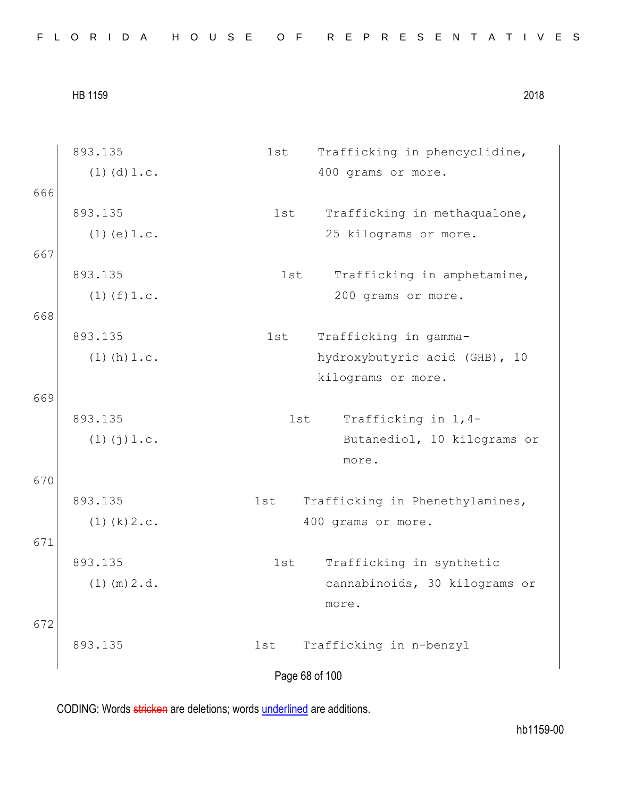| FLORIDA HOUSE OF REPRESENTATIVES |  |  |  |  |  |  |  |  |  |  |  |  |  |  |  |  |  |  |  |  |  |  |  |  |  |  |  |  |  |  |
|----------------------------------|--|--|--|--|--|--|--|--|--|--|--|--|--|--|--|--|--|--|--|--|--|--|--|--|--|--|--|--|--|--|
|----------------------------------|--|--|--|--|--|--|--|--|--|--|--|--|--|--|--|--|--|--|--|--|--|--|--|--|--|--|--|--|--|--|

Page 68 of 100 893.135  $(1)(d)1.c.$ 1st Trafficking in phencyclidine, 400 grams or more. 666 893.135  $(1)(e)1.c.$ 1st Trafficking in methaqualone, 25 kilograms or more. 667 893.135  $(1)(f)1.c.$ 1st Trafficking in amphetamine, 200 grams or more. 668 893.135  $(1)(h)1.c.$ 1st Trafficking in gammahydroxybutyric acid (GHB), 10 kilograms or more. 669 893.135 (1)(j)1.c. 1st Trafficking in 1,4- Butanediol, 10 kilograms or more. 670 893.135  $(1)(k)2.c.$ 1st Trafficking in Phenethylamines, 400 grams or more. 671 893.135 (1)(m)2.d. 1st Trafficking in synthetic cannabinoids, 30 kilograms or more. 672 893.135 1st Trafficking in n-benzyl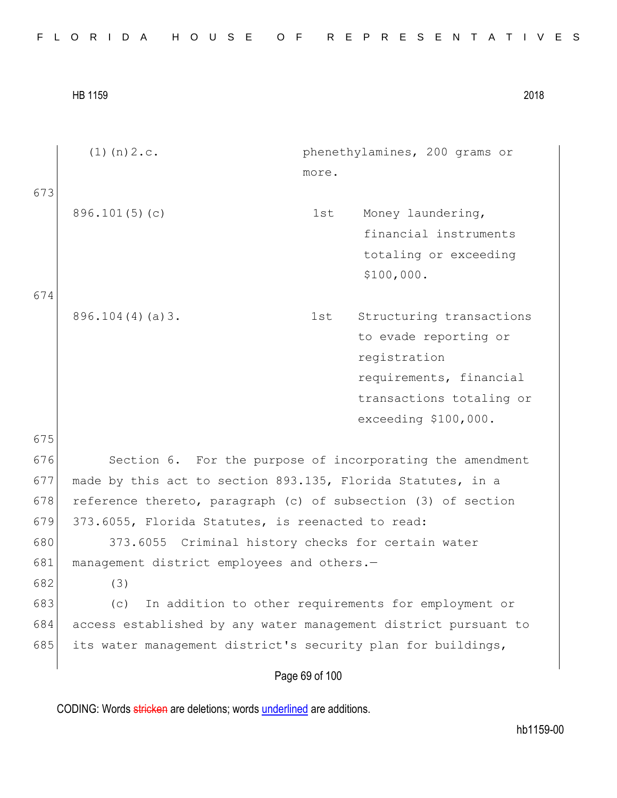| FLORIDA HOUSE OF REPRESENTATIVES |  |
|----------------------------------|--|
|----------------------------------|--|

|     | $(1)$ (n) $2.c.$<br>phenethylamines, 200 grams or               |  |
|-----|-----------------------------------------------------------------|--|
|     | more.                                                           |  |
| 673 |                                                                 |  |
|     | 896.101(5)(c)<br>Money laundering,<br>1st                       |  |
|     | financial instruments                                           |  |
|     | totaling or exceeding                                           |  |
|     | \$100,000.                                                      |  |
| 674 |                                                                 |  |
|     | $896.104(4)(a)$ 3.<br>Structuring transactions<br>1st           |  |
|     | to evade reporting or                                           |  |
|     | registration                                                    |  |
|     | requirements, financial                                         |  |
|     | transactions totaling or                                        |  |
|     | exceeding \$100,000.                                            |  |
| 675 |                                                                 |  |
| 676 | Section 6. For the purpose of incorporating the amendment       |  |
| 677 | made by this act to section 893.135, Florida Statutes, in a     |  |
| 678 | reference thereto, paragraph (c) of subsection (3) of section   |  |
| 679 | 373.6055, Florida Statutes, is reenacted to read:               |  |
| 680 | 373.6055 Criminal history checks for certain water              |  |
| 681 | management district employees and others.-                      |  |
| 682 | (3)                                                             |  |
| 683 | In addition to other requirements for employment or<br>(C)      |  |
| 684 | access established by any water management district pursuant to |  |
| 685 | its water management district's security plan for buildings,    |  |
|     | Page 69 of 100                                                  |  |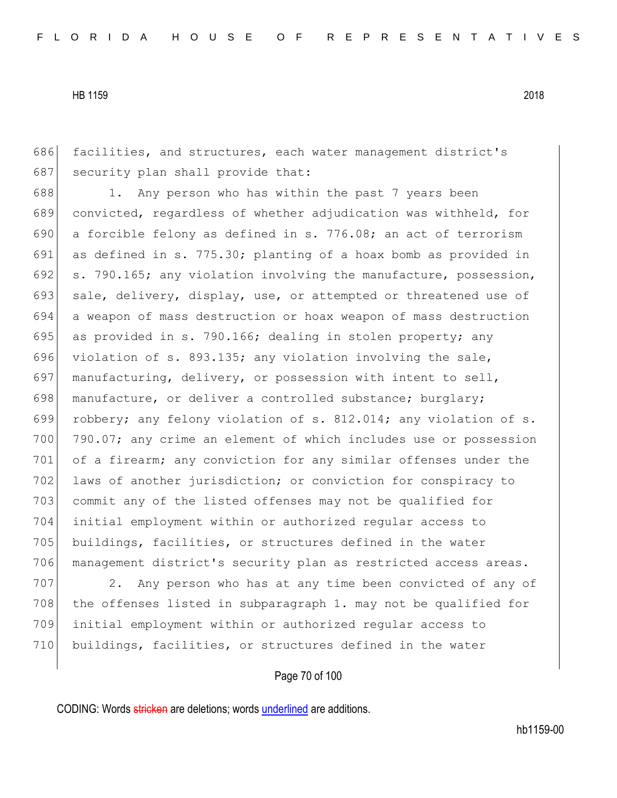686 facilities, and structures, each water management district's 687 security plan shall provide that:

688 1. Any person who has within the past 7 years been 689 convicted, regardless of whether adjudication was withheld, for 690 a forcible felony as defined in s. 776.08; an act of terrorism 691 as defined in s. 775.30; planting of a hoax bomb as provided in 692 s. 790.165; any violation involving the manufacture, possession, 693 sale, delivery, display, use, or attempted or threatened use of 694 a weapon of mass destruction or hoax weapon of mass destruction 695 as provided in s. 790.166; dealing in stolen property; any 696 violation of s. 893.135; any violation involving the sale, 697 manufacturing, delivery, or possession with intent to sell, 698 manufacture, or deliver a controlled substance; burglary; 699 robbery; any felony violation of s. 812.014; any violation of s. 700 790.07; any crime an element of which includes use or possession 701 of a firearm; any conviction for any similar offenses under the 702 laws of another jurisdiction; or conviction for conspiracy to 703 commit any of the listed offenses may not be qualified for 704 initial employment within or authorized regular access to 705 buildings, facilities, or structures defined in the water 706 management district's security plan as restricted access areas.

707 2. Any person who has at any time been convicted of any of 708 the offenses listed in subparagraph 1. may not be qualified for 709 initial employment within or authorized regular access to 710 buildings, facilities, or structures defined in the water

## Page 70 of 100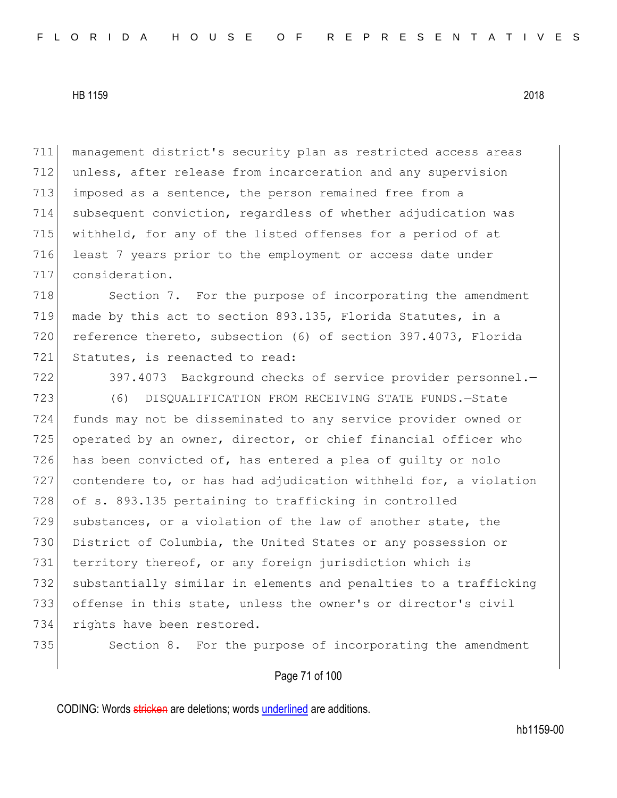management district's security plan as restricted access areas unless, after release from incarceration and any supervision imposed as a sentence, the person remained free from a subsequent conviction, regardless of whether adjudication was withheld, for any of the listed offenses for a period of at 716 least 7 years prior to the employment or access date under consideration.

718 Section 7. For the purpose of incorporating the amendment 719 made by this act to section 893.135, Florida Statutes, in a 720 reference thereto, subsection (6) of section 397.4073, Florida 721 Statutes, is reenacted to read:

722 397.4073 Background checks of service provider personnel.-723 (6) DISQUALIFICATION FROM RECEIVING STATE FUNDS.—State 724 funds may not be disseminated to any service provider owned or 725 operated by an owner, director, or chief financial officer who 726 has been convicted of, has entered a plea of guilty or nolo 727 contendere to, or has had adjudication withheld for, a violation 728 of s. 893.135 pertaining to trafficking in controlled 729 substances, or a violation of the law of another state, the 730 District of Columbia, the United States or any possession or 731 territory thereof, or any foreign jurisdiction which is 732 substantially similar in elements and penalties to a trafficking 733 offense in this state, unless the owner's or director's civil 734 rights have been restored.

735 Section 8. For the purpose of incorporating the amendment

Page 71 of 100

CODING: Words stricken are deletions; words underlined are additions.

hb1159-00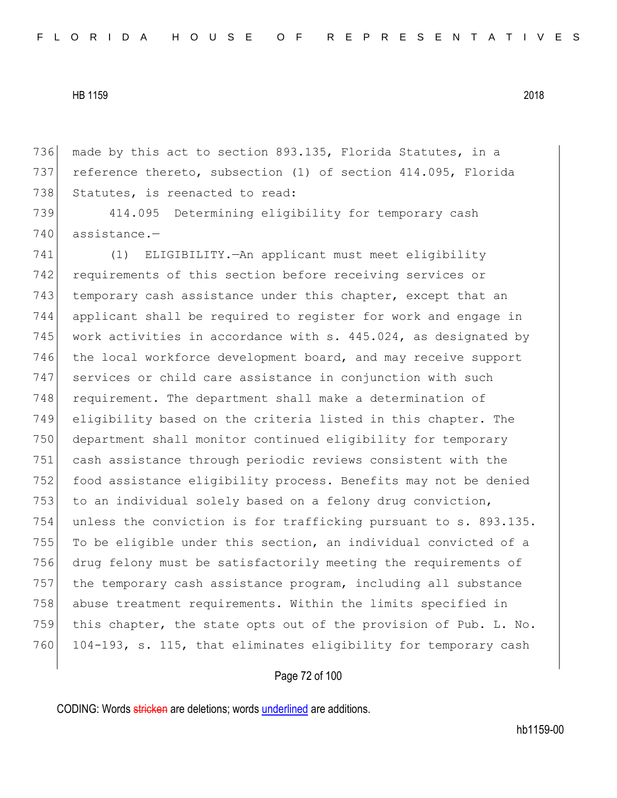736 made by this act to section 893.135, Florida Statutes, in a 737 reference thereto, subsection (1) of section 414.095, Florida 738 Statutes, is reenacted to read:

739 414.095 Determining eligibility for temporary cash 740 assistance.-

741 (1) ELIGIBILITY.—An applicant must meet eligibility 742 requirements of this section before receiving services or 743 temporary cash assistance under this chapter, except that an 744 applicant shall be required to register for work and engage in 745 work activities in accordance with s.  $445.024$ , as designated by 746 the local workforce development board, and may receive support 747 services or child care assistance in conjunction with such 748 requirement. The department shall make a determination of 749 eligibility based on the criteria listed in this chapter. The 750 department shall monitor continued eligibility for temporary 751 cash assistance through periodic reviews consistent with the 752 food assistance eligibility process. Benefits may not be denied 753 to an individual solely based on a felony drug conviction, 754 unless the conviction is for trafficking pursuant to s. 893.135. 755 To be eligible under this section, an individual convicted of a 756 drug felony must be satisfactorily meeting the requirements of 757 the temporary cash assistance program, including all substance 758 abuse treatment requirements. Within the limits specified in 759 this chapter, the state opts out of the provision of Pub. L. No. 760 104-193, s. 115, that eliminates eligibility for temporary cash

## Page 72 of 100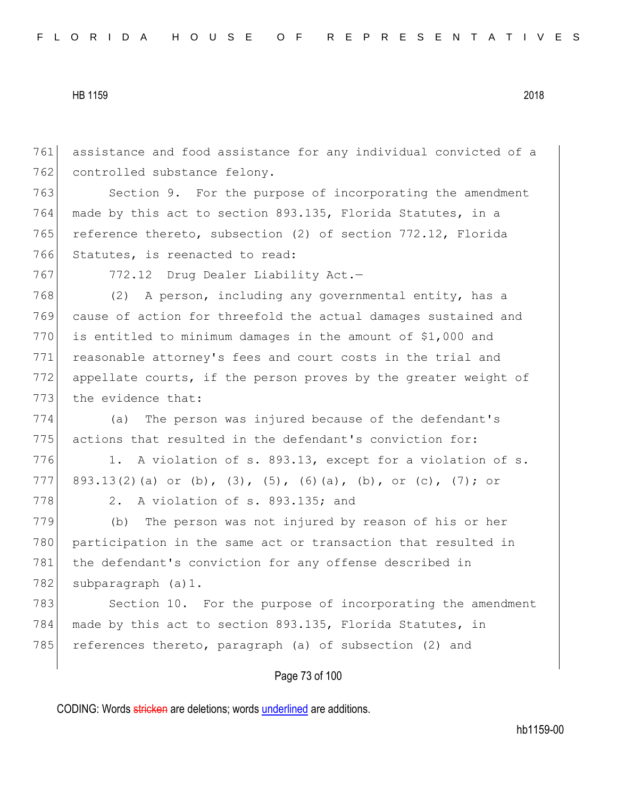761 assistance and food assistance for any individual convicted of a 762 controlled substance felony.

763 Section 9. For the purpose of incorporating the amendment 764 made by this act to section 893.135, Florida Statutes, in a 765 reference thereto, subsection (2) of section 772.12, Florida 766 Statutes, is reenacted to read:

767 772.12 Drug Dealer Liability Act.-

768 (2) A person, including any governmental entity, has a 769 cause of action for threefold the actual damages sustained and 770 is entitled to minimum damages in the amount of  $$1,000$  and 771 reasonable attorney's fees and court costs in the trial and 772 appellate courts, if the person proves by the greater weight of 773 the evidence that:

774 (a) The person was injured because of the defendant's 775 actions that resulted in the defendant's conviction for:

776 1. A violation of s. 893.13, except for a violation of s. 777 893.13(2)(a) or (b), (3), (5), (6)(a), (b), or (c), (7); or 778 2. A violation of s. 893.135; and

779 (b) The person was not injured by reason of his or her 780 participation in the same act or transaction that resulted in 781 the defendant's conviction for any offense described in 782 subparagraph (a) 1.

783 Section 10. For the purpose of incorporating the amendment 784 made by this act to section 893.135, Florida Statutes, in 785 references thereto, paragraph (a) of subsection (2) and

# Page 73 of 100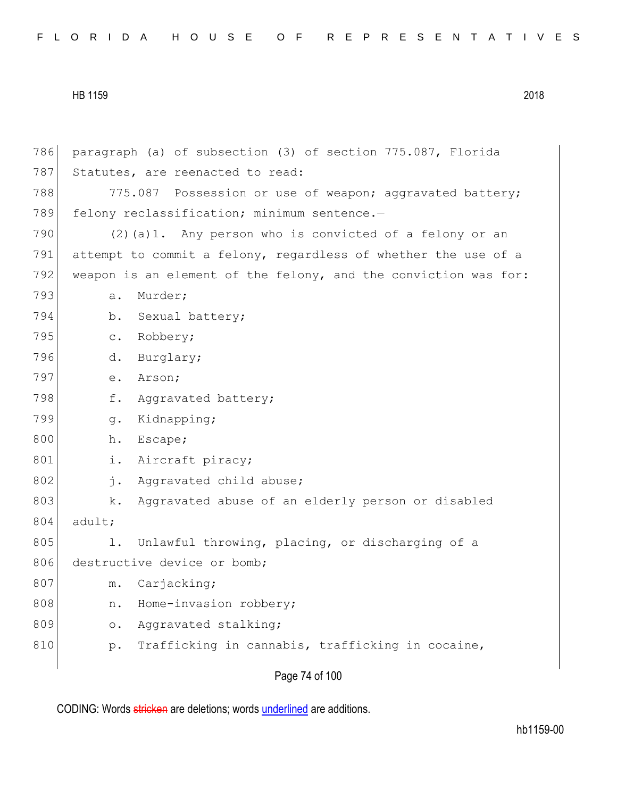786 paragraph (a) of subsection (3) of section 775.087, Florida 787 Statutes, are reenacted to read: 788 775.087 Possession or use of weapon; aggravated battery; 789 felony reclassification; minimum sentence.-790  $(2)(a)1$ . Any person who is convicted of a felony or an 791 attempt to commit a felony, regardless of whether the use of a 792 weapon is an element of the felony, and the conviction was for: 793 a. Murder; 794 b. Sexual battery; 795 c. Robbery; 796 d. Burglary; 797 e. Arson; 798 f. Aggravated battery; 799 g. Kidnapping; 800 h. Escape; 801 i. Aircraft piracy; 802 j. Aggravated child abuse; 803 k. Aggravated abuse of an elderly person or disabled 804 adult; 805 1. Unlawful throwing, placing, or discharging of a 806 destructive device or bomb; 807 m. Carjacking; 808 n. Home-invasion robbery; 809 o. Aggravated stalking; 810 p. Trafficking in cannabis, trafficking in cocaine,

Page 74 of 100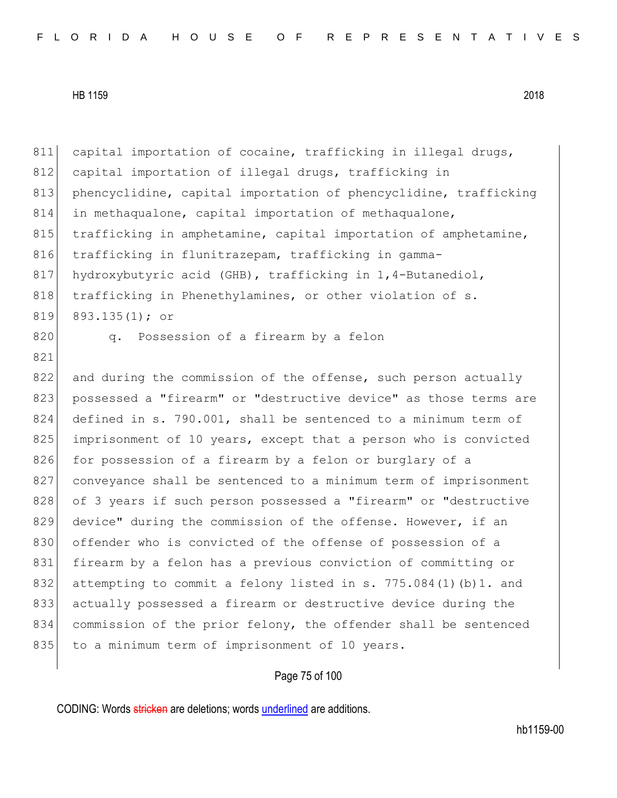811 capital importation of cocaine, trafficking in illegal drugs, 812 capital importation of illegal drugs, trafficking in 813 phencyclidine, capital importation of phencyclidine, trafficking 814 in methaqualone, capital importation of methaqualone, 815 trafficking in amphetamine, capital importation of amphetamine, 816 trafficking in flunitrazepam, trafficking in gamma-817 hydroxybutyric acid (GHB), trafficking in 1,4-Butanediol, 818 trafficking in Phenethylamines, or other violation of s. 819 893.135(1); or 820 q. Possession of a firearm by a felon 821 822 and during the commission of the offense, such person actually 823 possessed a "firearm" or "destructive device" as those terms are 824 defined in s. 790.001, shall be sentenced to a minimum term of 825 imprisonment of 10 years, except that a person who is convicted 826 for possession of a firearm by a felon or burglary of a 827 conveyance shall be sentenced to a minimum term of imprisonment 828 of 3 years if such person possessed a "firearm" or "destructive 829 device" during the commission of the offense. However, if an 830 offender who is convicted of the offense of possession of a 831 firearm by a felon has a previous conviction of committing or 832 attempting to commit a felony listed in s. 775.084(1)(b)1. and 833 actually possessed a firearm or destructive device during the 834 commission of the prior felony, the offender shall be sentenced 835 to a minimum term of imprisonment of 10 years.

# Page 75 of 100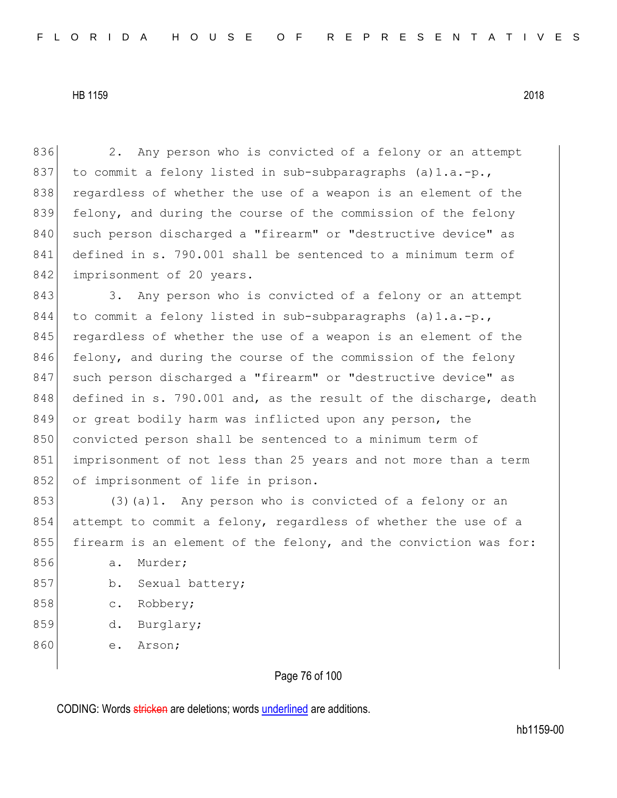836 2. Any person who is convicted of a felony or an attempt 837 to commit a felony listed in sub-subparagraphs  $(a) 1.a.-p.$ 838 regardless of whether the use of a weapon is an element of the 839 felony, and during the course of the commission of the felony 840 such person discharged a "firearm" or "destructive device" as 841 defined in s. 790.001 shall be sentenced to a minimum term of 842 imprisonment of 20 years.

843 3. Any person who is convicted of a felony or an attempt 844 to commit a felony listed in sub-subparagraphs  $(a) 1.a.-p.$ 845 regardless of whether the use of a weapon is an element of the 846 felony, and during the course of the commission of the felony 847 such person discharged a "firearm" or "destructive device" as 848 defined in s. 790.001 and, as the result of the discharge, death 849 or great bodily harm was inflicted upon any person, the 850 convicted person shall be sentenced to a minimum term of 851 imprisonment of not less than 25 years and not more than a term 852 of imprisonment of life in prison.

853 (3)(a)1. Any person who is convicted of a felony or an 854 attempt to commit a felony, regardless of whether the use of a 855 firearm is an element of the felony, and the conviction was for:

- 856 a. Murder;
- 857 b. Sexual battery;
- 858 c. Robbery;
- 859 d. Burglary;
- 860 e. Arson;

Page 76 of 100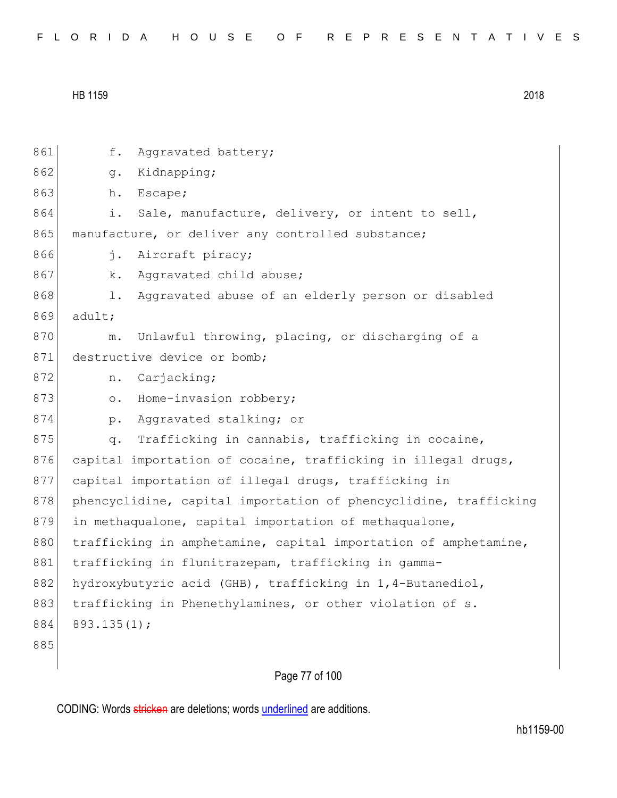| FLORIDA HOUSE OF REPRESENTATIVES |  |
|----------------------------------|--|
|----------------------------------|--|

| 861 | f.<br>Aggravated battery;                                        |
|-----|------------------------------------------------------------------|
| 862 | Kidnapping;<br>g.                                                |
| 863 | Escape;<br>h.                                                    |
| 864 | Sale, manufacture, delivery, or intent to sell,<br>i.            |
| 865 | manufacture, or deliver any controlled substance;                |
| 866 | Aircraft piracy;<br>j.                                           |
| 867 | Aggravated child abuse;<br>k.                                    |
| 868 | Aggravated abuse of an elderly person or disabled<br>l.          |
| 869 | adult;                                                           |
| 870 | Unlawful throwing, placing, or discharging of a<br>$m$ .         |
| 871 | destructive device or bomb;                                      |
| 872 | Carjacking;<br>n.                                                |
| 873 | Home-invasion robbery;<br>$\circ$ .                              |
| 874 | Aggravated stalking; or<br>$p$ .                                 |
| 875 | Trafficking in cannabis, trafficking in cocaine,<br>q.           |
| 876 | capital importation of cocaine, trafficking in illegal drugs,    |
| 877 | capital importation of illegal drugs, trafficking in             |
| 878 | phencyclidine, capital importation of phencyclidine, trafficking |
| 879 | in methaqualone, capital importation of methaqualone,            |
| 880 | trafficking in amphetamine, capital importation of amphetamine,  |
| 881 | trafficking in flunitrazepam, trafficking in gamma-              |
| 882 | hydroxybutyric acid (GHB), trafficking in 1,4-Butanediol,        |
| 883 | trafficking in Phenethylamines, or other violation of s.         |
| 884 | 893.135(1);                                                      |
| 885 |                                                                  |
|     |                                                                  |

# Page 77 of 100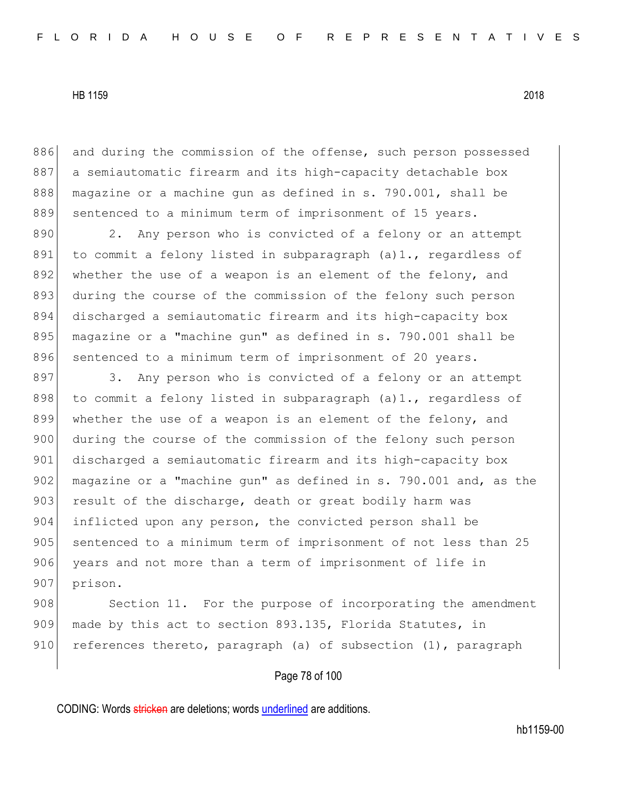886 and during the commission of the offense, such person possessed 887 a semiautomatic firearm and its high-capacity detachable box 888 magazine or a machine gun as defined in s. 790.001, shall be 889 sentenced to a minimum term of imprisonment of 15 years.

890 2. Any person who is convicted of a felony or an attempt 891 to commit a felony listed in subparagraph (a)1., regardless of 892 whether the use of a weapon is an element of the felony, and 893 during the course of the commission of the felony such person 894 discharged a semiautomatic firearm and its high-capacity box 895 magazine or a "machine gun" as defined in s. 790.001 shall be 896 sentenced to a minimum term of imprisonment of 20 years.

897 3. Any person who is convicted of a felony or an attempt 898 to commit a felony listed in subparagraph  $(a)$ 1., regardless of 899 whether the use of a weapon is an element of the felony, and 900 during the course of the commission of the felony such person 901 discharged a semiautomatic firearm and its high-capacity box 902 magazine or a "machine gun" as defined in s. 790.001 and, as the 903 result of the discharge, death or great bodily harm was 904 inflicted upon any person, the convicted person shall be 905 sentenced to a minimum term of imprisonment of not less than 25 906 years and not more than a term of imprisonment of life in 907 prison.

908 Section 11. For the purpose of incorporating the amendment 909 made by this act to section 893.135, Florida Statutes, in 910 references thereto, paragraph (a) of subsection  $(1)$ , paragraph

## Page 78 of 100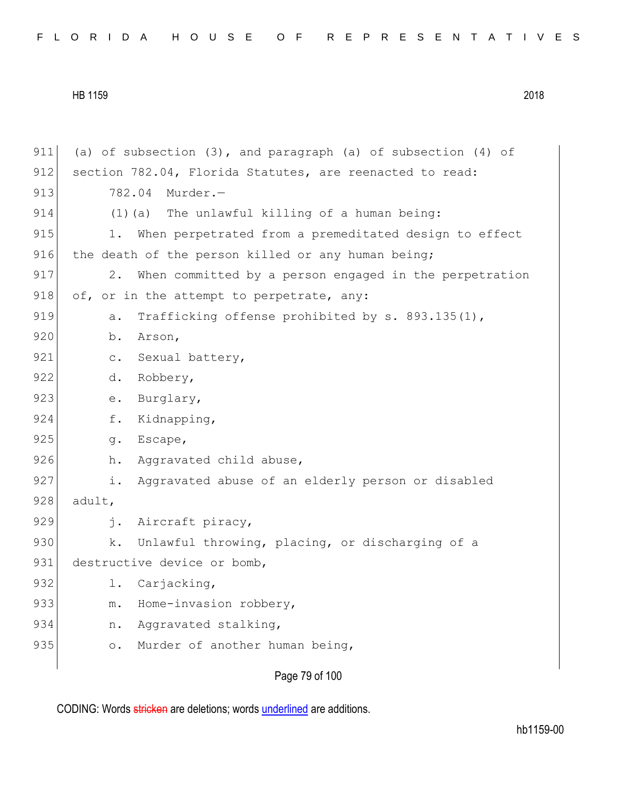|  |  |  |  |  |  |  |  |  |  | FLORIDA HOUSE OF REPRESENTATIVES |  |  |  |  |  |  |  |  |  |  |  |  |  |  |  |  |
|--|--|--|--|--|--|--|--|--|--|----------------------------------|--|--|--|--|--|--|--|--|--|--|--|--|--|--|--|--|
|--|--|--|--|--|--|--|--|--|--|----------------------------------|--|--|--|--|--|--|--|--|--|--|--|--|--|--|--|--|

| 911 | (a) of subsection $(3)$ , and paragraph (a) of subsection $(4)$ of |
|-----|--------------------------------------------------------------------|
| 912 | section 782.04, Florida Statutes, are reenacted to read:           |
| 913 | 782.04<br>Murder.-                                                 |
| 914 | (1) (a) The unlawful killing of a human being:                     |
| 915 | When perpetrated from a premeditated design to effect<br>1.        |
| 916 | the death of the person killed or any human being;                 |
| 917 | 2.<br>When committed by a person engaged in the perpetration       |
| 918 | of, or in the attempt to perpetrate, any:                          |
| 919 | Trafficking offense prohibited by s. 893.135(1),<br>a.             |
| 920 | b.<br>Arson,                                                       |
| 921 | Sexual battery,<br>$\mathtt{C}$ .                                  |
| 922 | Robbery,<br>d.                                                     |
| 923 | Burglary,<br>e.                                                    |
| 924 | Kidnapping,<br>f.                                                  |
| 925 | Escape,<br>g.                                                      |
| 926 | Aggravated child abuse,<br>h.                                      |
| 927 | Aggravated abuse of an elderly person or disabled<br>i.            |
| 928 | adult,                                                             |
| 929 | Aircraft piracy,<br>$\mathbf{i}$ .                                 |
| 930 | Unlawful throwing, placing, or discharging of a<br>k.              |
| 931 | destructive device or bomb,                                        |
| 932 | 1.<br>Carjacking,                                                  |
| 933 | Home-invasion robbery,<br>$m$ .                                    |
| 934 | Aggravated stalking,<br>n.                                         |
| 935 | Murder of another human being,<br>$\circ$ .                        |
|     |                                                                    |

Page 79 of 100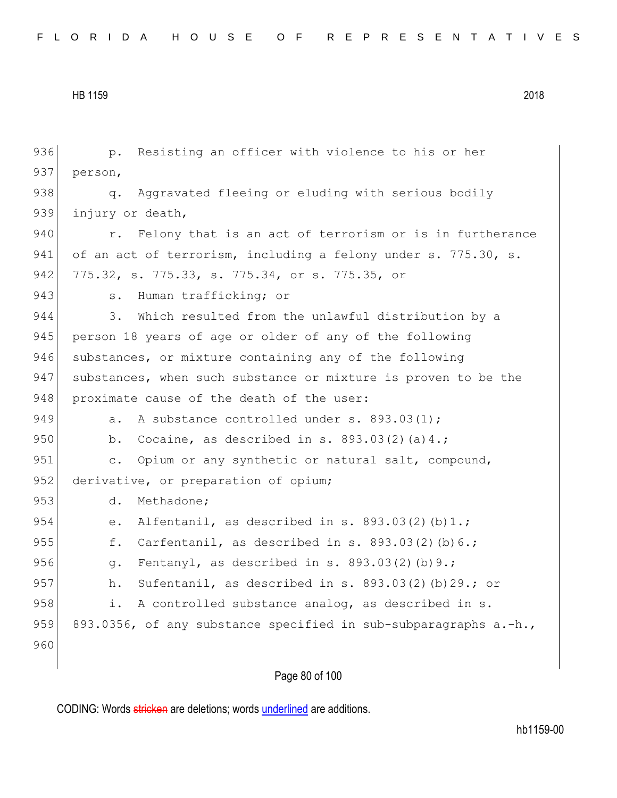| 936 | Resisting an officer with violence to his or her<br>$p$ .        |
|-----|------------------------------------------------------------------|
| 937 | person,                                                          |
| 938 | Aggravated fleeing or eluding with serious bodily<br>q.          |
| 939 | injury or death,                                                 |
| 940 | Felony that is an act of terrorism or is in furtherance<br>r.    |
| 941 | of an act of terrorism, including a felony under s. 775.30, s.   |
| 942 | 775.32, s. 775.33, s. 775.34, or s. 775.35, or                   |
| 943 | Human trafficking; or<br>s.                                      |
| 944 | Which resulted from the unlawful distribution by a<br>3.         |
| 945 | person 18 years of age or older of any of the following          |
| 946 | substances, or mixture containing any of the following           |
| 947 | substances, when such substance or mixture is proven to be the   |
| 948 | proximate cause of the death of the user:                        |
| 949 | A substance controlled under s. 893.03(1);<br>a.                 |
| 950 | Cocaine, as described in s. $893.03(2)(a)4.$ ;<br>$b$ .          |
| 951 | Opium or any synthetic or natural salt, compound,<br>$\circ$ .   |
| 952 | derivative, or preparation of opium;                             |
| 953 | d.<br>Methadone;                                                 |
| 954 | Alfentanil, as described in s. $893.03(2)(b)1.$ ;<br>е.          |
| 955 | Carfentanil, as described in s. 893.03(2)(b)6.;<br>f.            |
| 956 | Fentanyl, as described in s. $893.03(2)(b)9.$ ;<br>q.            |
| 957 | Sufentanil, as described in s. $893.03(2)$ (b) 29.; or<br>h.     |
| 958 | A controlled substance analog, as described in s.<br>i.          |
| 959 | 893.0356, of any substance specified in sub-subparagraphs a.-h., |
| 960 |                                                                  |
|     | Page 80 of 100                                                   |
|     |                                                                  |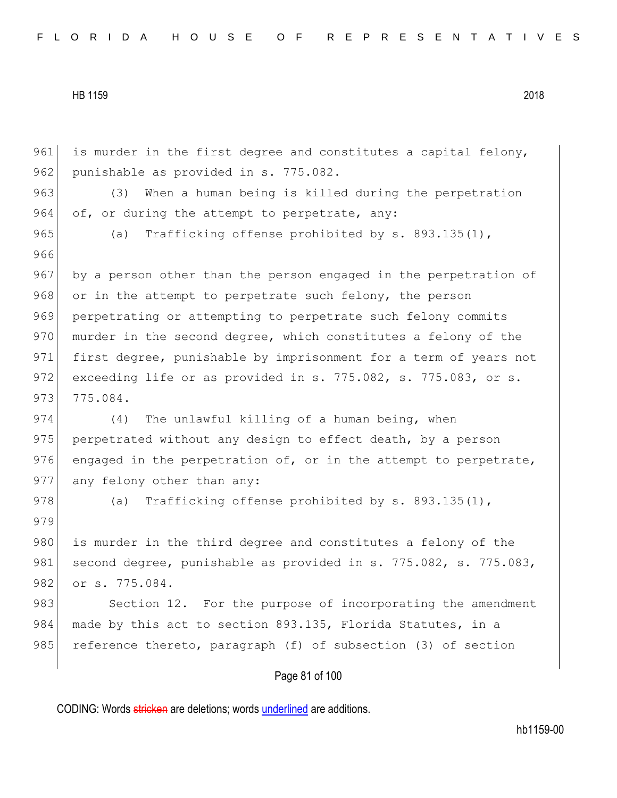961 is murder in the first degree and constitutes a capital felony, 962 punishable as provided in s. 775.082. 963 (3) When a human being is killed during the perpetration 964 of, or during the attempt to perpetrate, any: 965 (a) Trafficking offense prohibited by s. 893.135(1), 966 967 by a person other than the person engaged in the perpetration of 968 or in the attempt to perpetrate such felony, the person 969 perpetrating or attempting to perpetrate such felony commits 970 murder in the second degree, which constitutes a felony of the 971 first degree, punishable by imprisonment for a term of years not 972 exceeding life or as provided in s. 775.082, s. 775.083, or s. 973 775.084. 974 (4) The unlawful killing of a human being, when 975 perpetrated without any design to effect death, by a person 976 engaged in the perpetration of, or in the attempt to perpetrate, 977 any felony other than any: 978 (a) Trafficking offense prohibited by s. 893.135(1), 979 980 is murder in the third degree and constitutes a felony of the 981 second degree, punishable as provided in s. 775.082, s. 775.083, 982 or s. 775.084. 983 Section 12. For the purpose of incorporating the amendment 984 made by this act to section 893.135, Florida Statutes, in a 985 reference thereto, paragraph (f) of subsection (3) of section

# Page 81 of 100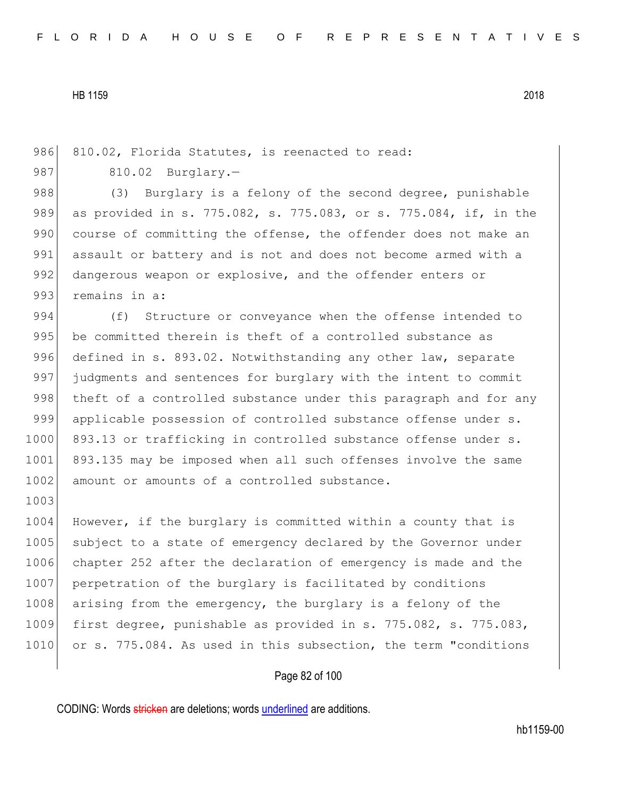1003

986 810.02, Florida Statutes, is reenacted to read: 987 810.02 Burglary.-

988 (3) Burglary is a felony of the second degree, punishable 989 as provided in s. 775.082, s. 775.083, or s. 775.084, if, in the 990 course of committing the offense, the offender does not make an 991 assault or battery and is not and does not become armed with a 992 dangerous weapon or explosive, and the offender enters or 993 remains in a:

994 (f) Structure or conveyance when the offense intended to 995 be committed therein is theft of a controlled substance as 996 defined in s. 893.02. Notwithstanding any other law, separate 997 judgments and sentences for burglary with the intent to commit 998 theft of a controlled substance under this paragraph and for any 999 applicable possession of controlled substance offense under s. 1000 893.13 or trafficking in controlled substance offense under s. 1001 893.135 may be imposed when all such offenses involve the same 1002 amount or amounts of a controlled substance.

1004 However, if the burglary is committed within a county that is 1005 subject to a state of emergency declared by the Governor under 1006 chapter 252 after the declaration of emergency is made and the 1007 perpetration of the burglary is facilitated by conditions 1008 arising from the emergency, the burglary is a felony of the 1009 first degree, punishable as provided in s. 775.082, s. 775.083, 1010 or s. 775.084. As used in this subsection, the term "conditions

## Page 82 of 100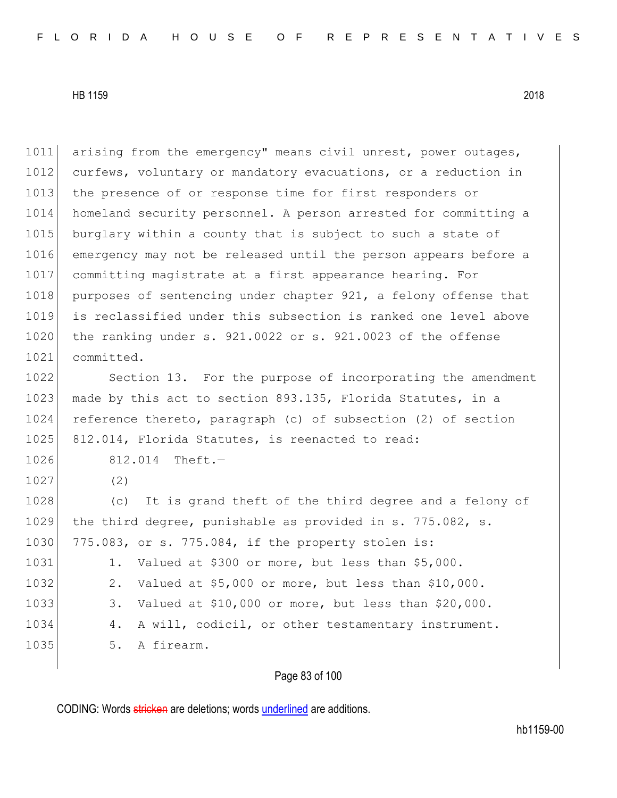1011 arising from the emergency" means civil unrest, power outages, 1012 curfews, voluntary or mandatory evacuations, or a reduction in 1013 the presence of or response time for first responders or 1014 homeland security personnel. A person arrested for committing a 1015 burglary within a county that is subject to such a state of 1016 emergency may not be released until the person appears before a 1017 committing magistrate at a first appearance hearing. For 1018 purposes of sentencing under chapter 921, a felony offense that 1019 is reclassified under this subsection is ranked one level above 1020 the ranking under s. 921.0022 or s. 921.0023 of the offense 1021 committed.

1022 Section 13. For the purpose of incorporating the amendment 1023 made by this act to section 893.135, Florida Statutes, in a 1024 reference thereto, paragraph (c) of subsection (2) of section 1025 812.014, Florida Statutes, is reenacted to read:

1026 812.014 Theft.-

1027 (2)

1028 (c) It is grand theft of the third degree and a felony of 1029 the third degree, punishable as provided in s. 775.082, s. 1030 775.083, or s. 775.084, if the property stolen is: 1031 1. Valued at \$300 or more, but less than \$5,000. 1032 2. Valued at \$5,000 or more, but less than \$10,000. 1033 3. Valued at \$10,000 or more, but less than \$20,000.

1034 4. A will, codicil, or other testamentary instrument.

1035 5. A firearm.

Page 83 of 100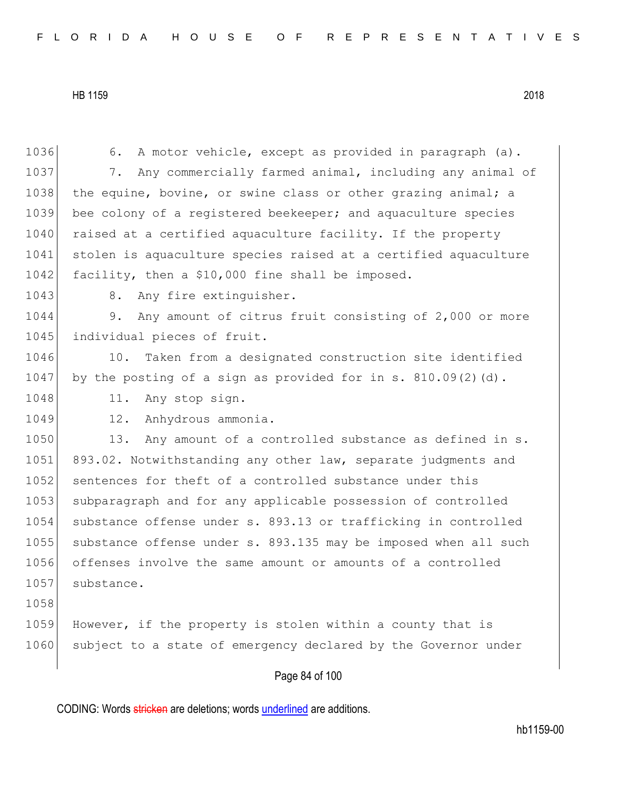| 1036 | A motor vehicle, except as provided in paragraph (a).<br>6.     |
|------|-----------------------------------------------------------------|
| 1037 | Any commercially farmed animal, including any animal of<br>7.   |
| 1038 | the equine, bovine, or swine class or other grazing animal; a   |
| 1039 | bee colony of a registered beekeeper; and aquaculture species   |
| 1040 | raised at a certified aquaculture facility. If the property     |
| 1041 | stolen is aquaculture species raised at a certified aquaculture |
| 1042 | facility, then a \$10,000 fine shall be imposed.                |
| 1043 | 8.<br>Any fire extinguisher.                                    |
| 1044 | Any amount of citrus fruit consisting of 2,000 or more<br>9.    |
| 1045 | individual pieces of fruit.                                     |
| 1046 | 10. Taken from a designated construction site identified        |
| 1047 | by the posting of a sign as provided for in s. $810.09(2)(d)$ . |
| 1048 | Any stop sign.<br>11.                                           |
| 1049 | Anhydrous ammonia.<br>12.                                       |
| 1050 | Any amount of a controlled substance as defined in s.<br>13.    |
| 1051 | 893.02. Notwithstanding any other law, separate judgments and   |
| 1052 | sentences for theft of a controlled substance under this        |
| 1053 | subparagraph and for any applicable possession of controlled    |
| 1054 | substance offense under s. 893.13 or trafficking in controlled  |
| 1055 | substance offense under s. 893.135 may be imposed when all such |
| 1056 | offenses involve the same amount or amounts of a controlled     |
| 1057 | substance.                                                      |
| 1058 |                                                                 |
| 1059 | However, if the property is stolen within a county that is      |
| 1060 | subject to a state of emergency declared by the Governor under  |
|      | Page 84 of 100                                                  |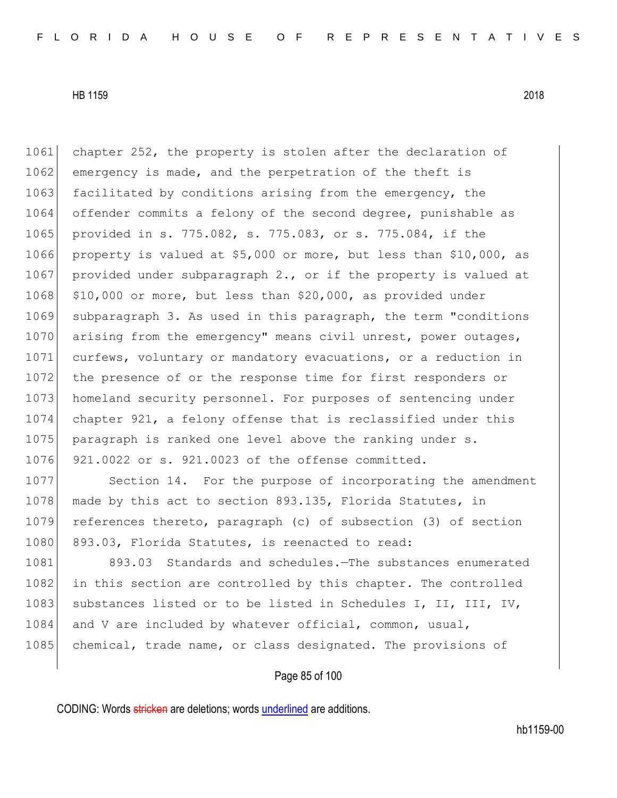1061 chapter 252, the property is stolen after the declaration of 1062 emergency is made, and the perpetration of the theft is 1063 facilitated by conditions arising from the emergency, the 1064 offender commits a felony of the second degree, punishable as 1065 provided in s. 775.082, s. 775.083, or s. 775.084, if the 1066 property is valued at \$5,000 or more, but less than \$10,000, as 1067 provided under subparagraph 2., or if the property is valued at 1068  $\mid$  \$10,000 or more, but less than \$20,000, as provided under 1069 subparagraph 3. As used in this paragraph, the term "conditions 1070 arising from the emergency" means civil unrest, power outages, 1071 curfews, voluntary or mandatory evacuations, or a reduction in 1072 the presence of or the response time for first responders or 1073 homeland security personnel. For purposes of sentencing under 1074 chapter 921, a felony offense that is reclassified under this 1075 paragraph is ranked one level above the ranking under s. 1076 921.0022 or s. 921.0023 of the offense committed.

1077 Section 14. For the purpose of incorporating the amendment 1078 made by this act to section 893.135, Florida Statutes, in 1079 references thereto, paragraph (c) of subsection (3) of section 1080 893.03, Florida Statutes, is reenacted to read:

1081 893.03 Standards and schedules.—The substances enumerated 1082 in this section are controlled by this chapter. The controlled 1083 substances listed or to be listed in Schedules I, II, III, IV, 1084 and V are included by whatever official, common, usual, 1085 chemical, trade name, or class designated. The provisions of

# Page 85 of 100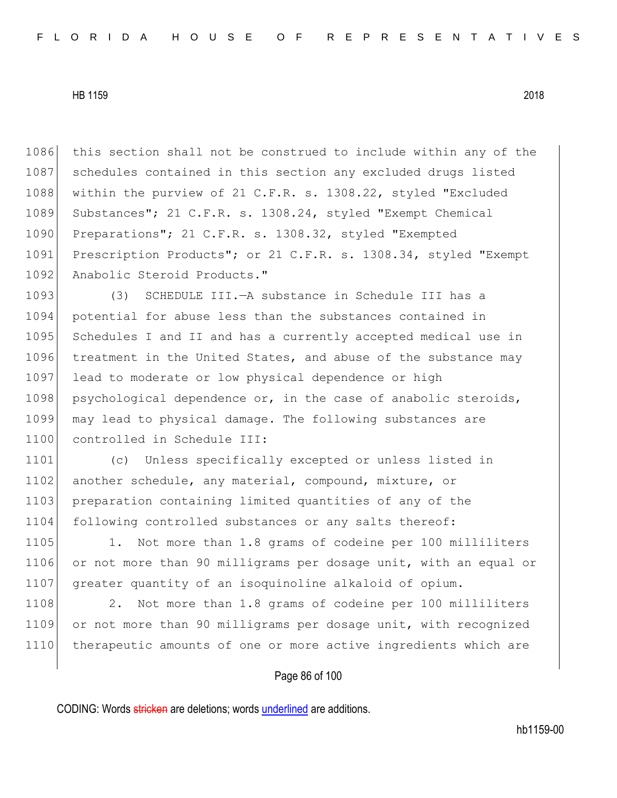1086 this section shall not be construed to include within any of the 1087 schedules contained in this section any excluded drugs listed 1088 within the purview of 21 C.F.R. s. 1308.22, styled "Excluded 1089 Substances"; 21 C.F.R. s. 1308.24, styled "Exempt Chemical 1090 Preparations"; 21 C.F.R. s. 1308.32, styled "Exempted" 1091 Prescription Products"; or 21 C.F.R. s. 1308.34, styled "Exempt 1092 Anabolic Steroid Products."

1093 (3) SCHEDULE III.—A substance in Schedule III has a 1094 potential for abuse less than the substances contained in 1095 Schedules I and II and has a currently accepted medical use in 1096 treatment in the United States, and abuse of the substance may 1097 lead to moderate or low physical dependence or high 1098 psychological dependence or, in the case of anabolic steroids, 1099 may lead to physical damage. The following substances are 1100 controlled in Schedule III:

1101 (c) Unless specifically excepted or unless listed in 1102 another schedule, any material, compound, mixture, or 1103 preparation containing limited quantities of any of the 1104 following controlled substances or any salts thereof:

1105 1. Not more than 1.8 grams of codeine per 100 milliliters 1106 or not more than 90 milligrams per dosage unit, with an equal or 1107 greater quantity of an isoquinoline alkaloid of opium.

1108 2. Not more than 1.8 grams of codeine per 100 milliliters 1109 or not more than 90 milligrams per dosage unit, with recognized 1110 therapeutic amounts of one or more active ingredients which are

# Page 86 of 100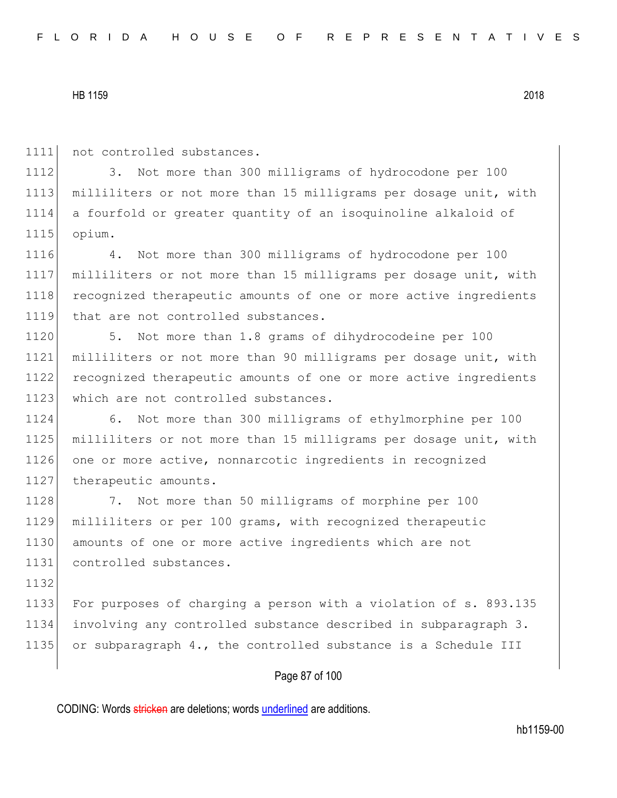1111 not controlled substances.

1112 3. Not more than 300 milligrams of hydrocodone per 100 1113 milliliters or not more than 15 milligrams per dosage unit, with 1114 a fourfold or greater quantity of an isoquinoline alkaloid of 1115 opium.

1116 4. Not more than 300 milligrams of hydrocodone per 100 1117 milliliters or not more than 15 milligrams per dosage unit, with 1118 recognized therapeutic amounts of one or more active ingredients 1119 that are not controlled substances.

1120 5. Not more than 1.8 grams of dihydrocodeine per 100 1121 milliliters or not more than 90 milligrams per dosage unit, with 1122 recognized therapeutic amounts of one or more active ingredients 1123 which are not controlled substances.

1124 6. Not more than 300 milligrams of ethylmorphine per 100 1125 milliliters or not more than 15 milligrams per dosage unit, with 1126 one or more active, nonnarcotic ingredients in recognized 1127 therapeutic amounts.

1128 7. Not more than 50 milligrams of morphine per 100 1129 milliliters or per 100 grams, with recognized therapeutic 1130 amounts of one or more active ingredients which are not 1131 controlled substances.

1132 1133 For purposes of charging a person with a violation of s. 893.135 1134 involving any controlled substance described in subparagraph 3. 1135 or subparagraph 4., the controlled substance is a Schedule III

# Page 87 of 100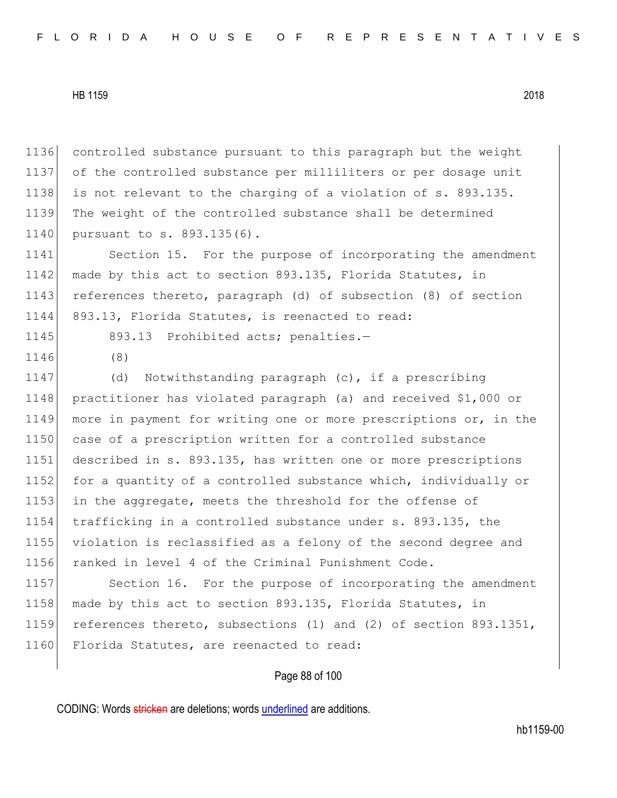1136 controlled substance pursuant to this paragraph but the weight 1137 of the controlled substance per milliliters or per dosage unit 1138 is not relevant to the charging of a violation of s. 893.135. 1139 The weight of the controlled substance shall be determined 1140 pursuant to s. 893.135(6). 1141 Section 15. For the purpose of incorporating the amendment 1142 made by this act to section 893.135, Florida Statutes, in 1143 references thereto, paragraph (d) of subsection (8) of section 1144 893.13, Florida Statutes, is reenacted to read: 1145 893.13 Prohibited acts; penalties.-1146 (8) 1147 (d) Notwithstanding paragraph (c), if a prescribing 1148 practitioner has violated paragraph (a) and received \$1,000 or 1149 more in payment for writing one or more prescriptions or, in the 1150 case of a prescription written for a controlled substance 1151 described in s. 893.135, has written one or more prescriptions 1152 for a quantity of a controlled substance which, individually or 1153 in the aggregate, meets the threshold for the offense of 1154 trafficking in a controlled substance under s. 893.135, the 1155 violation is reclassified as a felony of the second degree and 1156 ranked in level 4 of the Criminal Punishment Code. 1157 Section 16. For the purpose of incorporating the amendment 1158 made by this act to section 893.135, Florida Statutes, in 1159 references thereto, subsections (1) and (2) of section 893.1351, 1160 Florida Statutes, are reenacted to read:

## Page 88 of 100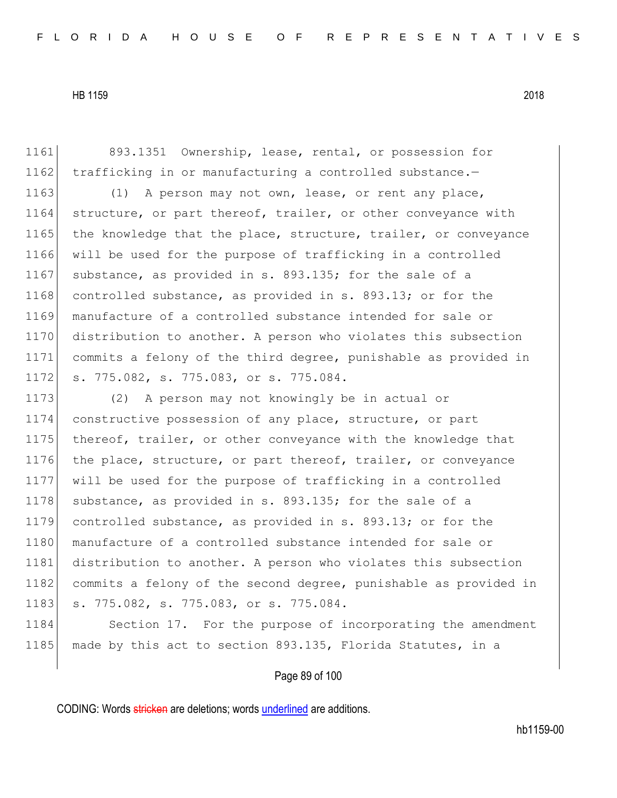1161 893.1351 Ownership, lease, rental, or possession for 1162  $\vert$  trafficking in or manufacturing a controlled substance.-

1163 (1) A person may not own, lease, or rent any place, 1164 structure, or part thereof, trailer, or other conveyance with 1165 the knowledge that the place, structure, trailer, or conveyance 1166 will be used for the purpose of trafficking in a controlled 1167 substance, as provided in s. 893.135; for the sale of a 1168 controlled substance, as provided in s. 893.13; or for the 1169 manufacture of a controlled substance intended for sale or 1170 distribution to another. A person who violates this subsection 1171 commits a felony of the third degree, punishable as provided in 1172 s. 775.082, s. 775.083, or s. 775.084.

1173 (2) A person may not knowingly be in actual or 1174 constructive possession of any place, structure, or part 1175 thereof, trailer, or other conveyance with the knowledge that 1176 the place, structure, or part thereof, trailer, or conveyance 1177 will be used for the purpose of trafficking in a controlled 1178 substance, as provided in s. 893.135; for the sale of a 1179 controlled substance, as provided in s. 893.13; or for the 1180 manufacture of a controlled substance intended for sale or 1181 distribution to another. A person who violates this subsection 1182 commits a felony of the second degree, punishable as provided in 1183 s. 775.082, s. 775.083, or s. 775.084.

1184 Section 17. For the purpose of incorporating the amendment 1185 made by this act to section 893.135, Florida Statutes, in a

# Page 89 of 100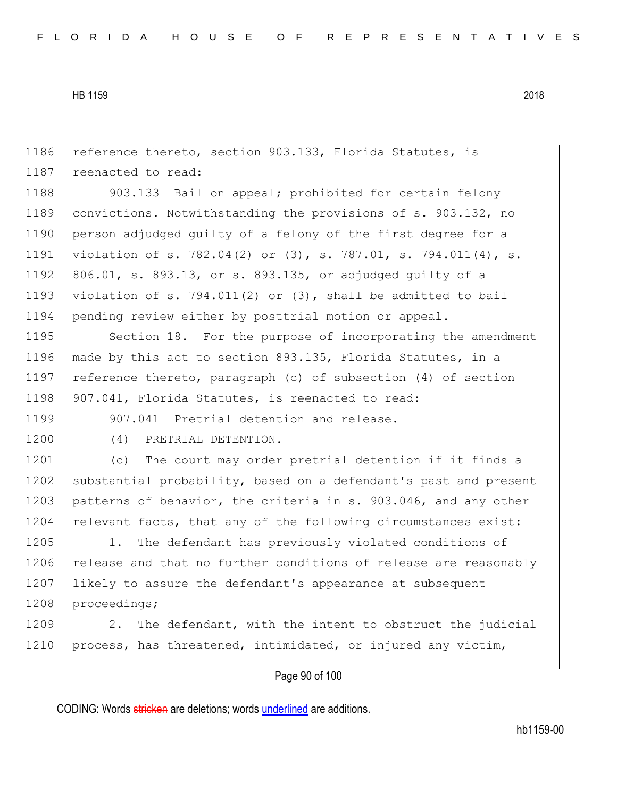1186 reference thereto, section 903.133, Florida Statutes, is 1187 reenacted to read: 1188 903.133 Bail on appeal; prohibited for certain felony 1189 convictions.—Notwithstanding the provisions of s. 903.132, no 1190 person adjudged quilty of a felony of the first degree for a 1191 violation of s. 782.04(2) or (3), s. 787.01, s. 794.011(4), s. 1192 806.01, s. 893.13, or s. 893.135, or adjudged guilty of a 1193 violation of s. 794.011(2) or  $(3)$ , shall be admitted to bail 1194 pending review either by posttrial motion or appeal. 1195 Section 18. For the purpose of incorporating the amendment 1196 made by this act to section 893.135, Florida Statutes, in a 1197 reference thereto, paragraph (c) of subsection (4) of section 1198 907.041, Florida Statutes, is reenacted to read: 1199 907.041 Pretrial detention and release.-1200 (4) PRETRIAL DETENTION.-1201 (c) The court may order pretrial detention if it finds a 1202 substantial probability, based on a defendant's past and present 1203 patterns of behavior, the criteria in s. 903.046, and any other 1204 relevant facts, that any of the following circumstances exist: 1205 1. The defendant has previously violated conditions of 1206 release and that no further conditions of release are reasonably 1207 likely to assure the defendant's appearance at subsequent 1208 proceedings; 1209 2. The defendant, with the intent to obstruct the judicial 1210 process, has threatened, intimidated, or injured any victim,

Page 90 of 100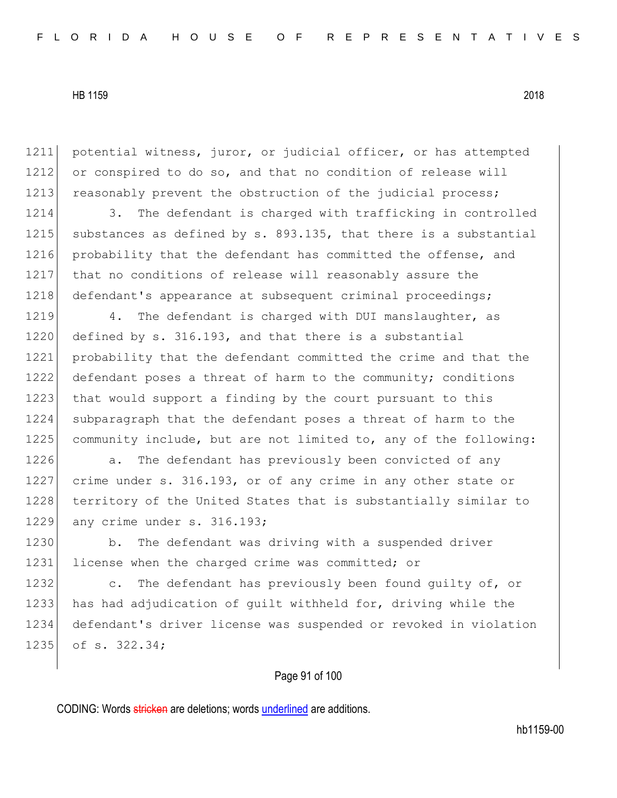1211 potential witness, juror, or judicial officer, or has attempted 1212 or conspired to do so, and that no condition of release will 1213 reasonably prevent the obstruction of the judicial process;

1214 3. The defendant is charged with trafficking in controlled 1215 substances as defined by s. 893.135, that there is a substantial 1216 probability that the defendant has committed the offense, and 1217 that no conditions of release will reasonably assure the 1218 defendant's appearance at subsequent criminal proceedings;

1219 4. The defendant is charged with DUI manslaughter, as 1220 defined by s. 316.193, and that there is a substantial 1221 probability that the defendant committed the crime and that the 1222 defendant poses a threat of harm to the community; conditions 1223 that would support a finding by the court pursuant to this 1224 subparagraph that the defendant poses a threat of harm to the 1225 community include, but are not limited to, any of the following:

1226 **a.** The defendant has previously been convicted of any 1227 crime under s. 316.193, or of any crime in any other state or 1228 territory of the United States that is substantially similar to 1229 any crime under s. 316.193;

1230 b. The defendant was driving with a suspended driver 1231 license when the charged crime was committed; or

1232 c. The defendant has previously been found guilty of, or 1233 has had adjudication of quilt withheld for, driving while the 1234 defendant's driver license was suspended or revoked in violation 1235 of s. 322.34;

# Page 91 of 100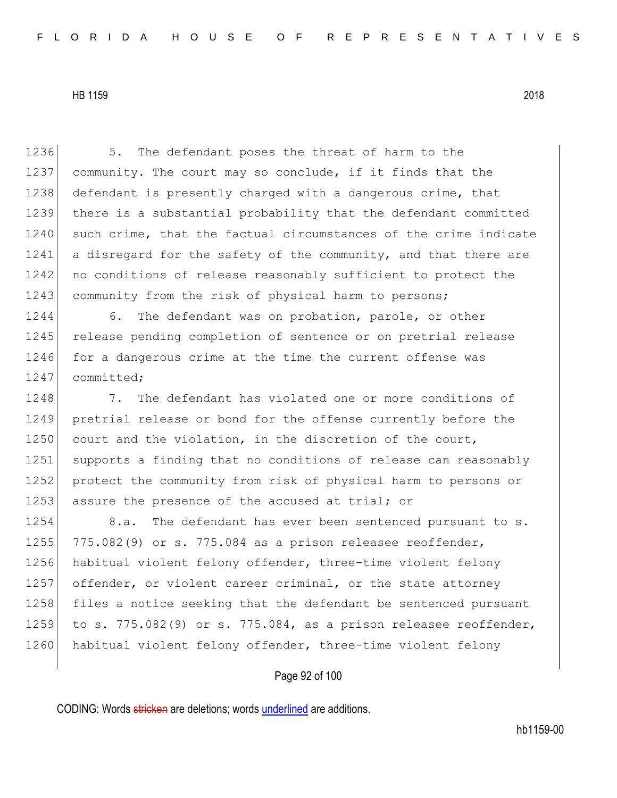1236 5. The defendant poses the threat of harm to the 1237 community. The court may so conclude, if it finds that the 1238 defendant is presently charged with a dangerous crime, that 1239 there is a substantial probability that the defendant committed 1240 such crime, that the factual circumstances of the crime indicate 1241 a disregard for the safety of the community, and that there are 1242 no conditions of release reasonably sufficient to protect the 1243 community from the risk of physical harm to persons;

1244 6. The defendant was on probation, parole, or other 1245 release pending completion of sentence or on pretrial release 1246 for a dangerous crime at the time the current offense was 1247 committed;

1248 7. The defendant has violated one or more conditions of 1249 pretrial release or bond for the offense currently before the 1250 court and the violation, in the discretion of the court, 1251 supports a finding that no conditions of release can reasonably 1252 protect the community from risk of physical harm to persons or 1253 assure the presence of the accused at trial; or

1254 8.a. The defendant has ever been sentenced pursuant to s. 1255 775.082(9) or s. 775.084 as a prison releasee reoffender, 1256 habitual violent felony offender, three-time violent felony 1257 offender, or violent career criminal, or the state attorney 1258 files a notice seeking that the defendant be sentenced pursuant 1259 to s. 775.082(9) or s. 775.084, as a prison releasee reoffender, 1260 habitual violent felony offender, three-time violent felony

# Page 92 of 100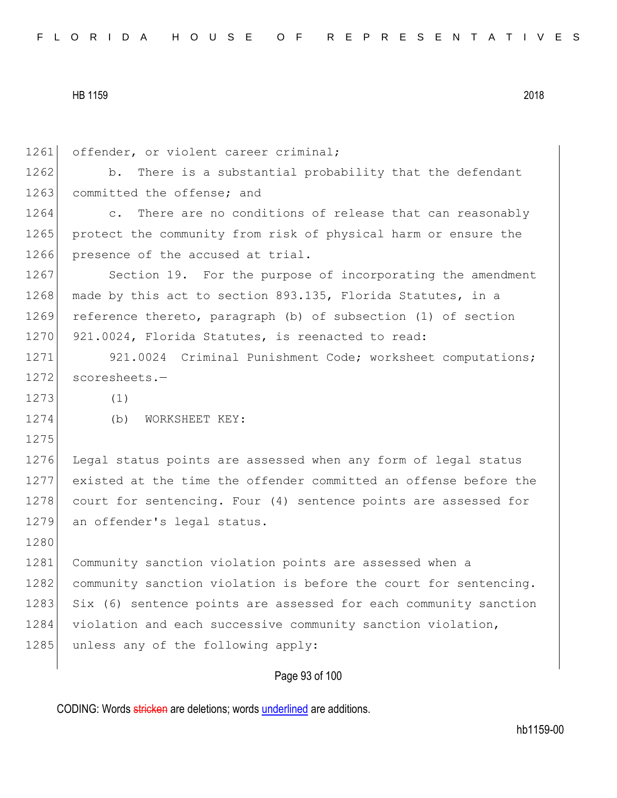|  |  |  |  |  |  |  |  |  |  | FLORIDA HOUSE OF REPRESENTATIVES |  |  |  |  |  |  |  |  |  |  |  |  |  |  |  |  |
|--|--|--|--|--|--|--|--|--|--|----------------------------------|--|--|--|--|--|--|--|--|--|--|--|--|--|--|--|--|
|--|--|--|--|--|--|--|--|--|--|----------------------------------|--|--|--|--|--|--|--|--|--|--|--|--|--|--|--|--|

Page 93 of 100 1261 offender, or violent career criminal; 1262 b. There is a substantial probability that the defendant 1263 committed the offense; and 1264 c. There are no conditions of release that can reasonably 1265 protect the community from risk of physical harm or ensure the 1266 presence of the accused at trial. 1267 Section 19. For the purpose of incorporating the amendment 1268 made by this act to section 893.135, Florida Statutes, in a 1269 reference thereto, paragraph (b) of subsection (1) of section 1270 921.0024, Florida Statutes, is reenacted to read: 1271 921.0024 Criminal Punishment Code; worksheet computations; 1272 scoresheets.- $1273$  (1) 1274 (b) WORKSHEET KEY: 1275 1276 Legal status points are assessed when any form of legal status 1277 existed at the time the offender committed an offense before the 1278 court for sentencing. Four (4) sentence points are assessed for 1279 an offender's legal status. 1280 1281 Community sanction violation points are assessed when a 1282 community sanction violation is before the court for sentencing. 1283 Six (6) sentence points are assessed for each community sanction 1284 violation and each successive community sanction violation, 1285 unless any of the following apply: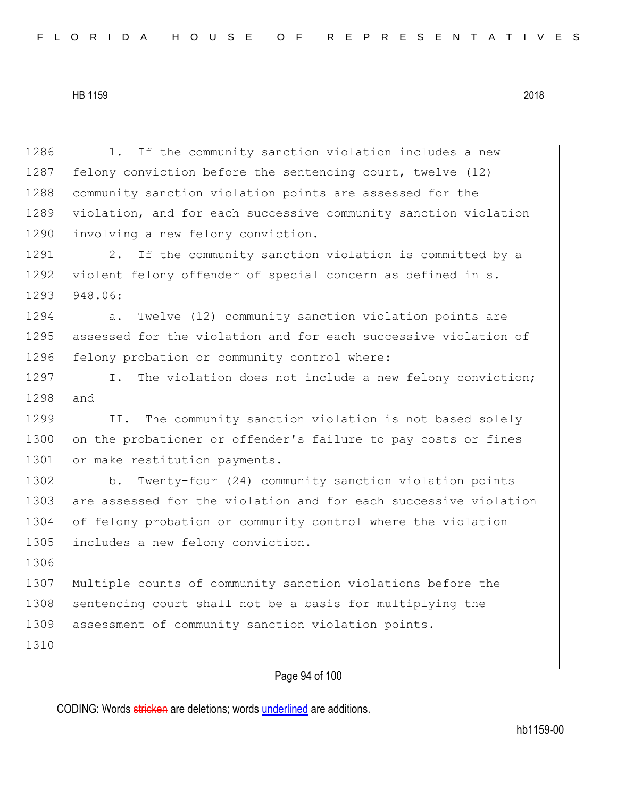Page 94 of 100 1286 1. If the community sanction violation includes a new 1287 felony conviction before the sentencing court, twelve (12) 1288 community sanction violation points are assessed for the 1289 violation, and for each successive community sanction violation 1290 involving a new felony conviction. 1291 2. If the community sanction violation is committed by a 1292 violent felony offender of special concern as defined in s. 1293 948.06: 1294 a. Twelve (12) community sanction violation points are 1295 assessed for the violation and for each successive violation of 1296 felony probation or community control where: 1297 I. The violation does not include a new felony conviction; 1298 and 1299 II. The community sanction violation is not based solely 1300 on the probationer or offender's failure to pay costs or fines 1301 or make restitution payments. 1302 b. Twenty-four (24) community sanction violation points 1303 are assessed for the violation and for each successive violation 1304 of felony probation or community control where the violation 1305 includes a new felony conviction. 1306 1307 Multiple counts of community sanction violations before the 1308 sentencing court shall not be a basis for multiplying the 1309 assessment of community sanction violation points. 1310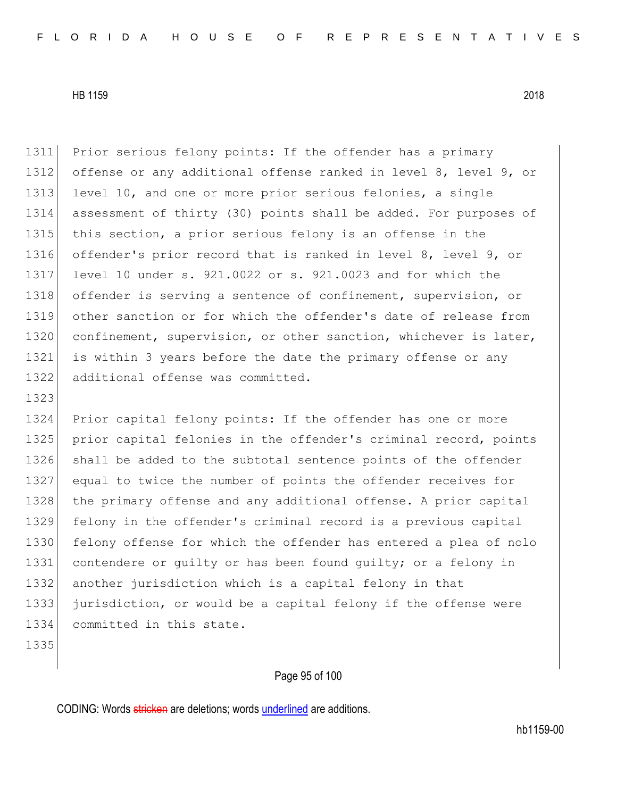1311 Prior serious felony points: If the offender has a primary 1312 offense or any additional offense ranked in level 8, level 9, or 1313 level 10, and one or more prior serious felonies, a single 1314 assessment of thirty (30) points shall be added. For purposes of 1315 this section, a prior serious felony is an offense in the 1316 offender's prior record that is ranked in level 8, level 9, or 1317 level 10 under s. 921.0022 or s. 921.0023 and for which the 1318 offender is serving a sentence of confinement, supervision, or 1319 other sanction or for which the offender's date of release from 1320 confinement, supervision, or other sanction, whichever is later, 1321 is within 3 years before the date the primary offense or any 1322 additional offense was committed. 1323 1324 Prior capital felony points: If the offender has one or more 1325 prior capital felonies in the offender's criminal record, points 1326 shall be added to the subtotal sentence points of the offender 1327 equal to twice the number of points the offender receives for 1328 the primary offense and any additional offense. A prior capital 1329 felony in the offender's criminal record is a previous capital 1330 felony offense for which the offender has entered a plea of nolo 1331 contendere or quilty or has been found quilty; or a felony in 1332 another jurisdiction which is a capital felony in that 1333 jurisdiction, or would be a capital felony if the offense were 1334 committed in this state. 1335

# Page 95 of 100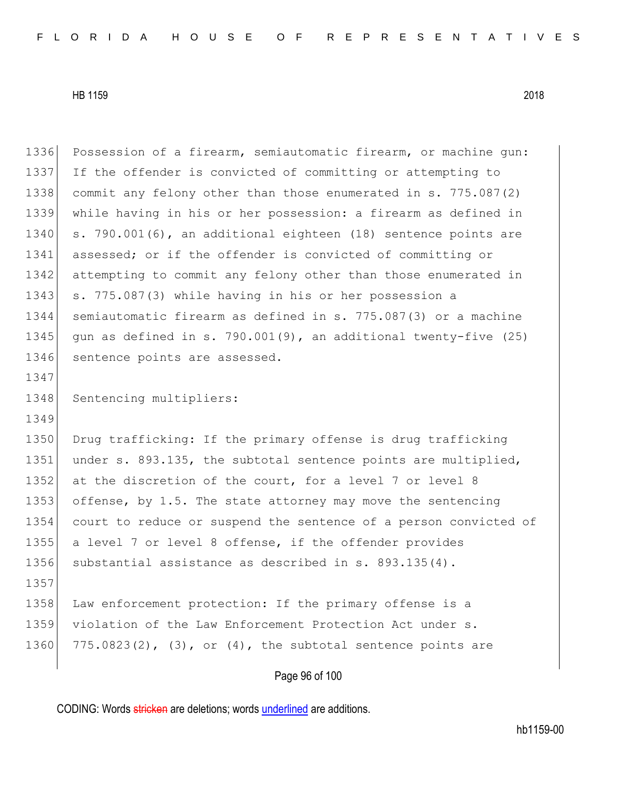|      | Page 96 of 100                                                      |
|------|---------------------------------------------------------------------|
| 1360 | $775.0823(2)$ , $(3)$ , or $(4)$ , the subtotal sentence points are |
| 1359 | violation of the Law Enforcement Protection Act under s.            |
| 1358 | Law enforcement protection: If the primary offense is a             |
| 1357 |                                                                     |
| 1356 | substantial assistance as described in $s. 893.135(4)$ .            |
| 1355 | a level 7 or level 8 offense, if the offender provides              |
| 1354 | court to reduce or suspend the sentence of a person convicted of    |
| 1353 | offense, by 1.5. The state attorney may move the sentencing         |
| 1352 | at the discretion of the court, for a level 7 or level 8            |
| 1351 | under s. 893.135, the subtotal sentence points are multiplied,      |
| 1350 | Drug trafficking: If the primary offense is drug trafficking        |
| 1349 |                                                                     |
| 1348 | Sentencing multipliers:                                             |
| 1347 |                                                                     |
| 1346 | sentence points are assessed.                                       |
| 1345 | gun as defined in s. 790.001(9), an additional twenty-five $(25)$   |
| 1344 | semiautomatic firearm as defined in s. 775.087(3) or a machine      |
| 1343 | s. 775.087(3) while having in his or her possession a               |
| 1342 | attempting to commit any felony other than those enumerated in      |
| 1341 | assessed; or if the offender is convicted of committing or          |
| 1340 | s. 790.001(6), an additional eighteen (18) sentence points are      |
| 1339 | while having in his or her possession: a firearm as defined in      |
| 1338 | commit any felony other than those enumerated in s. 775.087(2)      |
| 1337 | If the offender is convicted of committing or attempting to         |
| 1336 | Possession of a firearm, semiautomatic firearm, or machine qun:     |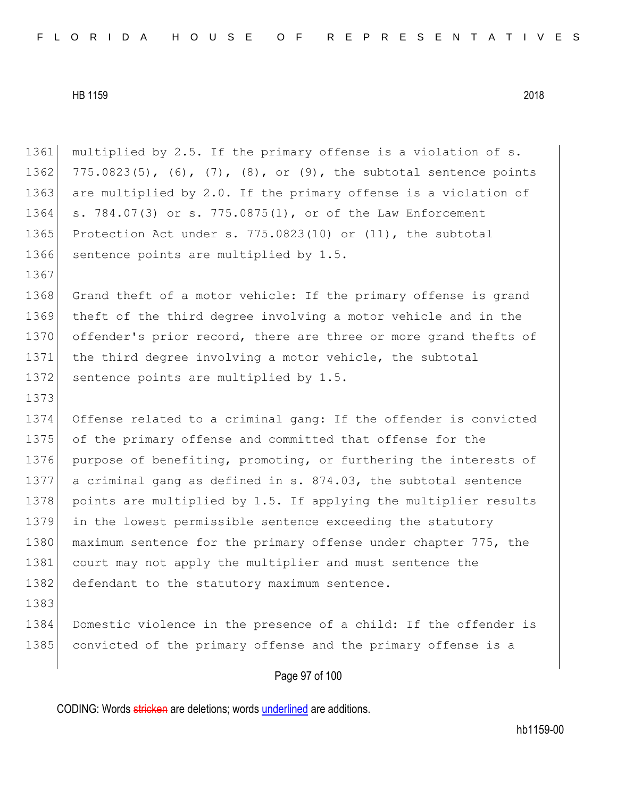1361 multiplied by 2.5. If the primary offense is a violation of s. 1362 775.0823(5), (6), (7), (8), or (9), the subtotal sentence points 1363 are multiplied by 2.0. If the primary offense is a violation of 1364 s. 784.07(3) or s. 775.0875(1), or of the Law Enforcement 1365 Protection Act under s. 775.0823(10) or (11), the subtotal 1366 sentence points are multiplied by 1.5. 1367 1368 Grand theft of a motor vehicle: If the primary offense is grand 1369 theft of the third degree involving a motor vehicle and in the 1370 offender's prior record, there are three or more grand thefts of 1371 the third degree involving a motor vehicle, the subtotal 1372 sentence points are multiplied by 1.5. 1373 1374 Offense related to a criminal gang: If the offender is convicted 1375 of the primary offense and committed that offense for the 1376 purpose of benefiting, promoting, or furthering the interests of 1377 a criminal gang as defined in s. 874.03, the subtotal sentence 1378 points are multiplied by 1.5. If applying the multiplier results 1379 in the lowest permissible sentence exceeding the statutory 1380 maximum sentence for the primary offense under chapter 775, the 1381 court may not apply the multiplier and must sentence the 1382 defendant to the statutory maximum sentence. 1383 1384 Domestic violence in the presence of a child: If the offender is 1385 convicted of the primary offense and the primary offense is a

# Page 97 of 100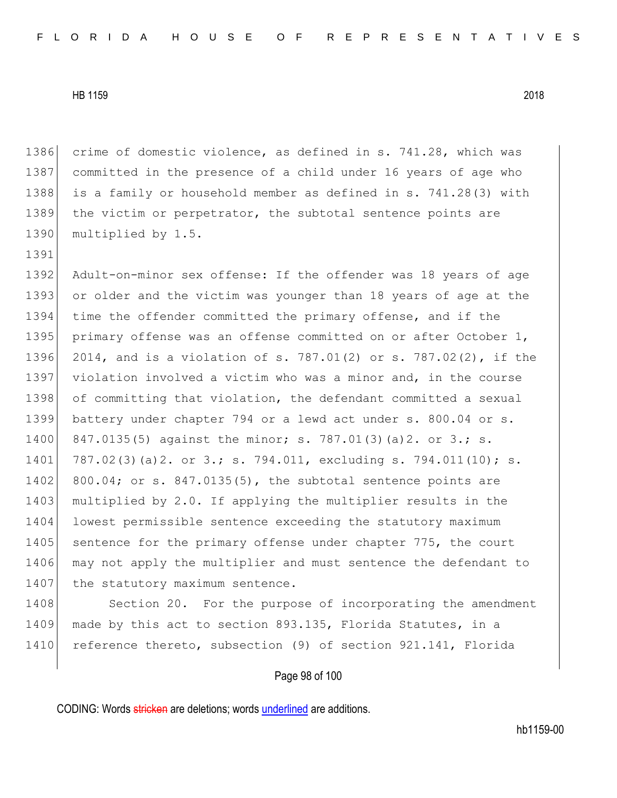1391

1386 crime of domestic violence, as defined in s. 741.28, which was 1387 committed in the presence of a child under 16 years of age who 1388 is a family or household member as defined in s. 741.28(3) with 1389 the victim or perpetrator, the subtotal sentence points are 1390 multiplied by 1.5.

1392 Adult-on-minor sex offense: If the offender was 18 years of age 1393 or older and the victim was younger than 18 years of age at the 1394 time the offender committed the primary offense, and if the 1395 primary offense was an offense committed on or after October 1, 1396 2014, and is a violation of s. 787.01(2) or s. 787.02(2), if the 1397 violation involved a victim who was a minor and, in the course 1398 of committing that violation, the defendant committed a sexual 1399 battery under chapter 794 or a lewd act under s. 800.04 or s. 1400 847.0135(5) against the minor; s. 787.01(3)(a)2. or 3.; s. 1401 787.02(3)(a)2. or 3.; s. 794.011, excluding s. 794.011(10); s. 1402 800.04; or s. 847.0135(5), the subtotal sentence points are 1403 multiplied by 2.0. If applying the multiplier results in the 1404 lowest permissible sentence exceeding the statutory maximum 1405 sentence for the primary offense under chapter 775, the court 1406 may not apply the multiplier and must sentence the defendant to 1407 the statutory maximum sentence.

1408 Section 20. For the purpose of incorporating the amendment 1409 made by this act to section 893.135, Florida Statutes, in a 1410 reference thereto, subsection (9) of section 921.141, Florida

## Page 98 of 100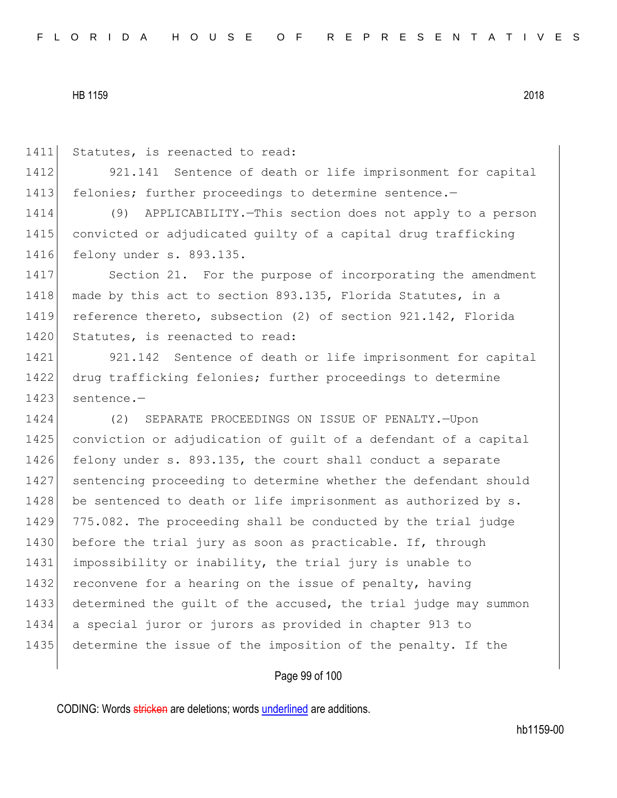1411 Statutes, is reenacted to read:

1412 921.141 Sentence of death or life imprisonment for capital 1413 felonies; further proceedings to determine sentence.-

1414 (9) APPLICABILITY.—This section does not apply to a person 1415 convicted or adjudicated guilty of a capital drug trafficking 1416 felony under s. 893.135.

1417 Section 21. For the purpose of incorporating the amendment 1418 made by this act to section 893.135, Florida Statutes, in a 1419 reference thereto, subsection (2) of section 921.142, Florida 1420 Statutes, is reenacted to read:

1421 921.142 Sentence of death or life imprisonment for capital 1422 drug trafficking felonies; further proceedings to determine 1423 sentence.-

1424 (2) SEPARATE PROCEEDINGS ON ISSUE OF PENALTY.—Upon 1425 conviction or adjudication of quilt of a defendant of a capital 1426 felony under s. 893.135, the court shall conduct a separate 1427 | sentencing proceeding to determine whether the defendant should 1428 be sentenced to death or life imprisonment as authorized by s. 1429 775.082. The proceeding shall be conducted by the trial judge 1430 before the trial jury as soon as practicable. If, through 1431 impossibility or inability, the trial jury is unable to 1432 reconvene for a hearing on the issue of penalty, having 1433 determined the guilt of the accused, the trial judge may summon 1434 a special juror or jurors as provided in chapter 913 to 1435 determine the issue of the imposition of the penalty. If the

## Page 99 of 100